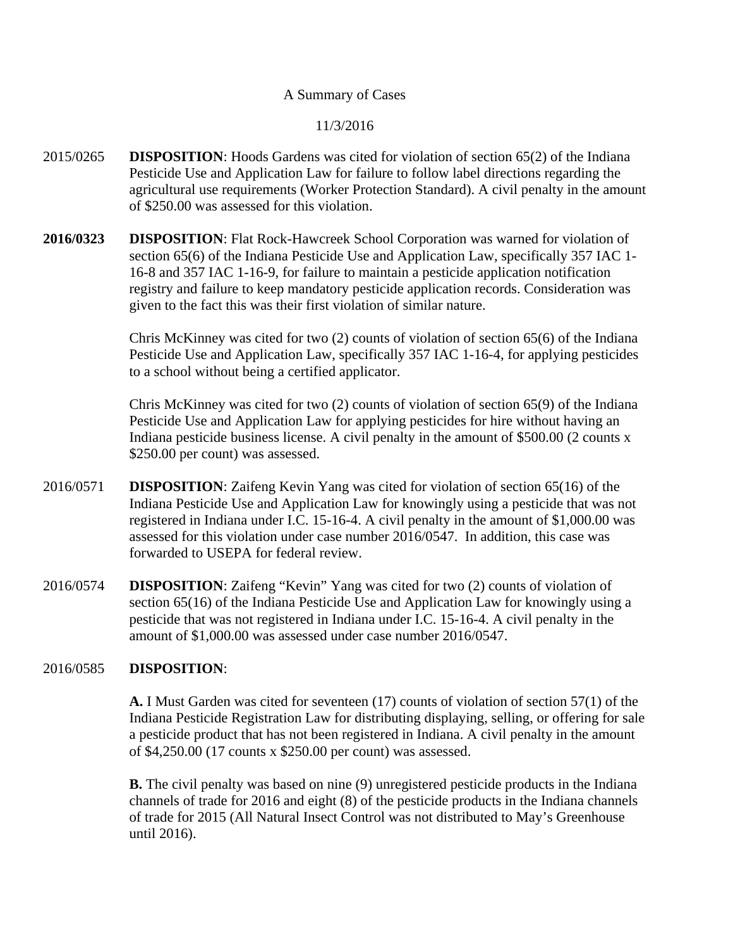#### A Summary of Cases

#### 11/3/2016

- 2015/0265 **DISPOSITION**: Hoods Gardens was cited for violation of section 65(2) of the Indiana Pesticide Use and Application Law for failure to follow label directions regarding the agricultural use requirements (Worker Protection Standard). A civil penalty in the amount of \$250.00 was assessed for this violation.
- **2016/0323 DISPOSITION**: Flat Rock-Hawcreek School Corporation was warned for violation of section 65(6) of the Indiana Pesticide Use and Application Law, specifically 357 IAC 1- 16-8 and 357 IAC 1-16-9, for failure to maintain a pesticide application notification registry and failure to keep mandatory pesticide application records. Consideration was given to the fact this was their first violation of similar nature.

Chris McKinney was cited for two (2) counts of violation of section 65(6) of the Indiana Pesticide Use and Application Law, specifically 357 IAC 1-16-4, for applying pesticides to a school without being a certified applicator.

Chris McKinney was cited for two (2) counts of violation of section 65(9) of the Indiana Pesticide Use and Application Law for applying pesticides for hire without having an Indiana pesticide business license. A civil penalty in the amount of \$500.00 (2 counts x \$250.00 per count) was assessed.

- 2016/0571 **DISPOSITION**: Zaifeng Kevin Yang was cited for violation of section 65(16) of the Indiana Pesticide Use and Application Law for knowingly using a pesticide that was not registered in Indiana under I.C. 15-16-4. A civil penalty in the amount of \$1,000.00 was assessed for this violation under case number 2016/0547. In addition, this case was forwarded to USEPA for federal review.
- 2016/0574 **DISPOSITION**: Zaifeng "Kevin" Yang was cited for two (2) counts of violation of section 65(16) of the Indiana Pesticide Use and Application Law for knowingly using a pesticide that was not registered in Indiana under I.C. 15-16-4. A civil penalty in the amount of \$1,000.00 was assessed under case number 2016/0547.

#### 2016/0585 **DISPOSITION**:

**A.** I Must Garden was cited for seventeen (17) counts of violation of section 57(1) of the Indiana Pesticide Registration Law for distributing displaying, selling, or offering for sale a pesticide product that has not been registered in Indiana. A civil penalty in the amount of \$4,250.00 (17 counts x \$250.00 per count) was assessed.

**B.** The civil penalty was based on nine (9) unregistered pesticide products in the Indiana channels of trade for 2016 and eight (8) of the pesticide products in the Indiana channels of trade for 2015 (All Natural Insect Control was not distributed to May's Greenhouse until 2016).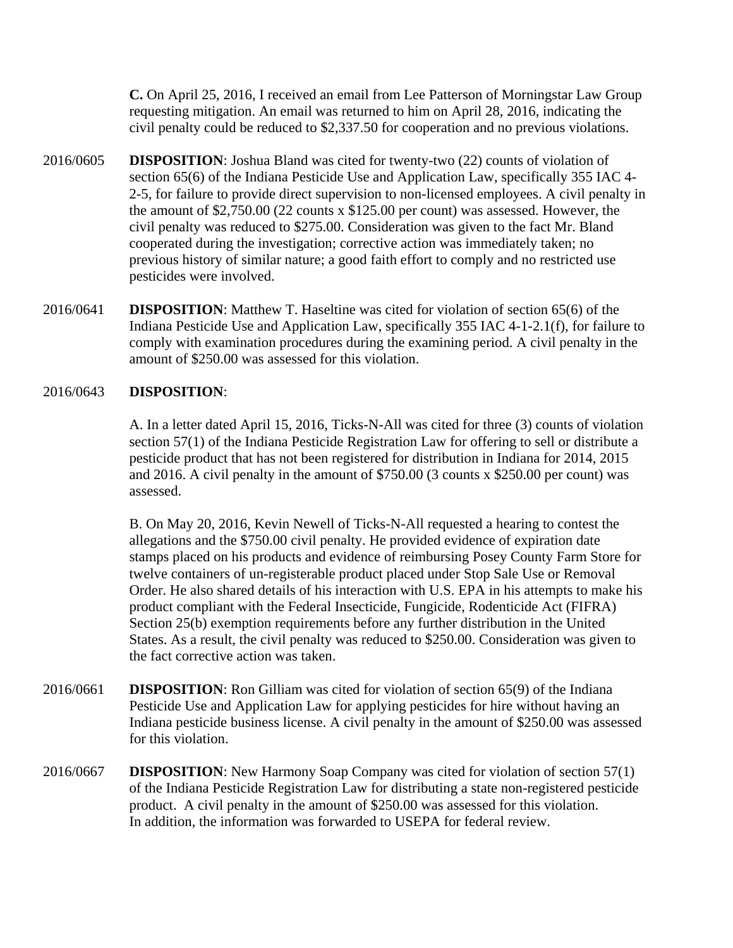**C.** On April 25, 2016, I received an email from Lee Patterson of Morningstar Law Group requesting mitigation. An email was returned to him on April 28, 2016, indicating the civil penalty could be reduced to \$2,337.50 for cooperation and no previous violations.

- 2016/0605 **DISPOSITION**: Joshua Bland was cited for twenty-two (22) counts of violation of section 65(6) of the Indiana Pesticide Use and Application Law, specifically 355 IAC 4- 2-5, for failure to provide direct supervision to non-licensed employees. A civil penalty in the amount of \$2,750.00 (22 counts x \$125.00 per count) was assessed. However, the civil penalty was reduced to \$275.00. Consideration was given to the fact Mr. Bland cooperated during the investigation; corrective action was immediately taken; no previous history of similar nature; a good faith effort to comply and no restricted use pesticides were involved.
- 2016/0641 **DISPOSITION**: Matthew T. Haseltine was cited for violation of section 65(6) of the Indiana Pesticide Use and Application Law, specifically 355 IAC 4-1-2.1(f), for failure to comply with examination procedures during the examining period. A civil penalty in the amount of \$250.00 was assessed for this violation.

#### 2016/0643 **DISPOSITION**:

A. In a letter dated April 15, 2016, Ticks-N-All was cited for three (3) counts of violation section 57(1) of the Indiana Pesticide Registration Law for offering to sell or distribute a pesticide product that has not been registered for distribution in Indiana for 2014, 2015 and 2016. A civil penalty in the amount of \$750.00 (3 counts x \$250.00 per count) was assessed.

B. On May 20, 2016, Kevin Newell of Ticks-N-All requested a hearing to contest the allegations and the \$750.00 civil penalty. He provided evidence of expiration date stamps placed on his products and evidence of reimbursing Posey County Farm Store for twelve containers of un-registerable product placed under Stop Sale Use or Removal Order. He also shared details of his interaction with U.S. EPA in his attempts to make his product compliant with the Federal Insecticide, Fungicide, Rodenticide Act (FIFRA) Section 25(b) exemption requirements before any further distribution in the United States. As a result, the civil penalty was reduced to \$250.00. Consideration was given to the fact corrective action was taken.

- 2016/0661 **DISPOSITION**: Ron Gilliam was cited for violation of section 65(9) of the Indiana Pesticide Use and Application Law for applying pesticides for hire without having an Indiana pesticide business license. A civil penalty in the amount of \$250.00 was assessed for this violation.
- 2016/0667 **DISPOSITION**: New Harmony Soap Company was cited for violation of section 57(1) of the Indiana Pesticide Registration Law for distributing a state non-registered pesticide product. A civil penalty in the amount of \$250.00 was assessed for this violation. In addition, the information was forwarded to USEPA for federal review.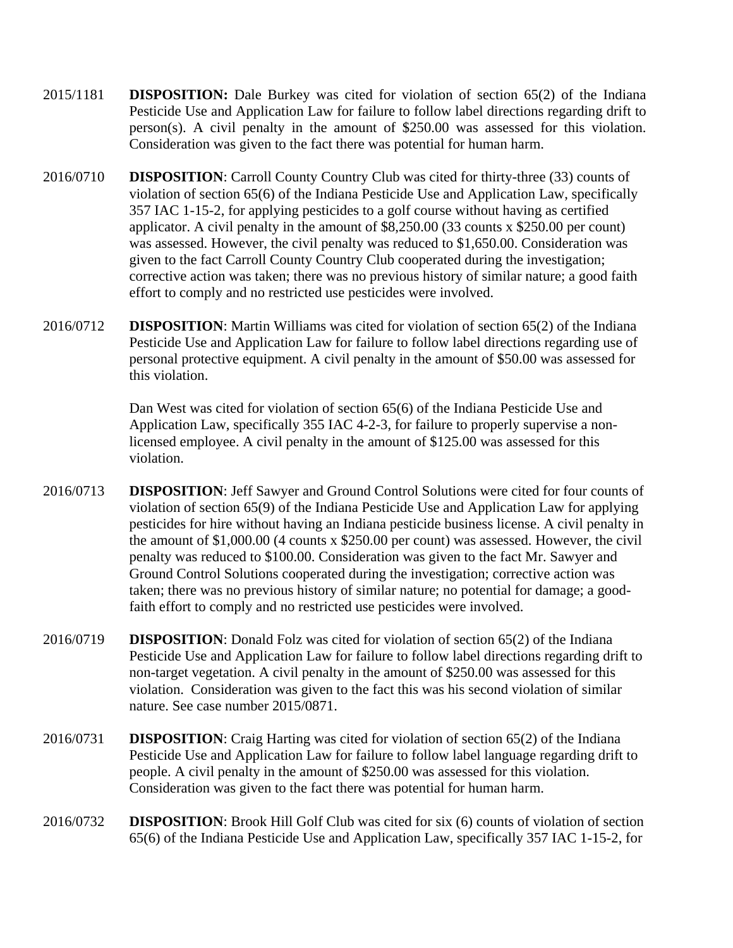- 2015/1181 **DISPOSITION:** Dale Burkey was cited for violation of section 65(2) of the Indiana Pesticide Use and Application Law for failure to follow label directions regarding drift to person(s). A civil penalty in the amount of \$250.00 was assessed for this violation. Consideration was given to the fact there was potential for human harm.
- 2016/0710 **DISPOSITION**: Carroll County Country Club was cited for thirty-three (33) counts of violation of section 65(6) of the Indiana Pesticide Use and Application Law, specifically 357 IAC 1-15-2, for applying pesticides to a golf course without having as certified applicator. A civil penalty in the amount of \$8,250.00 (33 counts x \$250.00 per count) was assessed. However, the civil penalty was reduced to \$1,650.00. Consideration was given to the fact Carroll County Country Club cooperated during the investigation; corrective action was taken; there was no previous history of similar nature; a good faith effort to comply and no restricted use pesticides were involved.
- 2016/0712 **DISPOSITION**: Martin Williams was cited for violation of section 65(2) of the Indiana Pesticide Use and Application Law for failure to follow label directions regarding use of personal protective equipment. A civil penalty in the amount of \$50.00 was assessed for this violation.

Dan West was cited for violation of section 65(6) of the Indiana Pesticide Use and Application Law, specifically 355 IAC 4-2-3, for failure to properly supervise a nonlicensed employee. A civil penalty in the amount of \$125.00 was assessed for this violation.

- 2016/0713 **DISPOSITION**: Jeff Sawyer and Ground Control Solutions were cited for four counts of violation of section 65(9) of the Indiana Pesticide Use and Application Law for applying pesticides for hire without having an Indiana pesticide business license. A civil penalty in the amount of \$1,000.00 (4 counts x \$250.00 per count) was assessed. However, the civil penalty was reduced to \$100.00. Consideration was given to the fact Mr. Sawyer and Ground Control Solutions cooperated during the investigation; corrective action was taken; there was no previous history of similar nature; no potential for damage; a goodfaith effort to comply and no restricted use pesticides were involved.
- 2016/0719 **DISPOSITION**: Donald Folz was cited for violation of section 65(2) of the Indiana Pesticide Use and Application Law for failure to follow label directions regarding drift to non-target vegetation. A civil penalty in the amount of \$250.00 was assessed for this violation. Consideration was given to the fact this was his second violation of similar nature. See case number 2015/0871.
- 2016/0731 **DISPOSITION**: Craig Harting was cited for violation of section 65(2) of the Indiana Pesticide Use and Application Law for failure to follow label language regarding drift to people. A civil penalty in the amount of \$250.00 was assessed for this violation. Consideration was given to the fact there was potential for human harm.
- 2016/0732 **DISPOSITION**: Brook Hill Golf Club was cited for six (6) counts of violation of section 65(6) of the Indiana Pesticide Use and Application Law, specifically 357 IAC 1-15-2, for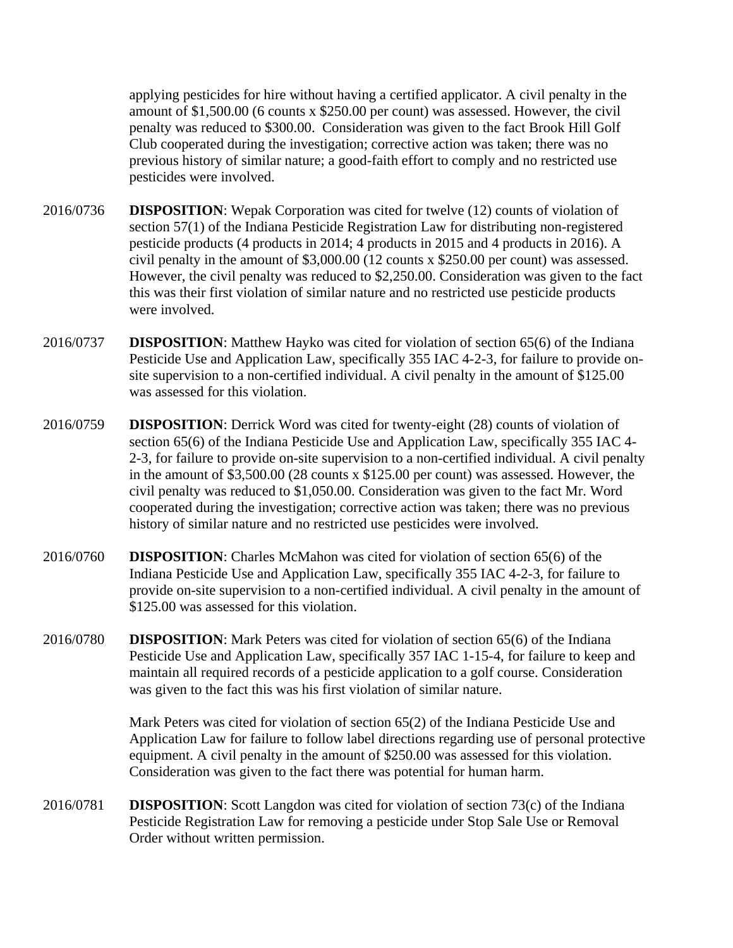applying pesticides for hire without having a certified applicator. A civil penalty in the amount of \$1,500.00 (6 counts x \$250.00 per count) was assessed. However, the civil penalty was reduced to \$300.00. Consideration was given to the fact Brook Hill Golf Club cooperated during the investigation; corrective action was taken; there was no previous history of similar nature; a good-faith effort to comply and no restricted use pesticides were involved.

- 2016/0736 **DISPOSITION**: Wepak Corporation was cited for twelve (12) counts of violation of section 57(1) of the Indiana Pesticide Registration Law for distributing non-registered pesticide products (4 products in 2014; 4 products in 2015 and 4 products in 2016). A civil penalty in the amount of \$3,000.00 (12 counts x \$250.00 per count) was assessed. However, the civil penalty was reduced to \$2,250.00. Consideration was given to the fact this was their first violation of similar nature and no restricted use pesticide products were involved.
- 2016/0737 **DISPOSITION**: Matthew Hayko was cited for violation of section 65(6) of the Indiana Pesticide Use and Application Law, specifically 355 IAC 4-2-3, for failure to provide onsite supervision to a non-certified individual. A civil penalty in the amount of \$125.00 was assessed for this violation.
- 2016/0759 **DISPOSITION**: Derrick Word was cited for twenty-eight (28) counts of violation of section 65(6) of the Indiana Pesticide Use and Application Law, specifically 355 IAC 4- 2-3, for failure to provide on-site supervision to a non-certified individual. A civil penalty in the amount of \$3,500.00 (28 counts x \$125.00 per count) was assessed. However, the civil penalty was reduced to \$1,050.00. Consideration was given to the fact Mr. Word cooperated during the investigation; corrective action was taken; there was no previous history of similar nature and no restricted use pesticides were involved.
- 2016/0760 **DISPOSITION**: Charles McMahon was cited for violation of section 65(6) of the Indiana Pesticide Use and Application Law, specifically 355 IAC 4-2-3, for failure to provide on-site supervision to a non-certified individual. A civil penalty in the amount of \$125.00 was assessed for this violation.
- 2016/0780 **DISPOSITION**: Mark Peters was cited for violation of section 65(6) of the Indiana Pesticide Use and Application Law, specifically 357 IAC 1-15-4, for failure to keep and maintain all required records of a pesticide application to a golf course. Consideration was given to the fact this was his first violation of similar nature.

Mark Peters was cited for violation of section 65(2) of the Indiana Pesticide Use and Application Law for failure to follow label directions regarding use of personal protective equipment. A civil penalty in the amount of \$250.00 was assessed for this violation. Consideration was given to the fact there was potential for human harm.

2016/0781 **DISPOSITION**: Scott Langdon was cited for violation of section 73(c) of the Indiana Pesticide Registration Law for removing a pesticide under Stop Sale Use or Removal Order without written permission.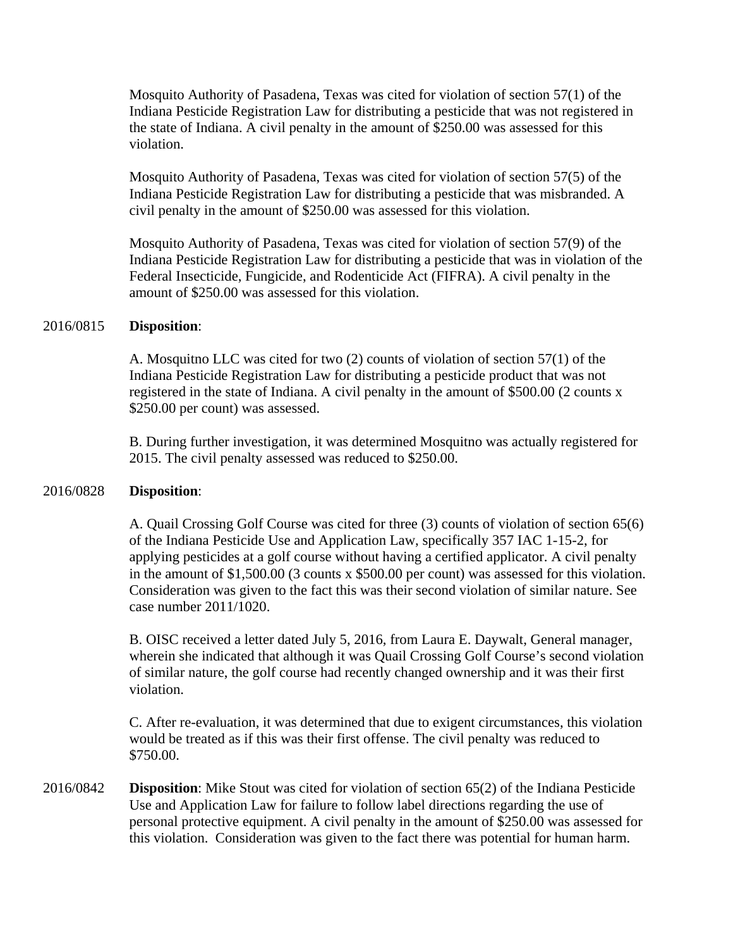Mosquito Authority of Pasadena, Texas was cited for violation of section 57(1) of the Indiana Pesticide Registration Law for distributing a pesticide that was not registered in the state of Indiana. A civil penalty in the amount of \$250.00 was assessed for this violation.

Mosquito Authority of Pasadena, Texas was cited for violation of section 57(5) of the Indiana Pesticide Registration Law for distributing a pesticide that was misbranded. A civil penalty in the amount of \$250.00 was assessed for this violation.

Mosquito Authority of Pasadena, Texas was cited for violation of section 57(9) of the Indiana Pesticide Registration Law for distributing a pesticide that was in violation of the Federal Insecticide, Fungicide, and Rodenticide Act (FIFRA). A civil penalty in the amount of \$250.00 was assessed for this violation.

#### 2016/0815 **Disposition**:

A. Mosquitno LLC was cited for two (2) counts of violation of section 57(1) of the Indiana Pesticide Registration Law for distributing a pesticide product that was not registered in the state of Indiana. A civil penalty in the amount of \$500.00 (2 counts x \$250.00 per count) was assessed.

B. During further investigation, it was determined Mosquitno was actually registered for 2015. The civil penalty assessed was reduced to \$250.00.

#### 2016/0828 **Disposition**:

A. Quail Crossing Golf Course was cited for three (3) counts of violation of section 65(6) of the Indiana Pesticide Use and Application Law, specifically 357 IAC 1-15-2, for applying pesticides at a golf course without having a certified applicator. A civil penalty in the amount of \$1,500.00 (3 counts x \$500.00 per count) was assessed for this violation. Consideration was given to the fact this was their second violation of similar nature. See case number 2011/1020.

B. OISC received a letter dated July 5, 2016, from Laura E. Daywalt, General manager, wherein she indicated that although it was Quail Crossing Golf Course's second violation of similar nature, the golf course had recently changed ownership and it was their first violation.

C. After re-evaluation, it was determined that due to exigent circumstances, this violation would be treated as if this was their first offense. The civil penalty was reduced to \$750.00.

2016/0842 **Disposition**: Mike Stout was cited for violation of section 65(2) of the Indiana Pesticide Use and Application Law for failure to follow label directions regarding the use of personal protective equipment. A civil penalty in the amount of \$250.00 was assessed for this violation. Consideration was given to the fact there was potential for human harm.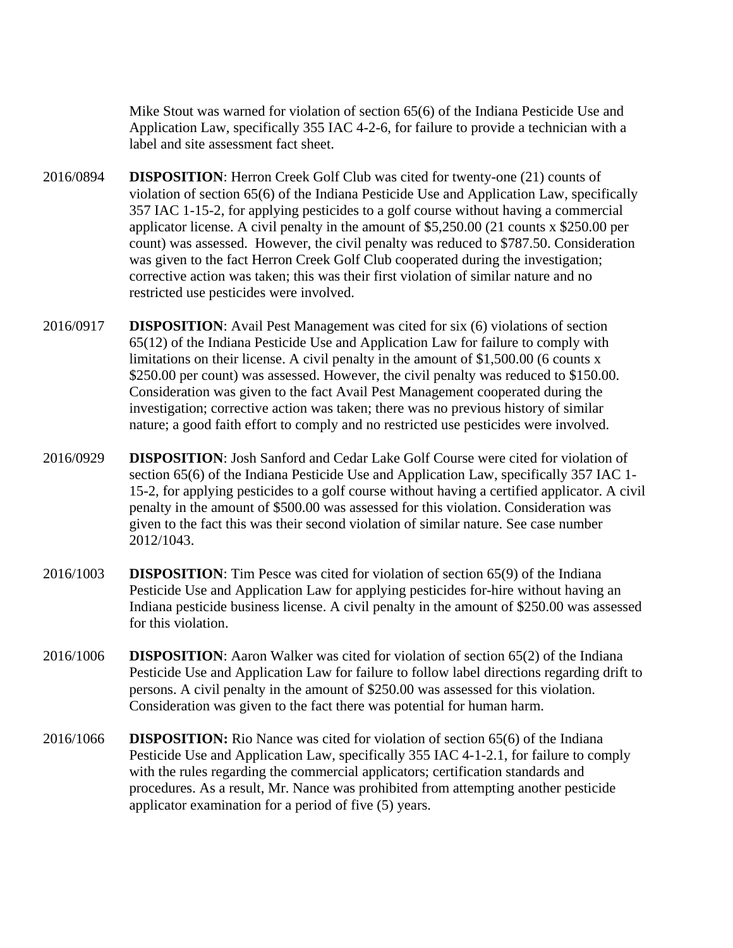Mike Stout was warned for violation of section 65(6) of the Indiana Pesticide Use and Application Law, specifically 355 IAC 4-2-6, for failure to provide a technician with a label and site assessment fact sheet.

- 2016/0894 **DISPOSITION**: Herron Creek Golf Club was cited for twenty-one (21) counts of violation of section 65(6) of the Indiana Pesticide Use and Application Law, specifically 357 IAC 1-15-2, for applying pesticides to a golf course without having a commercial applicator license. A civil penalty in the amount of \$5,250.00 (21 counts x \$250.00 per count) was assessed. However, the civil penalty was reduced to \$787.50. Consideration was given to the fact Herron Creek Golf Club cooperated during the investigation; corrective action was taken; this was their first violation of similar nature and no restricted use pesticides were involved.
- 2016/0917 **DISPOSITION**: Avail Pest Management was cited for six (6) violations of section 65(12) of the Indiana Pesticide Use and Application Law for failure to comply with limitations on their license. A civil penalty in the amount of \$1,500.00 (6 counts x \$250.00 per count) was assessed. However, the civil penalty was reduced to \$150.00. Consideration was given to the fact Avail Pest Management cooperated during the investigation; corrective action was taken; there was no previous history of similar nature; a good faith effort to comply and no restricted use pesticides were involved.
- 2016/0929 **DISPOSITION**: Josh Sanford and Cedar Lake Golf Course were cited for violation of section 65(6) of the Indiana Pesticide Use and Application Law, specifically 357 IAC 1- 15-2, for applying pesticides to a golf course without having a certified applicator. A civil penalty in the amount of \$500.00 was assessed for this violation. Consideration was given to the fact this was their second violation of similar nature. See case number 2012/1043.
- 2016/1003 **DISPOSITION**: Tim Pesce was cited for violation of section 65(9) of the Indiana Pesticide Use and Application Law for applying pesticides for-hire without having an Indiana pesticide business license. A civil penalty in the amount of \$250.00 was assessed for this violation.
- 2016/1006 **DISPOSITION**: Aaron Walker was cited for violation of section 65(2) of the Indiana Pesticide Use and Application Law for failure to follow label directions regarding drift to persons. A civil penalty in the amount of \$250.00 was assessed for this violation. Consideration was given to the fact there was potential for human harm.
- 2016/1066 **DISPOSITION:** Rio Nance was cited for violation of section 65(6) of the Indiana Pesticide Use and Application Law, specifically 355 IAC 4-1-2.1, for failure to comply with the rules regarding the commercial applicators; certification standards and procedures. As a result, Mr. Nance was prohibited from attempting another pesticide applicator examination for a period of five (5) years.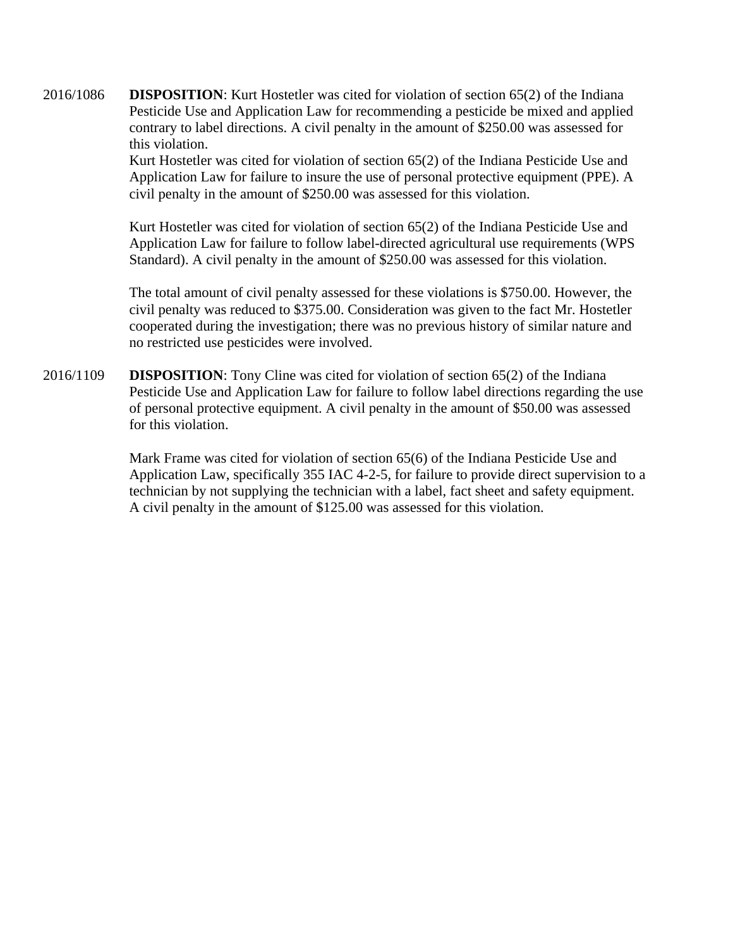2016/1086 **DISPOSITION**: Kurt Hostetler was cited for violation of section 65(2) of the Indiana Pesticide Use and Application Law for recommending a pesticide be mixed and applied contrary to label directions. A civil penalty in the amount of \$250.00 was assessed for this violation.

> Kurt Hostetler was cited for violation of section 65(2) of the Indiana Pesticide Use and Application Law for failure to insure the use of personal protective equipment (PPE). A civil penalty in the amount of \$250.00 was assessed for this violation.

> Kurt Hostetler was cited for violation of section 65(2) of the Indiana Pesticide Use and Application Law for failure to follow label-directed agricultural use requirements (WPS Standard). A civil penalty in the amount of \$250.00 was assessed for this violation.

> The total amount of civil penalty assessed for these violations is \$750.00. However, the civil penalty was reduced to \$375.00. Consideration was given to the fact Mr. Hostetler cooperated during the investigation; there was no previous history of similar nature and no restricted use pesticides were involved.

2016/1109 **DISPOSITION**: Tony Cline was cited for violation of section 65(2) of the Indiana Pesticide Use and Application Law for failure to follow label directions regarding the use of personal protective equipment. A civil penalty in the amount of \$50.00 was assessed for this violation.

> Mark Frame was cited for violation of section 65(6) of the Indiana Pesticide Use and Application Law, specifically 355 IAC 4-2-5, for failure to provide direct supervision to a technician by not supplying the technician with a label, fact sheet and safety equipment. A civil penalty in the amount of \$125.00 was assessed for this violation.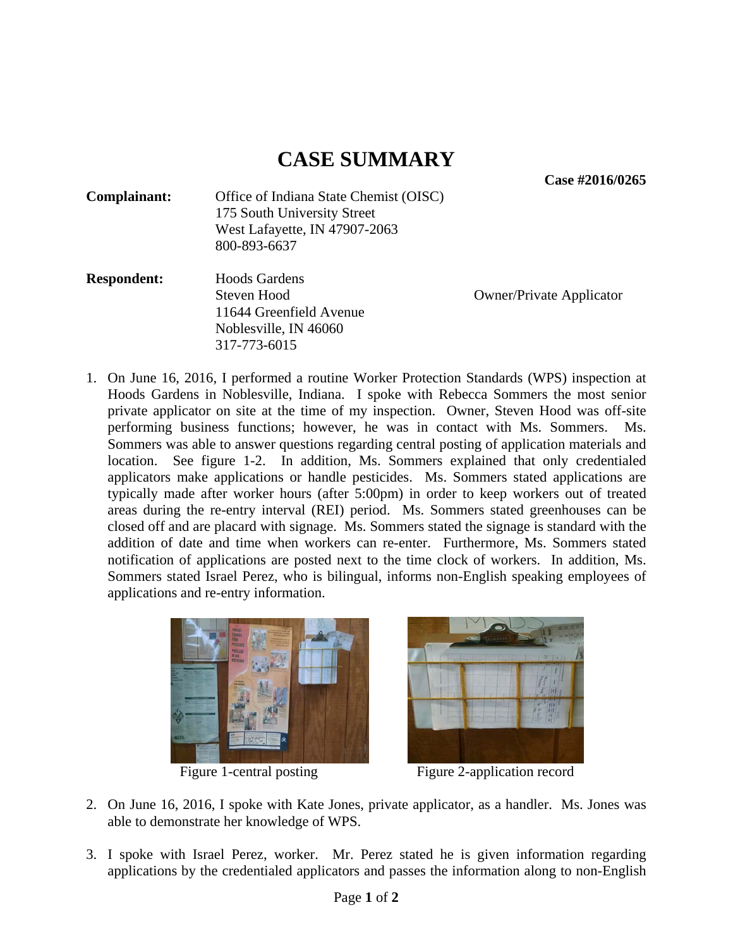**Case #2016/0265** 

| Complainant: | Office of Indiana State Chemist (OISC) |
|--------------|----------------------------------------|
|              | 175 South University Street            |
|              | West Lafayette, IN 47907-2063          |
|              | 800-893-6637                           |

**Respondent:** Hoods Gardens Steven Hood Owner/Private Applicator 11644 Greenfield Avenue Noblesville, IN 46060 317-773-6015

1. On June 16, 2016, I performed a routine Worker Protection Standards (WPS) inspection at Hoods Gardens in Noblesville, Indiana. I spoke with Rebecca Sommers the most senior private applicator on site at the time of my inspection. Owner, Steven Hood was off-site performing business functions; however, he was in contact with Ms. Sommers. Ms. Sommers was able to answer questions regarding central posting of application materials and location. See figure 1-2. In addition, Ms. Sommers explained that only credentialed applicators make applications or handle pesticides. Ms. Sommers stated applications are typically made after worker hours (after 5:00pm) in order to keep workers out of treated areas during the re-entry interval (REI) period. Ms. Sommers stated greenhouses can be closed off and are placard with signage. Ms. Sommers stated the signage is standard with the addition of date and time when workers can re-enter. Furthermore, Ms. Sommers stated notification of applications are posted next to the time clock of workers. In addition, Ms. Sommers stated Israel Perez, who is bilingual, informs non-English speaking employees of applications and re-entry information.





Figure 1-central posting Figure 2-application record

- 2. On June 16, 2016, I spoke with Kate Jones, private applicator, as a handler. Ms. Jones was able to demonstrate her knowledge of WPS.
- 3. I spoke with Israel Perez, worker. Mr. Perez stated he is given information regarding applications by the credentialed applicators and passes the information along to non-English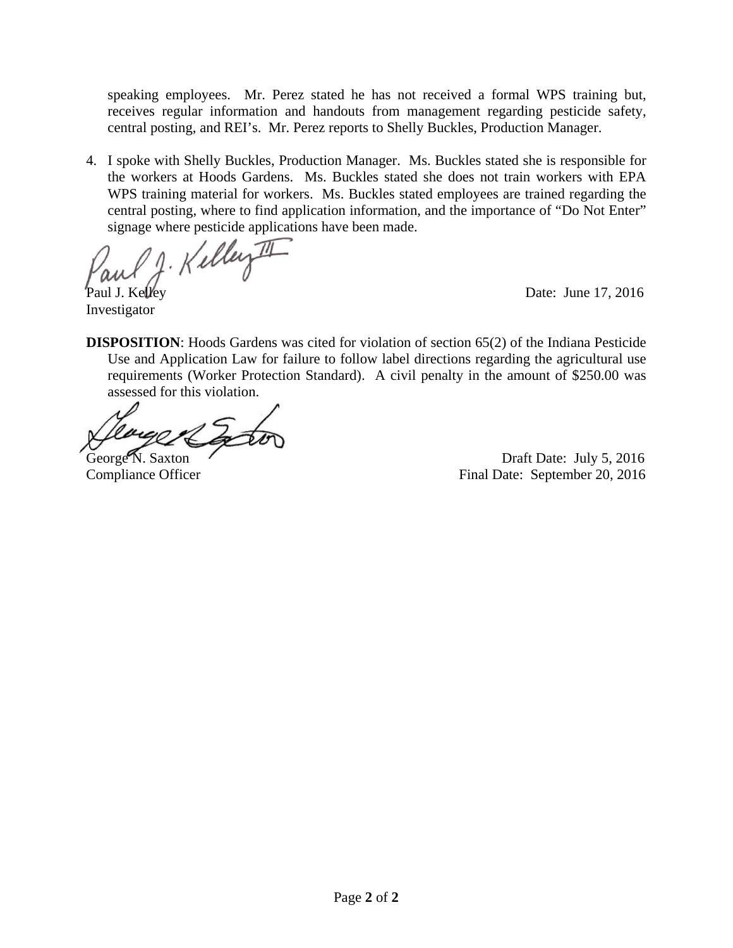speaking employees. Mr. Perez stated he has not received a formal WPS training but, receives regular information and handouts from management regarding pesticide safety, central posting, and REI's. Mr. Perez reports to Shelly Buckles, Production Manager.

4. I spoke with Shelly Buckles, Production Manager. Ms. Buckles stated she is responsible for the workers at Hoods Gardens. Ms. Buckles stated she does not train workers with EPA WPS training material for workers. Ms. Buckles stated employees are trained regarding the central posting, where to find application information, and the importance of "Do Not Enter" signage where pesticide applications have been made.

J. Kelley II I Paul J. Kelley Date: June 17, 2016

**DISPOSITION**: Hoods Gardens was cited for violation of section 65(2) of the Indiana Pesticide Use and Application Law for failure to follow label directions regarding the agricultural use requirements (Worker Protection Standard). A civil penalty in the amount of \$250.00 was assessed for this violation.

Investigator

George N. Saxton Casset Contract Contract Contract Contract Contract Contract Contract Contract Contract Contract Contract Contract Contract Contract Contract Contract Contract Contract Contract Contract Contract Contract Compliance Officer Final Date: September 20, 2016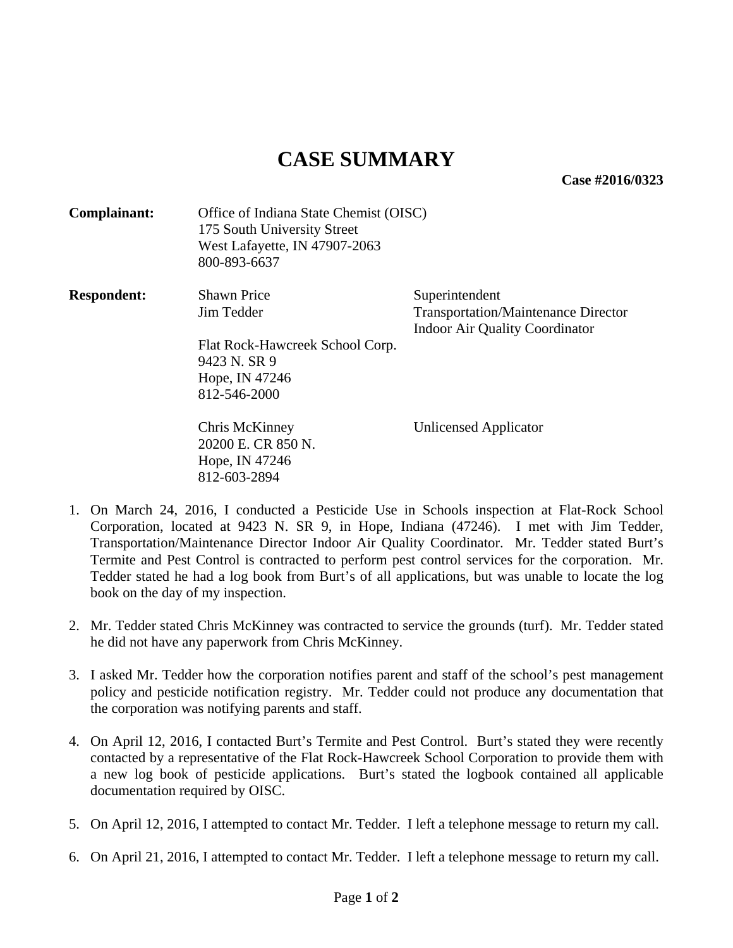**Case #2016/0323** 

| Complainant:       | Office of Indiana State Chemist (OISC)<br>175 South University Street<br>West Lafayette, IN 47907-2063<br>800-893-6637 |                                                                                                       |
|--------------------|------------------------------------------------------------------------------------------------------------------------|-------------------------------------------------------------------------------------------------------|
| <b>Respondent:</b> | <b>Shawn Price</b><br>Jim Tedder<br>Flat Rock-Hawcreek School Corp.<br>9423 N. SR 9<br>Hope, IN 47246<br>812-546-2000  | Superintendent<br><b>Transportation/Maintenance Director</b><br><b>Indoor Air Quality Coordinator</b> |
|                    | Chris McKinney<br>20200 E. CR 850 N.<br>Hope, IN 47246<br>812-603-2894                                                 | Unlicensed Applicator                                                                                 |

- 1. On March 24, 2016, I conducted a Pesticide Use in Schools inspection at Flat-Rock School Corporation, located at 9423 N. SR 9, in Hope, Indiana (47246). I met with Jim Tedder, Transportation/Maintenance Director Indoor Air Quality Coordinator. Mr. Tedder stated Burt's Termite and Pest Control is contracted to perform pest control services for the corporation. Mr. Tedder stated he had a log book from Burt's of all applications, but was unable to locate the log book on the day of my inspection.
- 2. Mr. Tedder stated Chris McKinney was contracted to service the grounds (turf). Mr. Tedder stated he did not have any paperwork from Chris McKinney.
- 3. I asked Mr. Tedder how the corporation notifies parent and staff of the school's pest management policy and pesticide notification registry. Mr. Tedder could not produce any documentation that the corporation was notifying parents and staff.
- 4. On April 12, 2016, I contacted Burt's Termite and Pest Control. Burt's stated they were recently contacted by a representative of the Flat Rock-Hawcreek School Corporation to provide them with a new log book of pesticide applications. Burt's stated the logbook contained all applicable documentation required by OISC.
- 5. On April 12, 2016, I attempted to contact Mr. Tedder. I left a telephone message to return my call.
- 6. On April 21, 2016, I attempted to contact Mr. Tedder. I left a telephone message to return my call.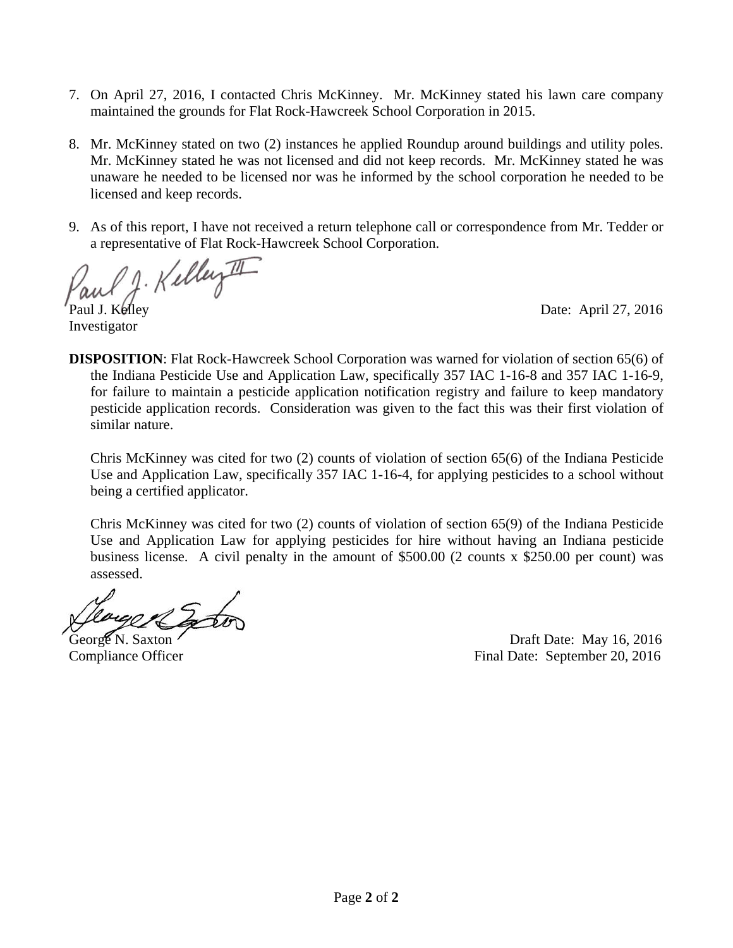- 7. On April 27, 2016, I contacted Chris McKinney. Mr. McKinney stated his lawn care company maintained the grounds for Flat Rock-Hawcreek School Corporation in 2015.
- 8. Mr. McKinney stated on two (2) instances he applied Roundup around buildings and utility poles. Mr. McKinney stated he was not licensed and did not keep records. Mr. McKinney stated he was unaware he needed to be licensed nor was he informed by the school corporation he needed to be licensed and keep records.
- 9. As of this report, I have not received a return telephone call or correspondence from Mr. Tedder or a representative of Flat Rock-Hawcreek School Corporation.

J. Kelley II

Investigator

Paul J. Kelley Date: April 27, 2016

**DISPOSITION**: Flat Rock-Hawcreek School Corporation was warned for violation of section 65(6) of the Indiana Pesticide Use and Application Law, specifically 357 IAC 1-16-8 and 357 IAC 1-16-9, for failure to maintain a pesticide application notification registry and failure to keep mandatory pesticide application records. Consideration was given to the fact this was their first violation of similar nature.

Chris McKinney was cited for two (2) counts of violation of section 65(6) of the Indiana Pesticide Use and Application Law, specifically 357 IAC 1-16-4, for applying pesticides to a school without being a certified applicator.

Chris McKinney was cited for two (2) counts of violation of section 65(9) of the Indiana Pesticide Use and Application Law for applying pesticides for hire without having an Indiana pesticide business license. A civil penalty in the amount of \$500.00 (2 counts x \$250.00 per count) was assessed.

George N. Saxton Contract Number of the Draft Date: May 16, 2016 Compliance Officer Final Date: September 20, 2016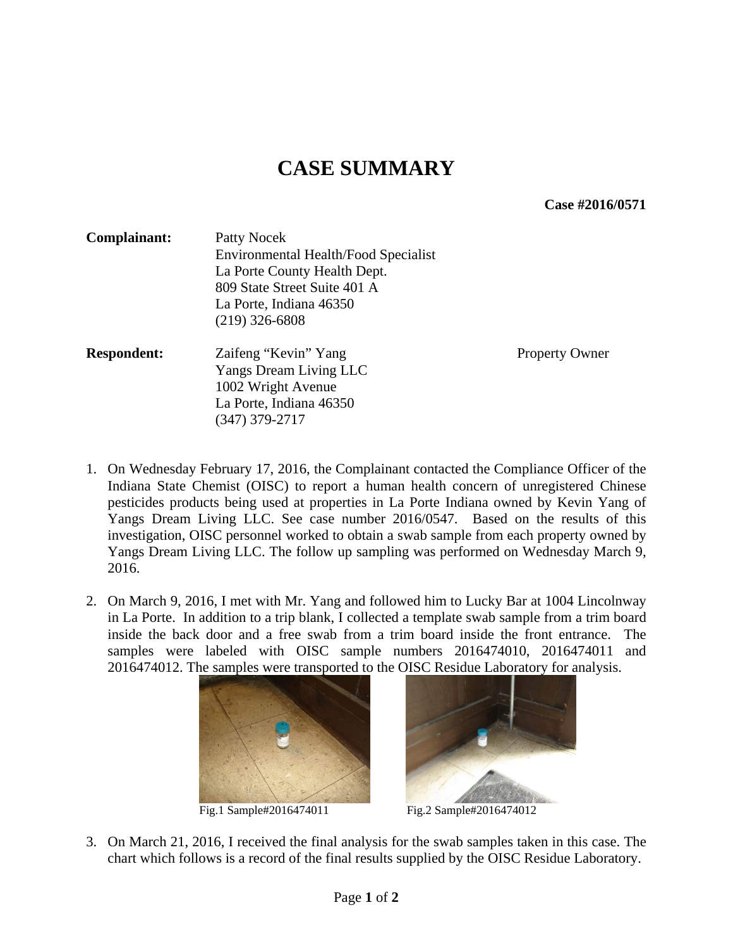**Case #2016/0571** 

| Complainant:       | Patty Nocek                                                                                          |                       |  |
|--------------------|------------------------------------------------------------------------------------------------------|-----------------------|--|
|                    | Environmental Health/Food Specialist<br>La Porte County Health Dept.<br>809 State Street Suite 401 A |                       |  |
|                    |                                                                                                      |                       |  |
|                    |                                                                                                      |                       |  |
|                    | La Porte, Indiana 46350                                                                              |                       |  |
|                    | $(219)$ 326-6808                                                                                     |                       |  |
| <b>Respondent:</b> | Zaifeng "Kevin" Yang                                                                                 | <b>Property Owner</b> |  |
|                    | Yangs Dream Living LLC                                                                               |                       |  |
|                    | 1002 Wright Avenue                                                                                   |                       |  |
|                    | La Porte, Indiana 46350                                                                              |                       |  |
|                    | (347) 379-2717                                                                                       |                       |  |

- 1. On Wednesday February 17, 2016, the Complainant contacted the Compliance Officer of the Indiana State Chemist (OISC) to report a human health concern of unregistered Chinese pesticides products being used at properties in La Porte Indiana owned by Kevin Yang of Yangs Dream Living LLC. See case number 2016/0547. Based on the results of this investigation, OISC personnel worked to obtain a swab sample from each property owned by Yangs Dream Living LLC. The follow up sampling was performed on Wednesday March 9, 2016.
- 2. On March 9, 2016, I met with Mr. Yang and followed him to Lucky Bar at 1004 Lincolnway in La Porte. In addition to a trip blank, I collected a template swab sample from a trim board inside the back door and a free swab from a trim board inside the front entrance. The samples were labeled with OISC sample numbers 2016474010, 2016474011 and 2016474012. The samples were transported to the OISC Residue Laboratory for analysis.





Fig.1 Sample#2016474011 Fig.2 Sample#2016474012

3. On March 21, 2016, I received the final analysis for the swab samples taken in this case. The chart which follows is a record of the final results supplied by the OISC Residue Laboratory.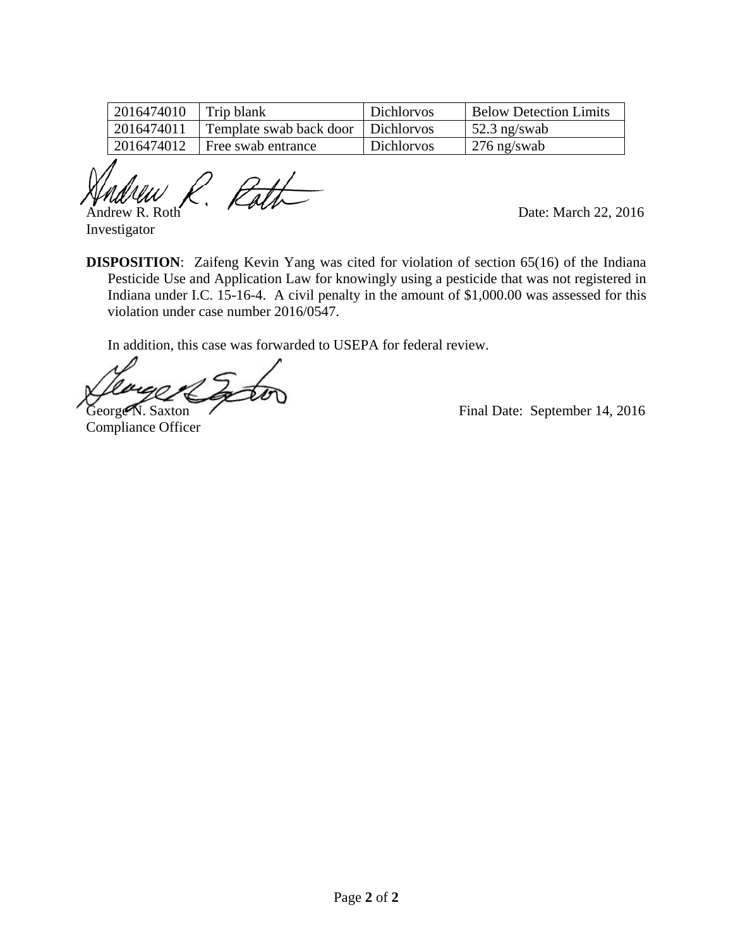| 2016474010 | Trip blank                           | <b>Dichlorvos</b> | <b>Below Detection Limits</b> |
|------------|--------------------------------------|-------------------|-------------------------------|
| 2016474011 | Template swab back door   Dichlorvos |                   | $52.3$ ng/swab                |
| 2016474012 | Free swab entrance                   | <b>Dichlorvos</b> | $276$ ng/swab                 |

ľ  $\mathcal{A}$ Marc $\mathcal{U}$   $\mathcal{U}$   $\mathcal{V}$ .  $\mathcal{E}$ alt $\mathcal{U}$  Date: March 22, 2016

Investigator

**DISPOSITION**: Zaifeng Kevin Yang was cited for violation of section 65(16) of the Indiana Pesticide Use and Application Law for knowingly using a pesticide that was not registered in Indiana under I.C. 15-16-4. A civil penalty in the amount of \$1,000.00 was assessed for this violation under case number 2016/0547.

In addition, this case was forwarded to USEPA for federal review.

Compliance Officer

George N. Saxton Final Date: September 14, 2016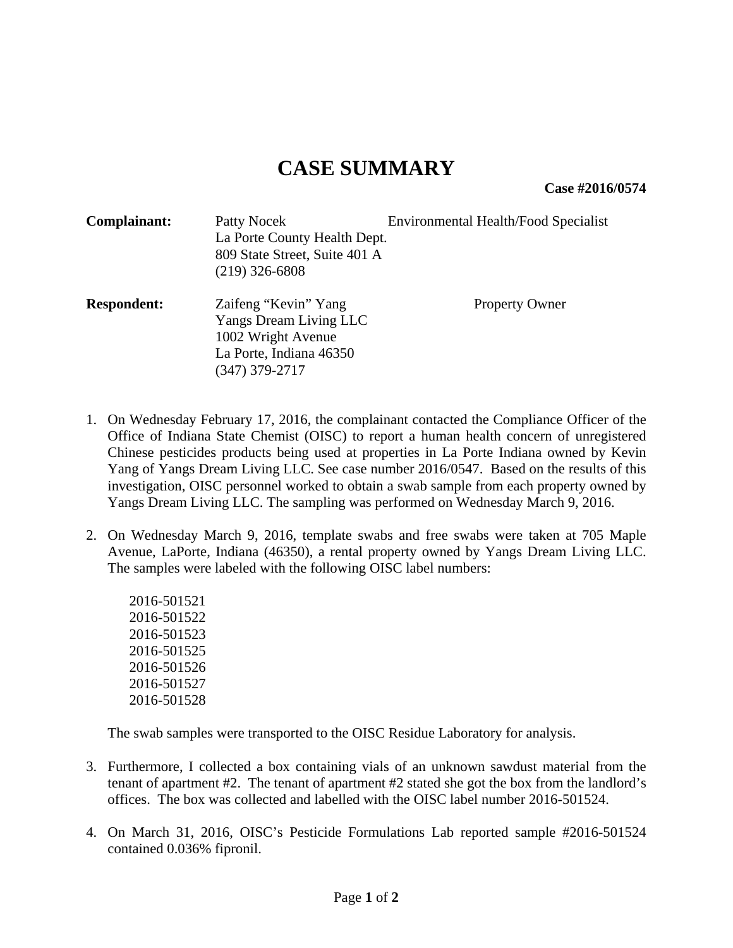**Case #2016/0574** 

| Complainant:       | Patty Nocek<br>La Porte County Health Dept.<br>809 State Street, Suite 401 A<br>$(219)$ 326-6808                  | <b>Environmental Health/Food Specialist</b> |
|--------------------|-------------------------------------------------------------------------------------------------------------------|---------------------------------------------|
| <b>Respondent:</b> | Zaifeng "Kevin" Yang<br>Yangs Dream Living LLC<br>1002 Wright Avenue<br>La Porte, Indiana 46350<br>(347) 379-2717 | <b>Property Owner</b>                       |

- 1. On Wednesday February 17, 2016, the complainant contacted the Compliance Officer of the Office of Indiana State Chemist (OISC) to report a human health concern of unregistered Chinese pesticides products being used at properties in La Porte Indiana owned by Kevin Yang of Yangs Dream Living LLC. See case number 2016/0547. Based on the results of this investigation, OISC personnel worked to obtain a swab sample from each property owned by Yangs Dream Living LLC. The sampling was performed on Wednesday March 9, 2016.
- 2. On Wednesday March 9, 2016, template swabs and free swabs were taken at 705 Maple Avenue, LaPorte, Indiana (46350), a rental property owned by Yangs Dream Living LLC. The samples were labeled with the following OISC label numbers:

2016-501521 2016-501522 2016-501523 2016-501525 2016-501526 2016-501527 2016-501528

The swab samples were transported to the OISC Residue Laboratory for analysis.

- 3. Furthermore, I collected a box containing vials of an unknown sawdust material from the tenant of apartment #2. The tenant of apartment #2 stated she got the box from the landlord's offices. The box was collected and labelled with the OISC label number 2016-501524.
- 4. On March 31, 2016, OISC's Pesticide Formulations Lab reported sample #2016-501524 contained 0.036% fipronil.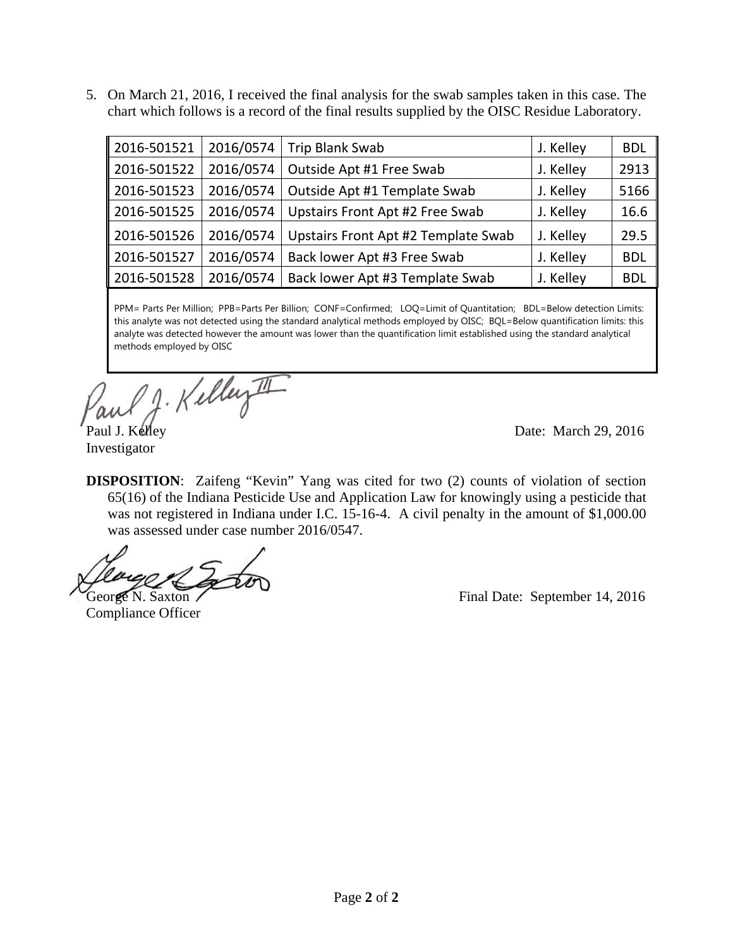5. On March 21, 2016, I received the final analysis for the swab samples taken in this case. The chart which follows is a record of the final results supplied by the OISC Residue Laboratory.

| 2016-501521 | 2016/0574 | Trip Blank Swab                     | J. Kelley | <b>BDL</b> |
|-------------|-----------|-------------------------------------|-----------|------------|
| 2016-501522 | 2016/0574 | Outside Apt #1 Free Swab            | J. Kelley | 2913       |
| 2016-501523 | 2016/0574 | Outside Apt #1 Template Swab        | J. Kelley | 5166       |
| 2016-501525 | 2016/0574 | Upstairs Front Apt #2 Free Swab     | J. Kelley | 16.6       |
| 2016-501526 | 2016/0574 | Upstairs Front Apt #2 Template Swab | J. Kelley | 29.5       |
| 2016-501527 | 2016/0574 | Back lower Apt #3 Free Swab         | J. Kelley | <b>BDL</b> |
| 2016-501528 | 2016/0574 | Back lower Apt #3 Template Swab     | J. Kelley | <b>BDL</b> |

PPM= Parts Per Million; PPB=Parts Per Billion; CONF=Confirmed; LOQ=Limit of Quantitation; BDL=Below detection Limits: this analyte was not detected using the standard analytical methods employed by OISC; BQL=Below quantification limits: this analyte was detected however the amount was lower than the quantification limit established using the standard analytical methods employed by OISC

J. Kelley II

Paul J. Kelley Date: March 29, 2016

Investigator

**DISPOSITION**: Zaifeng "Kevin" Yang was cited for two (2) counts of violation of section 65(16) of the Indiana Pesticide Use and Application Law for knowingly using a pesticide that was not registered in Indiana under I.C. 15-16-4. A civil penalty in the amount of \$1,000.00 was assessed under case number 2016/0547.

Compliance Officer

George N. Saxton / Final Date: September 14, 2016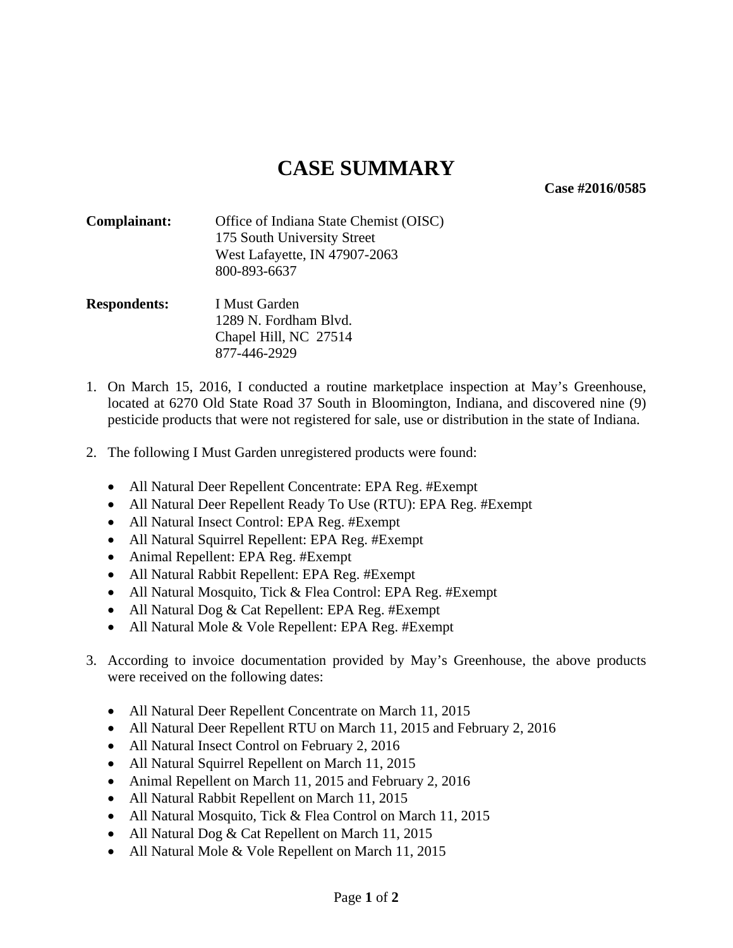**Case #2016/0585** 

- **Complainant:** Office of Indiana State Chemist (OISC) 175 South University Street West Lafayette, IN 47907-2063 800-893-6637
- **Respondents:** I Must Garden 1289 N. Fordham Blvd. Chapel Hill, NC 27514 877-446-2929
- 1. On March 15, 2016, I conducted a routine marketplace inspection at May's Greenhouse, located at 6270 Old State Road 37 South in Bloomington, Indiana, and discovered nine (9) pesticide products that were not registered for sale, use or distribution in the state of Indiana.
- 2. The following I Must Garden unregistered products were found:
	- All Natural Deer Repellent Concentrate: EPA Reg. #Exempt
	- All Natural Deer Repellent Ready To Use (RTU): EPA Reg. #Exempt
	- All Natural Insect Control: EPA Reg. #Exempt
	- All Natural Squirrel Repellent: EPA Reg. #Exempt
	- Animal Repellent: EPA Reg. #Exempt
	- All Natural Rabbit Repellent: EPA Reg. #Exempt
	- All Natural Mosquito, Tick & Flea Control: EPA Reg. #Exempt
	- All Natural Dog & Cat Repellent: EPA Reg. #Exempt
	- All Natural Mole & Vole Repellent: EPA Reg. #Exempt
- 3. According to invoice documentation provided by May's Greenhouse, the above products were received on the following dates:
	- All Natural Deer Repellent Concentrate on March 11, 2015
	- All Natural Deer Repellent RTU on March 11, 2015 and February 2, 2016
	- All Natural Insect Control on February 2, 2016
	- All Natural Squirrel Repellent on March 11, 2015
	- Animal Repellent on March 11, 2015 and February 2, 2016
	- All Natural Rabbit Repellent on March 11, 2015
	- All Natural Mosquito, Tick & Flea Control on March 11, 2015
	- All Natural Dog & Cat Repellent on March 11, 2015
	- All Natural Mole & Vole Repellent on March 11, 2015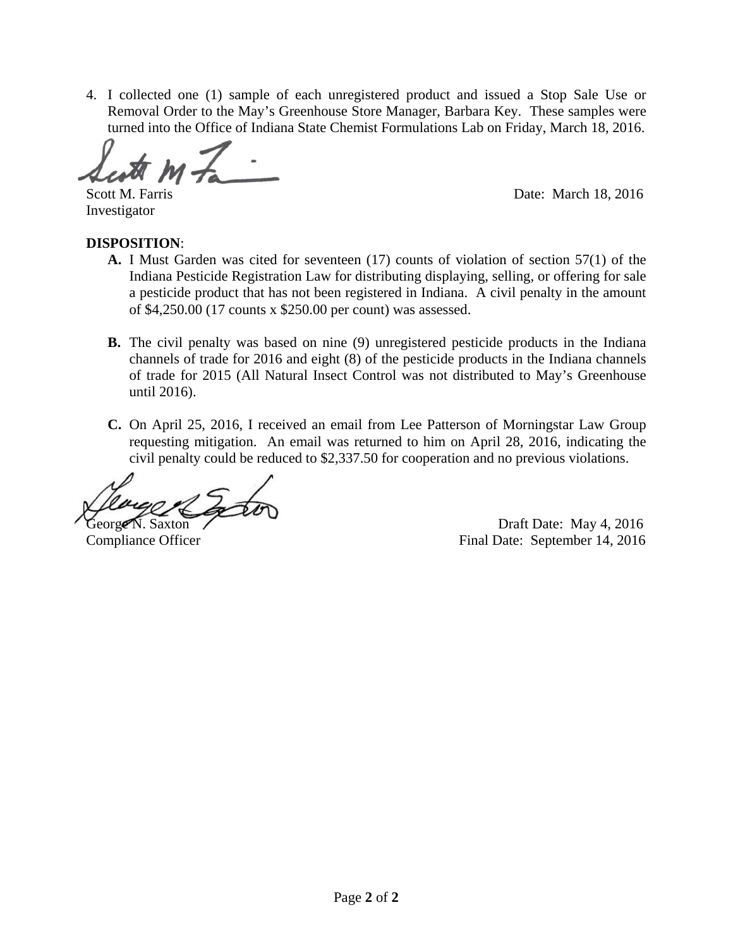4. I collected one (1) sample of each unregistered product and issued a Stop Sale Use or Removal Order to the May's Greenhouse Store Manager, Barbara Key. These samples were turned into the Office of Indiana State Chemist Formulations Lab on Friday, March 18, 2016.

ŕ

Scott M. Farris Date: March 18, 2016

Investigator

#### **DISPOSITION**:

- **A.** I Must Garden was cited for seventeen (17) counts of violation of section 57(1) of the Indiana Pesticide Registration Law for distributing displaying, selling, or offering for sale a pesticide product that has not been registered in Indiana. A civil penalty in the amount of \$4,250.00 (17 counts x \$250.00 per count) was assessed.
- **B.** The civil penalty was based on nine (9) unregistered pesticide products in the Indiana channels of trade for 2016 and eight (8) of the pesticide products in the Indiana channels of trade for 2015 (All Natural Insect Control was not distributed to May's Greenhouse until 2016).
- **C.** On April 25, 2016, I received an email from Lee Patterson of Morningstar Law Group requesting mitigation. An email was returned to him on April 28, 2016, indicating the civil penalty could be reduced to \$2,337.50 for cooperation and no previous violations.

George N. Saxton Contract Contract Contract Draft Date: May 4, 2016 Compliance Officer Final Date: September 14, 2016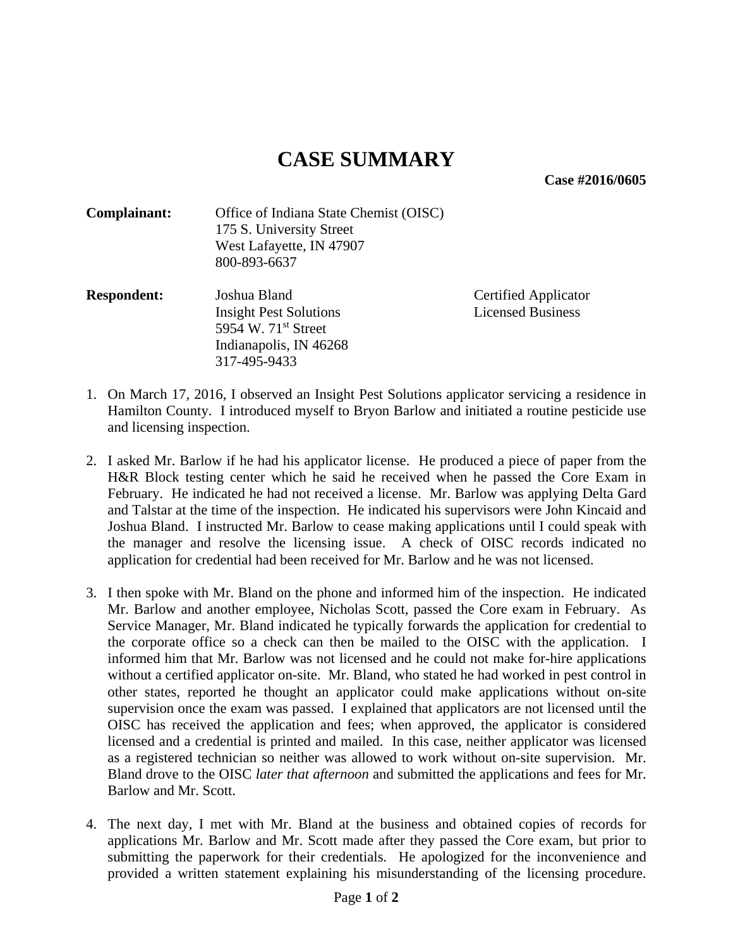**Case #2016/0605** 

| Complainant: | Office of Indiana State Chemist (OISC) |  |
|--------------|----------------------------------------|--|
|              | 175 S. University Street               |  |
|              | West Lafayette, IN 47907               |  |
|              | 800-893-6637                           |  |

**Respondent:** Joshua Bland Certified Applicator Insight Pest Solutions Licensed Business 5954 W. 71<sup>st</sup> Street Indianapolis, IN 46268 317-495-9433

- 1. On March 17, 2016, I observed an Insight Pest Solutions applicator servicing a residence in Hamilton County. I introduced myself to Bryon Barlow and initiated a routine pesticide use and licensing inspection.
- 2. I asked Mr. Barlow if he had his applicator license. He produced a piece of paper from the H&R Block testing center which he said he received when he passed the Core Exam in February. He indicated he had not received a license. Mr. Barlow was applying Delta Gard and Talstar at the time of the inspection. He indicated his supervisors were John Kincaid and Joshua Bland. I instructed Mr. Barlow to cease making applications until I could speak with the manager and resolve the licensing issue. A check of OISC records indicated no application for credential had been received for Mr. Barlow and he was not licensed.
- 3. I then spoke with Mr. Bland on the phone and informed him of the inspection. He indicated Mr. Barlow and another employee, Nicholas Scott, passed the Core exam in February. As Service Manager, Mr. Bland indicated he typically forwards the application for credential to the corporate office so a check can then be mailed to the OISC with the application. I informed him that Mr. Barlow was not licensed and he could not make for-hire applications without a certified applicator on-site. Mr. Bland, who stated he had worked in pest control in other states, reported he thought an applicator could make applications without on-site supervision once the exam was passed. I explained that applicators are not licensed until the OISC has received the application and fees; when approved, the applicator is considered licensed and a credential is printed and mailed. In this case, neither applicator was licensed as a registered technician so neither was allowed to work without on-site supervision. Mr. Bland drove to the OISC *later that afternoon* and submitted the applications and fees for Mr. Barlow and Mr. Scott.
- 4. The next day, I met with Mr. Bland at the business and obtained copies of records for applications Mr. Barlow and Mr. Scott made after they passed the Core exam, but prior to submitting the paperwork for their credentials. He apologized for the inconvenience and provided a written statement explaining his misunderstanding of the licensing procedure.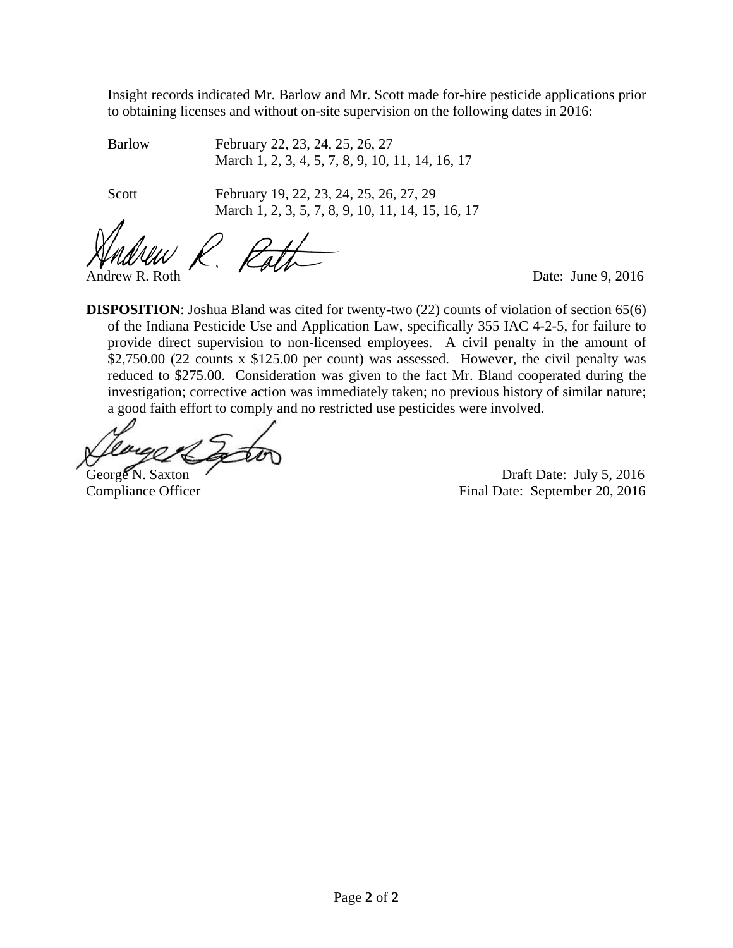Insight records indicated Mr. Barlow and Mr. Scott made for-hire pesticide applications prior to obtaining licenses and without on-site supervision on the following dates in 2016:

 Barlow February 22, 23, 24, 25, 26, 27 March 1, 2, 3, 4, 5, 7, 8, 9, 10, 11, 14, 16, 17

Scott February 19, 22, 23, 24, 25, 26, 27, 29 March 1, 2, 3, 5, 7, 8, 9, 10, 11, 14, 15, 16, 17

 $\beta_{\rm r} t_1$ Andrew R. Roth Date: June 9, 2016

**DISPOSITION**: Joshua Bland was cited for twenty-two (22) counts of violation of section 65(6) of the Indiana Pesticide Use and Application Law, specifically 355 IAC 4-2-5, for failure to provide direct supervision to non-licensed employees. A civil penalty in the amount of \$2,750.00 (22 counts x \$125.00 per count) was assessed. However, the civil penalty was reduced to \$275.00. Consideration was given to the fact Mr. Bland cooperated during the investigation; corrective action was immediately taken; no previous history of similar nature; a good faith effort to comply and no restricted use pesticides were involved.

George N. Saxton Contract Contract Contract Draft Date: July 5, 2016 Compliance Officer Final Date: September 20, 2016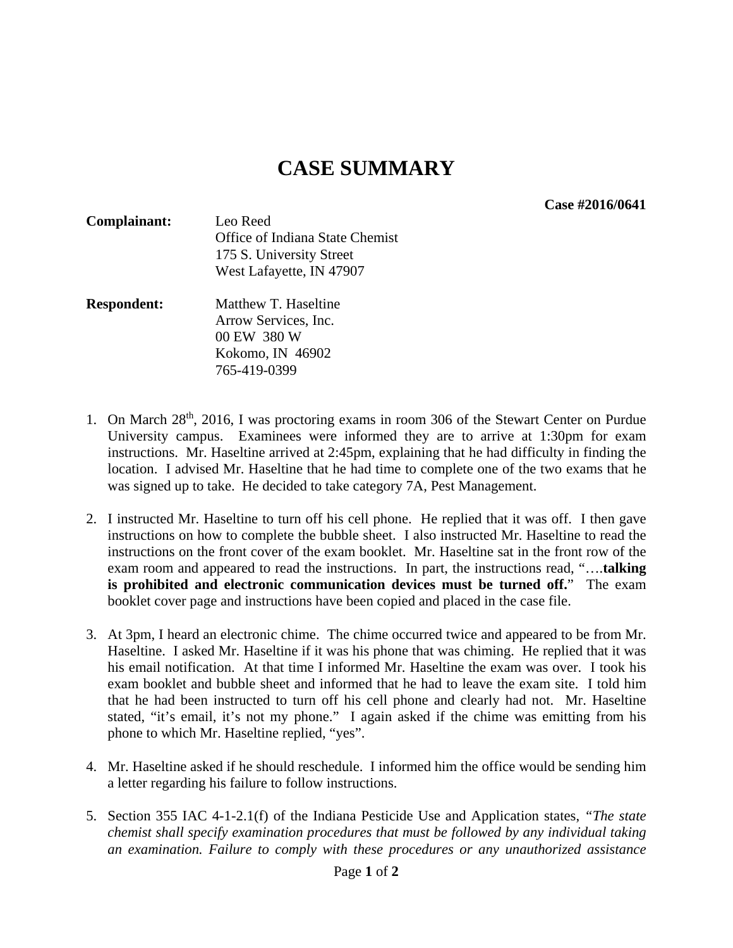**Case #2016/0641** 

- **Complainant:** Leo Reed Office of Indiana State Chemist 175 S. University Street West Lafayette, IN 47907
- **Respondent:** Matthew T. Haseltine Arrow Services, Inc. 00 EW 380 W Kokomo, IN 46902 765-419-0399
- 1. On March 28<sup>th</sup>, 2016, I was proctoring exams in room 306 of the Stewart Center on Purdue University campus. Examinees were informed they are to arrive at 1:30pm for exam instructions. Mr. Haseltine arrived at 2:45pm, explaining that he had difficulty in finding the location. I advised Mr. Haseltine that he had time to complete one of the two exams that he was signed up to take. He decided to take category 7A, Pest Management.
- 2. I instructed Mr. Haseltine to turn off his cell phone. He replied that it was off. I then gave instructions on how to complete the bubble sheet. I also instructed Mr. Haseltine to read the instructions on the front cover of the exam booklet. Mr. Haseltine sat in the front row of the exam room and appeared to read the instructions. In part, the instructions read, "….**talking is prohibited and electronic communication devices must be turned off.**" The exam booklet cover page and instructions have been copied and placed in the case file.
- 3. At 3pm, I heard an electronic chime. The chime occurred twice and appeared to be from Mr. Haseltine. I asked Mr. Haseltine if it was his phone that was chiming. He replied that it was his email notification. At that time I informed Mr. Haseltine the exam was over. I took his exam booklet and bubble sheet and informed that he had to leave the exam site. I told him that he had been instructed to turn off his cell phone and clearly had not. Mr. Haseltine stated, "it's email, it's not my phone." I again asked if the chime was emitting from his phone to which Mr. Haseltine replied, "yes".
- 4. Mr. Haseltine asked if he should reschedule. I informed him the office would be sending him a letter regarding his failure to follow instructions.
- 5. Section 355 IAC 4-1-2.1(f) of the Indiana Pesticide Use and Application states, *"The state chemist shall specify examination procedures that must be followed by any individual taking an examination. Failure to comply with these procedures or any unauthorized assistance*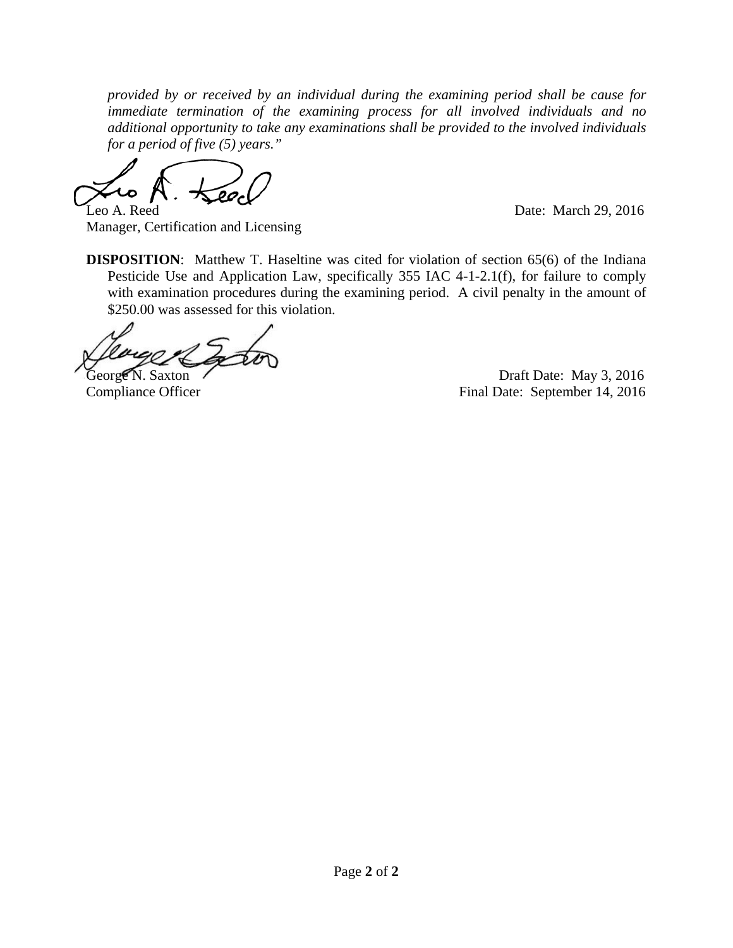*provided by or received by an individual during the examining period shall be cause for immediate termination of the examining process for all involved individuals and no additional opportunity to take any examinations shall be provided to the involved individuals for a period of five (5) years."* 

Leo A. Reed Date: March 29, 2016

Manager, Certification and Licensing

**DISPOSITION:** Matthew T. Haseltine was cited for violation of section 65(6) of the Indiana Pesticide Use and Application Law, specifically 355 IAC 4-1-2.1(f), for failure to comply with examination procedures during the examining period. A civil penalty in the amount of \$250.00 was assessed for this violation.

George N. Saxton (Christian Contract According Contract According Draft Date: May 3, 2016) Compliance Officer Final Date: September 14, 2016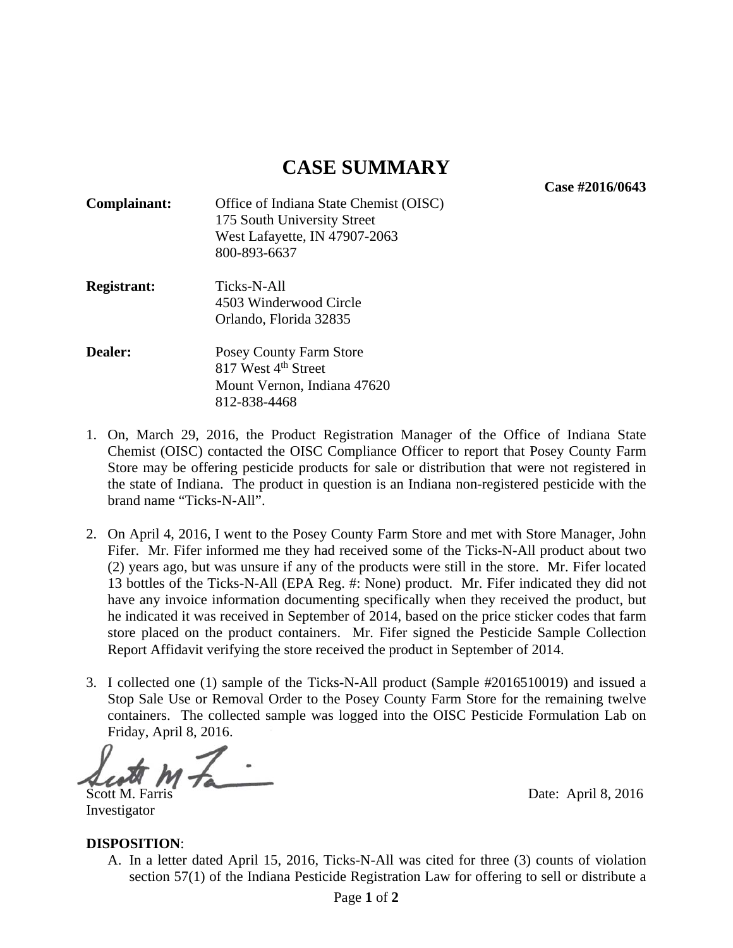**Case #2016/0643** 

- **Complainant:** Office of Indiana State Chemist (OISC) 175 South University Street West Lafayette, IN 47907-2063 800-893-6637
- **Registrant:** Ticks-N-All 4503 Winderwood Circle Orlando, Florida 32835
- **Dealer:** Posey County Farm Store 817 West 4<sup>th</sup> Street Mount Vernon, Indiana 47620 812-838-4468
- 1. On, March 29, 2016, the Product Registration Manager of the Office of Indiana State Chemist (OISC) contacted the OISC Compliance Officer to report that Posey County Farm Store may be offering pesticide products for sale or distribution that were not registered in the state of Indiana. The product in question is an Indiana non-registered pesticide with the brand name "Ticks-N-All".
- 2. On April 4, 2016, I went to the Posey County Farm Store and met with Store Manager, John Fifer. Mr. Fifer informed me they had received some of the Ticks-N-All product about two (2) years ago, but was unsure if any of the products were still in the store. Mr. Fifer located 13 bottles of the Ticks-N-All (EPA Reg. #: None) product. Mr. Fifer indicated they did not have any invoice information documenting specifically when they received the product, but he indicated it was received in September of 2014, based on the price sticker codes that farm store placed on the product containers. Mr. Fifer signed the Pesticide Sample Collection Report Affidavit verifying the store received the product in September of 2014.
- 3. I collected one (1) sample of the Ticks-N-All product (Sample #2016510019) and issued a Stop Sale Use or Removal Order to the Posey County Farm Store for the remaining twelve containers. The collected sample was logged into the OISC Pesticide Formulation Lab on Friday, April 8, 2016.

Scott M. Farris Date: April 8, 2016

Investigator

#### **DISPOSITION**:

A. In a letter dated April 15, 2016, Ticks-N-All was cited for three (3) counts of violation section 57(1) of the Indiana Pesticide Registration Law for offering to sell or distribute a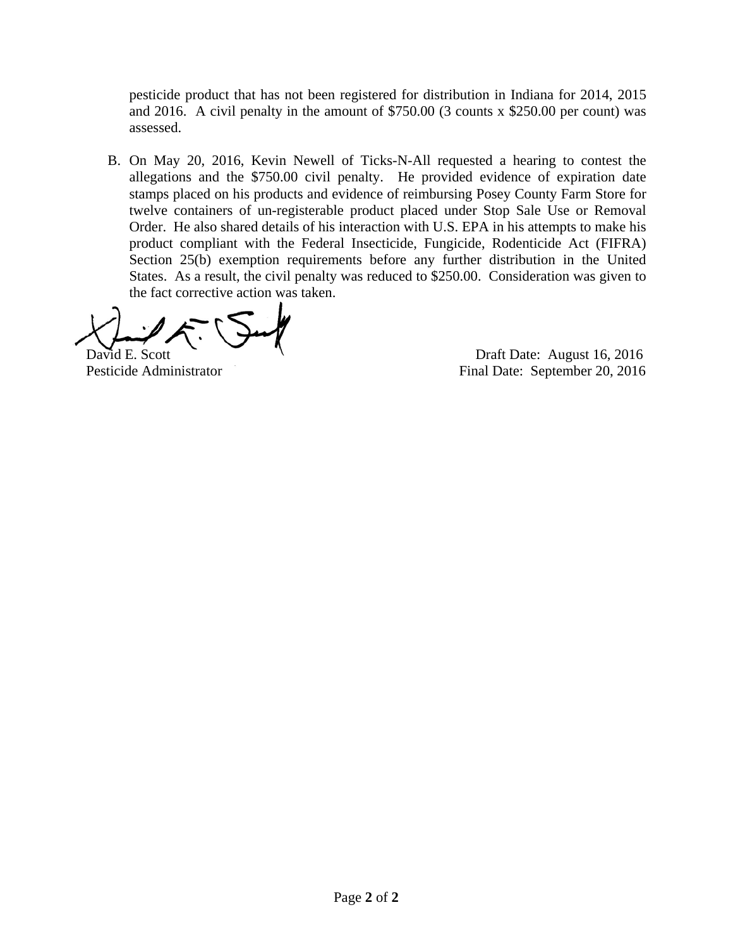pesticide product that has not been registered for distribution in Indiana for 2014, 2015 and 2016. A civil penalty in the amount of \$750.00 (3 counts x \$250.00 per count) was assessed.

B. On May 20, 2016, Kevin Newell of Ticks-N-All requested a hearing to contest the allegations and the \$750.00 civil penalty. He provided evidence of expiration date stamps placed on his products and evidence of reimbursing Posey County Farm Store for twelve containers of un-registerable product placed under Stop Sale Use or Removal Order. He also shared details of his interaction with U.S. EPA in his attempts to make his product compliant with the Federal Insecticide, Fungicide, Rodenticide Act (FIFRA) Section 25(b) exemption requirements before any further distribution in the United States. As a result, the civil penalty was reduced to \$250.00. Consideration was given to the fact corrective action was taken.

David E. Scott **Date:** August 16, 2016 Pesticide Administrator Final Date: September 20, 2016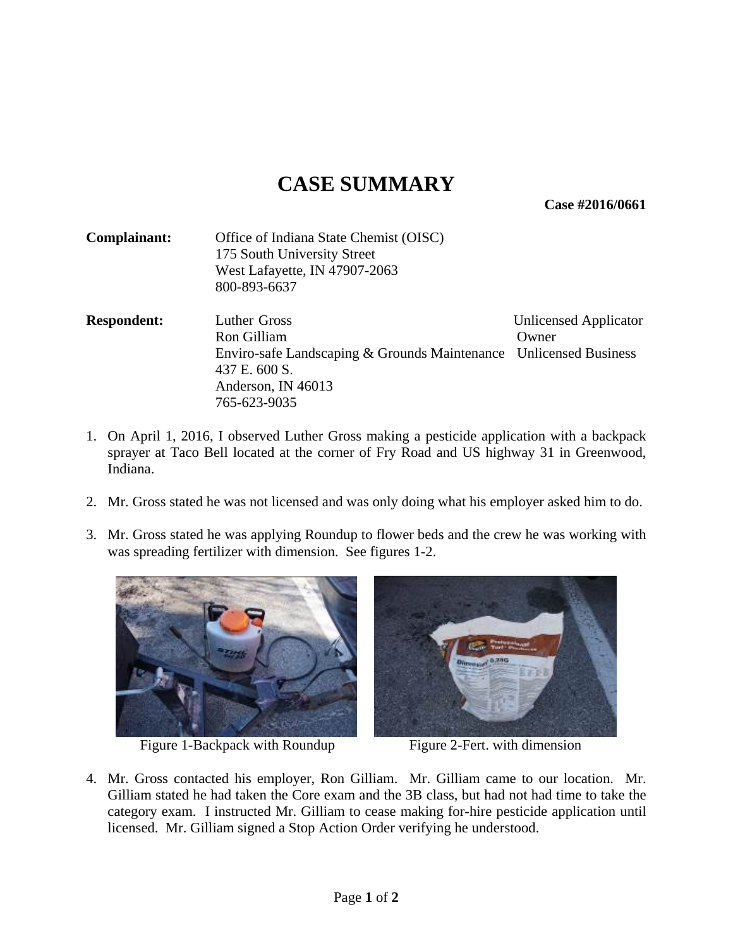**Case #2016/0661** 

| Complainant:       | Office of Indiana State Chemist (OISC)<br>175 South University Street |                       |
|--------------------|-----------------------------------------------------------------------|-----------------------|
|                    | West Lafayette, IN 47907-2063                                         |                       |
|                    | 800-893-6637                                                          |                       |
| <b>Respondent:</b> | Luther Gross                                                          | Unlicensed Applicator |
|                    | Ron Gilliam                                                           | Owner                 |
|                    | Enviro-safe Landscaping & Grounds Maintenance Unlicensed Business     |                       |
|                    | 437 E. 600 S.                                                         |                       |
|                    | Anderson, IN 46013                                                    |                       |
|                    | 765-623-9035                                                          |                       |

- 1. On April 1, 2016, I observed Luther Gross making a pesticide application with a backpack sprayer at Taco Bell located at the corner of Fry Road and US highway 31 in Greenwood, Indiana.
- 2. Mr. Gross stated he was not licensed and was only doing what his employer asked him to do.
- 3. Mr. Gross stated he was applying Roundup to flower beds and the crew he was working with was spreading fertilizer with dimension. See figures 1-2.



Figure 1-Backpack with Roundup Figure 2-Fert. with dimension



4. Mr. Gross contacted his employer, Ron Gilliam. Mr. Gilliam came to our location. Mr. Gilliam stated he had taken the Core exam and the 3B class, but had not had time to take the category exam. I instructed Mr. Gilliam to cease making for-hire pesticide application until licensed. Mr. Gilliam signed a Stop Action Order verifying he understood.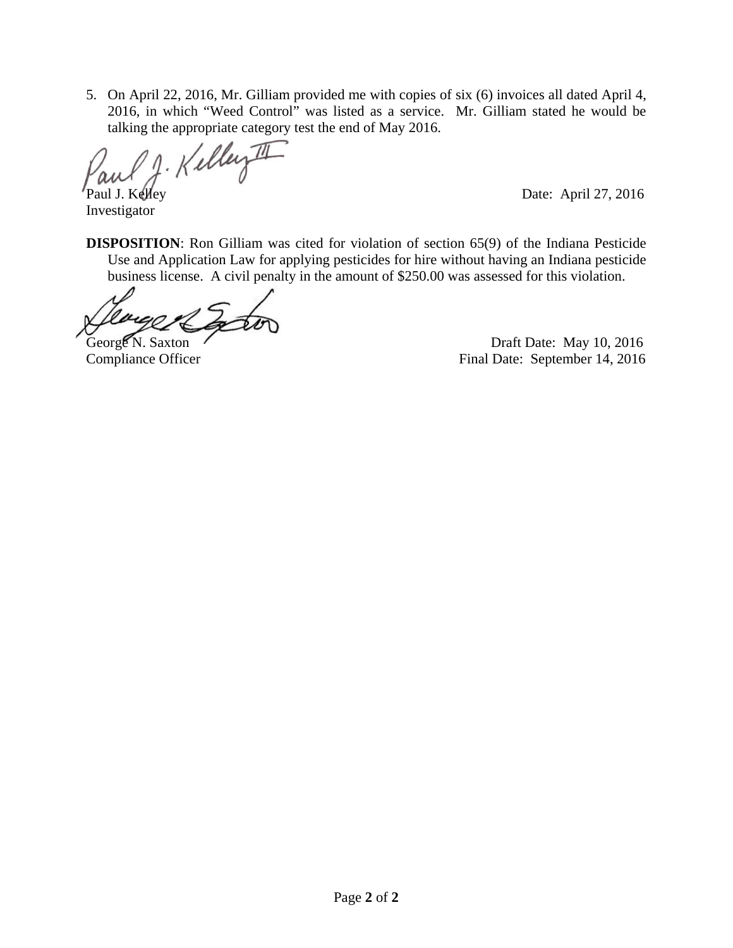5. On April 22, 2016, Mr. Gilliam provided me with copies of six (6) invoices all dated April 4, 2016, in which "Weed Control" was listed as a service. Mr. Gilliam stated he would be

talking the appropriate category test the end of May 2016.<br> $w \rightarrow A \cdot K \cdot L \cdot L \cdot L$ 

Investigator

Paul J. Kelley Date: April 27, 2016

**DISPOSITION**: Ron Gilliam was cited for violation of section 65(9) of the Indiana Pesticide Use and Application Law for applying pesticides for hire without having an Indiana pesticide business license. A civil penalty in the amount of \$250.00 was assessed for this violation.

George N. Saxton Casset N. Saxton Casset N. Saxton Casset N. Saxton Casset N. 2016 Compliance Officer Final Date: September 14, 2016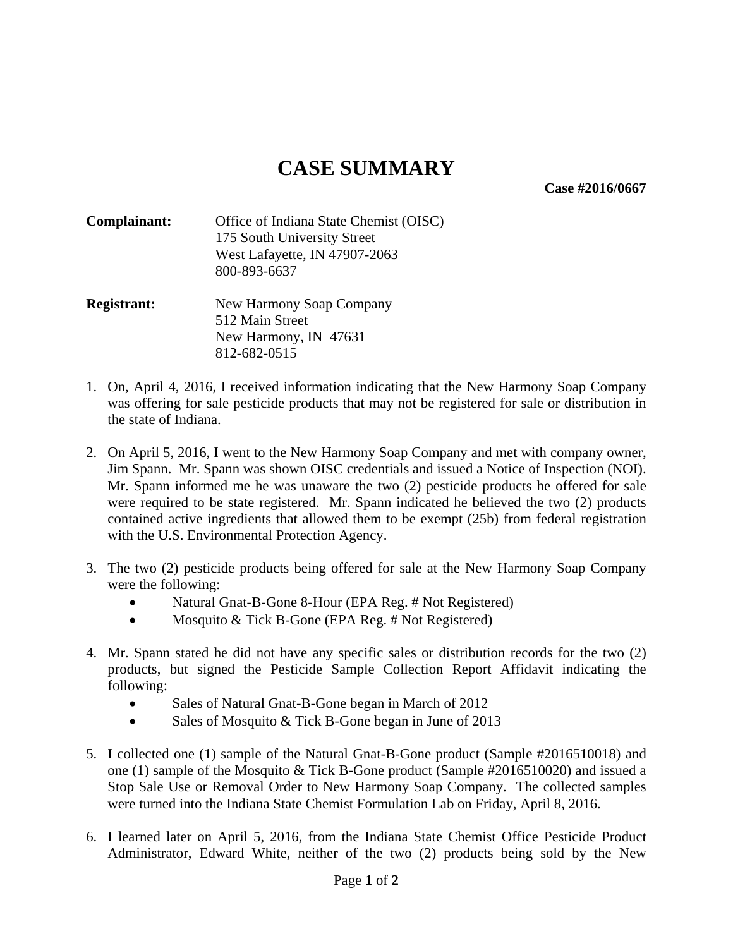**Case #2016/0667** 

| Complainant: | Office of Indiana State Chemist (OISC) |
|--------------|----------------------------------------|
|              | 175 South University Street            |
|              | West Lafayette, IN 47907-2063          |
|              | 800-893-6637                           |
|              |                                        |

#### **Registrant:** New Harmony Soap Company 512 Main Street New Harmony, IN 47631 812-682-0515

- 1. On, April 4, 2016, I received information indicating that the New Harmony Soap Company was offering for sale pesticide products that may not be registered for sale or distribution in the state of Indiana.
- 2. On April 5, 2016, I went to the New Harmony Soap Company and met with company owner, Jim Spann. Mr. Spann was shown OISC credentials and issued a Notice of Inspection (NOI). Mr. Spann informed me he was unaware the two (2) pesticide products he offered for sale were required to be state registered. Mr. Spann indicated he believed the two (2) products contained active ingredients that allowed them to be exempt (25b) from federal registration with the U.S. Environmental Protection Agency.
- 3. The two (2) pesticide products being offered for sale at the New Harmony Soap Company were the following:
	- Natural Gnat-B-Gone 8-Hour (EPA Reg. # Not Registered)
	- Mosquito & Tick B-Gone (EPA Reg. # Not Registered)
- 4. Mr. Spann stated he did not have any specific sales or distribution records for the two (2) products, but signed the Pesticide Sample Collection Report Affidavit indicating the following:
	- Sales of Natural Gnat-B-Gone began in March of 2012
	- Sales of Mosquito & Tick B-Gone began in June of 2013
- 5. I collected one (1) sample of the Natural Gnat-B-Gone product (Sample #2016510018) and one (1) sample of the Mosquito & Tick B-Gone product (Sample #2016510020) and issued a Stop Sale Use or Removal Order to New Harmony Soap Company. The collected samples were turned into the Indiana State Chemist Formulation Lab on Friday, April 8, 2016.
- 6. I learned later on April 5, 2016, from the Indiana State Chemist Office Pesticide Product Administrator, Edward White, neither of the two (2) products being sold by the New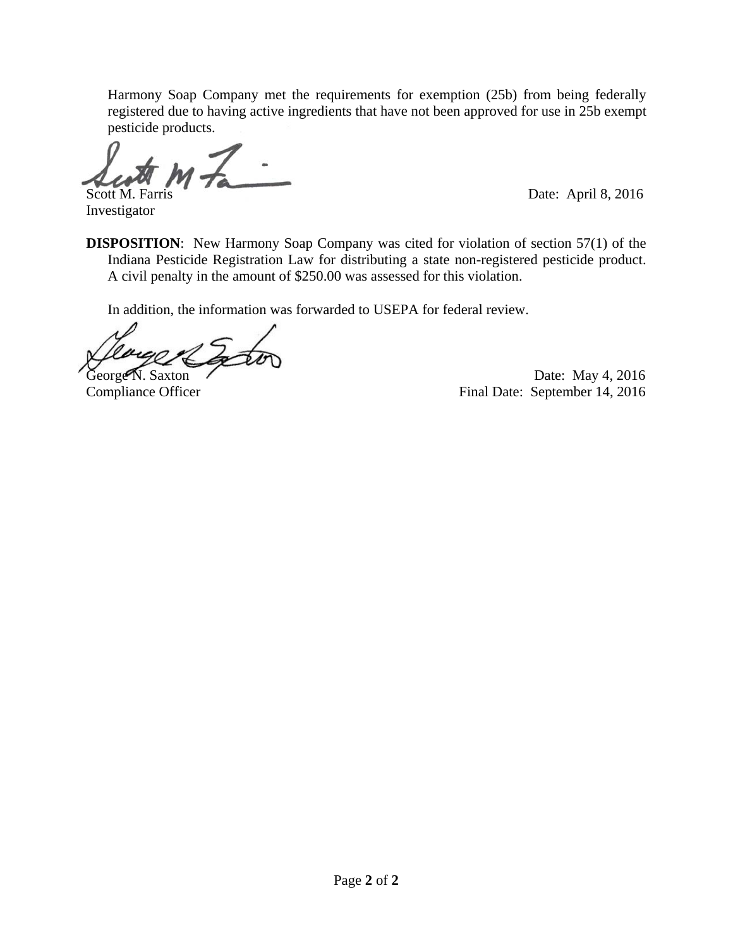Harmony Soap Company met the requirements for exemption (25b) from being federally registered due to having active ingredients that have not been approved for use in 25b exempt pesticide products.

j Scott M. Farris Date: April 8, 2016

Investigator

**DISPOSITION:** New Harmony Soap Company was cited for violation of section 57(1) of the Indiana Pesticide Registration Law for distributing a state non-registered pesticide product. A civil penalty in the amount of \$250.00 was assessed for this violation.

In addition, the information was forwarded to USEPA for federal review.

George N. Saxton Date: May 4, 2016<br>Compliance Officer Pinal Date: September 14, 2016 Final Date: September 14, 2016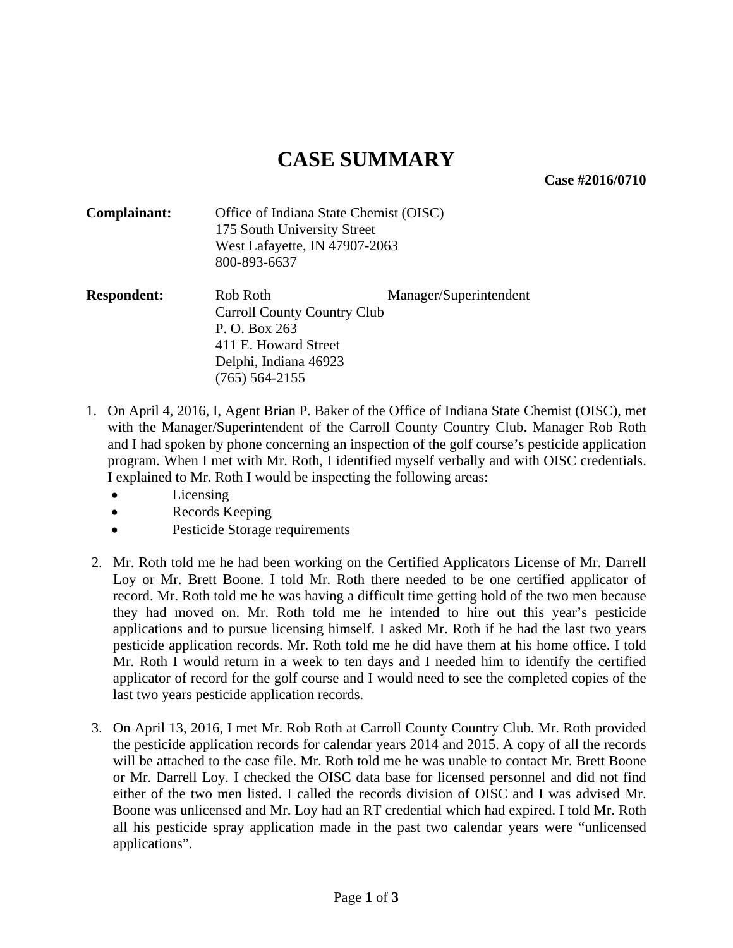**Case #2016/0710** 

- **Complainant:** Office of Indiana State Chemist (OISC) 175 South University Street West Lafayette, IN 47907-2063 800-893-6637
- **Respondent:** Rob Roth Manager/Superintendent **Carroll Country Club**  P. O. Box 263 411 E. Howard Street Delphi, Indiana 46923 (765) 564-2155
- 1. On April 4, 2016, I, Agent Brian P. Baker of the Office of Indiana State Chemist (OISC), met with the Manager/Superintendent of the Carroll County Country Club. Manager Rob Roth and I had spoken by phone concerning an inspection of the golf course's pesticide application program. When I met with Mr. Roth, I identified myself verbally and with OISC credentials. I explained to Mr. Roth I would be inspecting the following areas:
	- Licensing
	- Records Keeping
	- Pesticide Storage requirements
- 2. Mr. Roth told me he had been working on the Certified Applicators License of Mr. Darrell Loy or Mr. Brett Boone. I told Mr. Roth there needed to be one certified applicator of record. Mr. Roth told me he was having a difficult time getting hold of the two men because they had moved on. Mr. Roth told me he intended to hire out this year's pesticide applications and to pursue licensing himself. I asked Mr. Roth if he had the last two years pesticide application records. Mr. Roth told me he did have them at his home office. I told Mr. Roth I would return in a week to ten days and I needed him to identify the certified applicator of record for the golf course and I would need to see the completed copies of the last two years pesticide application records.
- 3. On April 13, 2016, I met Mr. Rob Roth at Carroll County Country Club. Mr. Roth provided the pesticide application records for calendar years 2014 and 2015. A copy of all the records will be attached to the case file. Mr. Roth told me he was unable to contact Mr. Brett Boone or Mr. Darrell Loy. I checked the OISC data base for licensed personnel and did not find either of the two men listed. I called the records division of OISC and I was advised Mr. Boone was unlicensed and Mr. Loy had an RT credential which had expired. I told Mr. Roth all his pesticide spray application made in the past two calendar years were "unlicensed applications".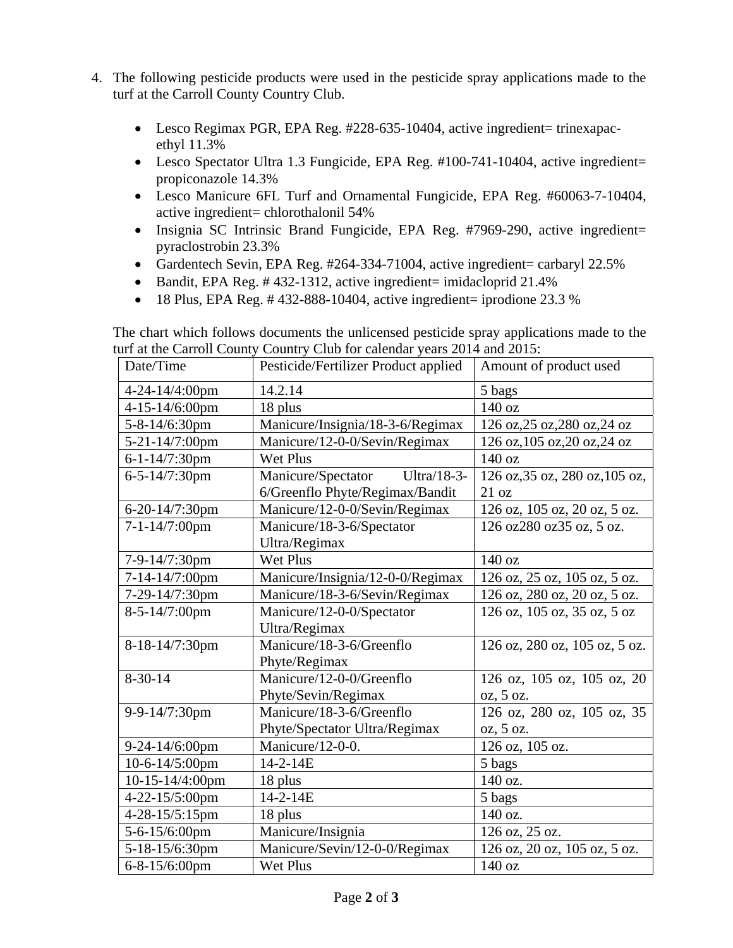- 4. The following pesticide products were used in the pesticide spray applications made to the turf at the Carroll County Country Club.
	- Lesco Regimax PGR, EPA Reg. #228-635-10404, active ingredient= trinexapacethyl 11.3%
	- Lesco Spectator Ultra 1.3 Fungicide, EPA Reg. #100-741-10404, active ingredient= propiconazole 14.3%
	- Lesco Manicure 6FL Turf and Ornamental Fungicide, EPA Reg. #60063-7-10404, active ingredient= chlorothalonil 54%
	- Insignia SC Intrinsic Brand Fungicide, EPA Reg. #7969-290, active ingredient= pyraclostrobin 23.3%
	- Gardentech Sevin, EPA Reg. #264-334-71004, active ingredient= carbaryl 22.5%
	- Bandit, EPA Reg. # 432-1312, active ingredient= imidacloprid 21.4%
	- $\bullet$  18 Plus, EPA Reg. #432-888-10404, active ingredient= iprodione 23.3 %

The chart which follows documents the unlicensed pesticide spray applications made to the turf at the Carroll County Country Club for calendar years 2014 and 2015:

| Date/Time            | Pesticide/Fertilizer Product applied | Amount of product used         |
|----------------------|--------------------------------------|--------------------------------|
| 4-24-14/4:00pm       | 14.2.14                              | 5 bags                         |
| 4-15-14/6:00pm       | 18 plus                              | 140 oz                         |
| 5-8-14/6:30pm        | Manicure/Insignia/18-3-6/Regimax     | 126 oz, 25 oz, 280 oz, 24 oz   |
| 5-21-14/7:00pm       | Manicure/12-0-0/Sevin/Regimax        | 126 oz, 105 oz, 20 oz, 24 oz   |
| 6-1-14/7:30pm        | <b>Wet Plus</b>                      | 140 oz                         |
| 6-5-14/7:30pm        | Manicure/Spectator Ultra/18-3-       | 126 oz, 35 oz, 280 oz, 105 oz, |
|                      | 6/Greenflo Phyte/Regimax/Bandit      | 21 oz                          |
| 6-20-14/7:30pm       | Manicure/12-0-0/Sevin/Regimax        | 126 oz, 105 oz, 20 oz, 5 oz.   |
| 7-1-14/7:00pm        | Manicure/18-3-6/Spectator            | 126 oz280 oz35 oz, 5 oz.       |
|                      | Ultra/Regimax                        |                                |
| 7-9-14/7:30pm        | Wet Plus                             | 140 oz                         |
| 7-14-14/7:00pm       | Manicure/Insignia/12-0-0/Regimax     | 126 oz, 25 oz, 105 oz, 5 oz.   |
| 7-29-14/7:30pm       | Manicure/18-3-6/Sevin/Regimax        | 126 oz, 280 oz, 20 oz, 5 oz.   |
| 8-5-14/7:00pm        | Manicure/12-0-0/Spectator            | 126 oz, 105 oz, 35 oz, 5 oz    |
|                      | Ultra/Regimax                        |                                |
| 8-18-14/7:30pm       | Manicure/18-3-6/Greenflo             | 126 oz, 280 oz, 105 oz, 5 oz.  |
|                      | Phyte/Regimax                        |                                |
| $8 - 30 - 14$        | Manicure/12-0-0/Greenflo             | 126 oz, 105 oz, 105 oz, 20     |
|                      | Phyte/Sevin/Regimax                  | $oz$ , 5 oz.                   |
| 9-9-14/7:30pm        | Manicure/18-3-6/Greenflo             | 126 oz, 280 oz, 105 oz, 35     |
|                      | Phyte/Spectator Ultra/Regimax        | oz, 5 oz.                      |
| 9-24-14/6:00pm       | Manicure/12-0-0.                     | 126 oz, 105 oz.                |
| 10-6-14/5:00pm       | $14 - 2 - 14E$                       | 5 bags                         |
| 10-15-14/4:00pm      | 18 plus                              | 140 oz.                        |
| 4-22-15/5:00pm       | 14-2-14E                             | 5 bags                         |
| 4-28-15/5:15pm       | 18 plus                              | 140 oz.                        |
| 5-6-15/6:00pm        | Manicure/Insignia                    | 126 oz, 25 oz.                 |
| 5-18-15/6:30pm       | Manicure/Sevin/12-0-0/Regimax        | 126 oz, 20 oz, 105 oz, 5 oz.   |
| $6 - 8 - 15/6:00$ pm | Wet Plus                             | 140 oz                         |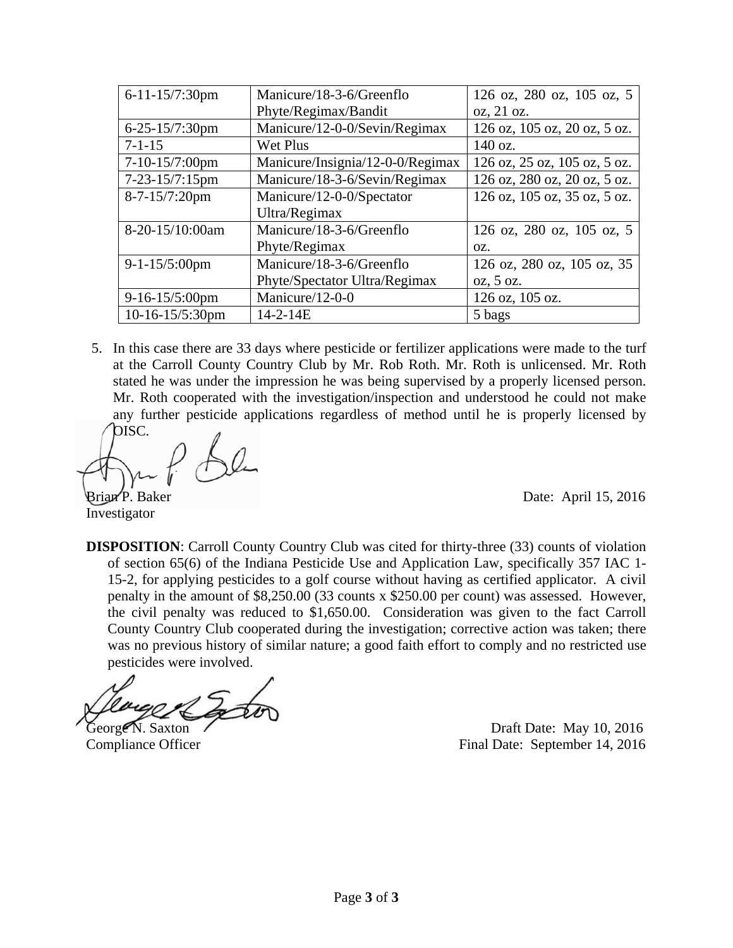| 6-11-15/7:30pm    | Manicure/18-3-6/Greenflo         | 126 oz, 280 oz, 105 oz, 5    |
|-------------------|----------------------------------|------------------------------|
|                   | Phyte/Regimax/Bandit             | oz, 21 oz.                   |
| 6-25-15/7:30pm    | Manicure/12-0-0/Sevin/Regimax    | 126 oz, 105 oz, 20 oz, 5 oz. |
| $7 - 1 - 15$      | Wet Plus                         | 140 oz.                      |
| 7-10-15/7:00pm    | Manicure/Insignia/12-0-0/Regimax | 126 oz, 25 oz, 105 oz, 5 oz. |
| 7-23-15/7:15pm    | Manicure/18-3-6/Sevin/Regimax    | 126 oz, 280 oz, 20 oz, 5 oz. |
| 8-7-15/7:20pm     | Manicure/12-0-0/Spectator        | 126 oz, 105 oz, 35 oz, 5 oz. |
|                   | Ultra/Regimax                    |                              |
| 8-20-15/10:00am   | Manicure/18-3-6/Greenflo         | 126 oz, 280 oz, 105 oz, 5    |
|                   | Phyte/Regimax                    | OZ.                          |
| $9-1-15/5:00$ pm  | Manicure/18-3-6/Greenflo         | 126 oz, 280 oz, 105 oz, 35   |
|                   | Phyte/Spectator Ultra/Regimax    | $oz$ , 5 oz.                 |
| $9-16-15/5:00$ pm | Manicure/12-0-0                  | 126 oz, 105 oz.              |
| 10-16-15/5:30pm   | $14 - 2 - 14E$                   | 5 bags                       |

5. In this case there are 33 days where pesticide or fertilizer applications were made to the turf at the Carroll County Country Club by Mr. Rob Roth. Mr. Roth is unlicensed. Mr. Roth stated he was under the impression he was being supervised by a properly licensed person. Mr. Roth cooperated with the investigation/inspection and understood he could not make any further pesticide applications regardless of method until he is properly licensed by

OISC.

Investigator

Brian P. Baker Date: April 15, 2016

**DISPOSITION:** Carroll County Country Club was cited for thirty-three (33) counts of violation of section 65(6) of the Indiana Pesticide Use and Application Law, specifically 357 IAC 1- 15-2, for applying pesticides to a golf course without having as certified applicator. A civil penalty in the amount of \$8,250.00 (33 counts x \$250.00 per count) was assessed. However, the civil penalty was reduced to \$1,650.00. Consideration was given to the fact Carroll County Country Club cooperated during the investigation; corrective action was taken; there was no previous history of similar nature; a good faith effort to comply and no restricted use pesticides were involved.

George N. Saxton Draft Date: May 10, 2016 Compliance Officer Final Date: September 14, 2016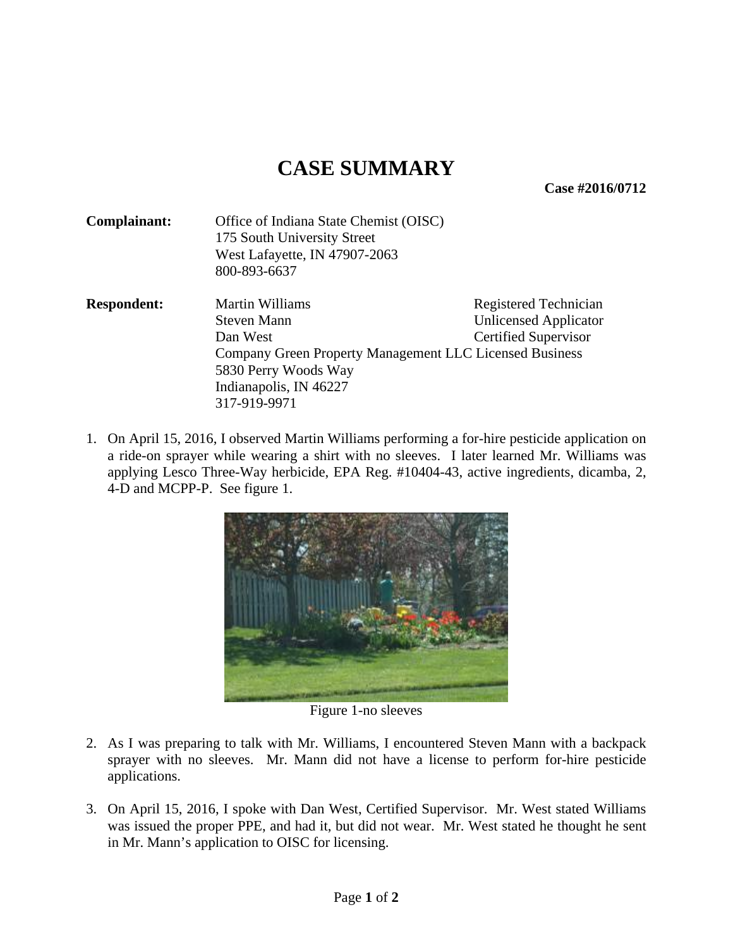**Case #2016/0712** 

| Complainant:       | Office of Indiana State Chemist (OISC)                       |                             |  |
|--------------------|--------------------------------------------------------------|-----------------------------|--|
|                    | 175 South University Street<br>West Lafayette, IN 47907-2063 |                             |  |
|                    |                                                              |                             |  |
|                    | 800-893-6637                                                 |                             |  |
| <b>Respondent:</b> | <b>Martin Williams</b>                                       | Registered Technician       |  |
|                    | Steven Mann                                                  | Unlicensed Applicator       |  |
|                    | Dan West                                                     | <b>Certified Supervisor</b> |  |
|                    | Company Green Property Management LLC Licensed Business      |                             |  |
|                    | 5830 Perry Woods Way                                         |                             |  |
|                    | Indianapolis, IN 46227                                       |                             |  |
|                    | 317-919-9971                                                 |                             |  |

1. On April 15, 2016, I observed Martin Williams performing a for-hire pesticide application on a ride-on sprayer while wearing a shirt with no sleeves. I later learned Mr. Williams was applying Lesco Three-Way herbicide, EPA Reg. #10404-43, active ingredients, dicamba, 2, 4-D and MCPP-P. See figure 1.



Figure 1-no sleeves

- 2. As I was preparing to talk with Mr. Williams, I encountered Steven Mann with a backpack sprayer with no sleeves. Mr. Mann did not have a license to perform for-hire pesticide applications.
- 3. On April 15, 2016, I spoke with Dan West, Certified Supervisor. Mr. West stated Williams was issued the proper PPE, and had it, but did not wear. Mr. West stated he thought he sent in Mr. Mann's application to OISC for licensing.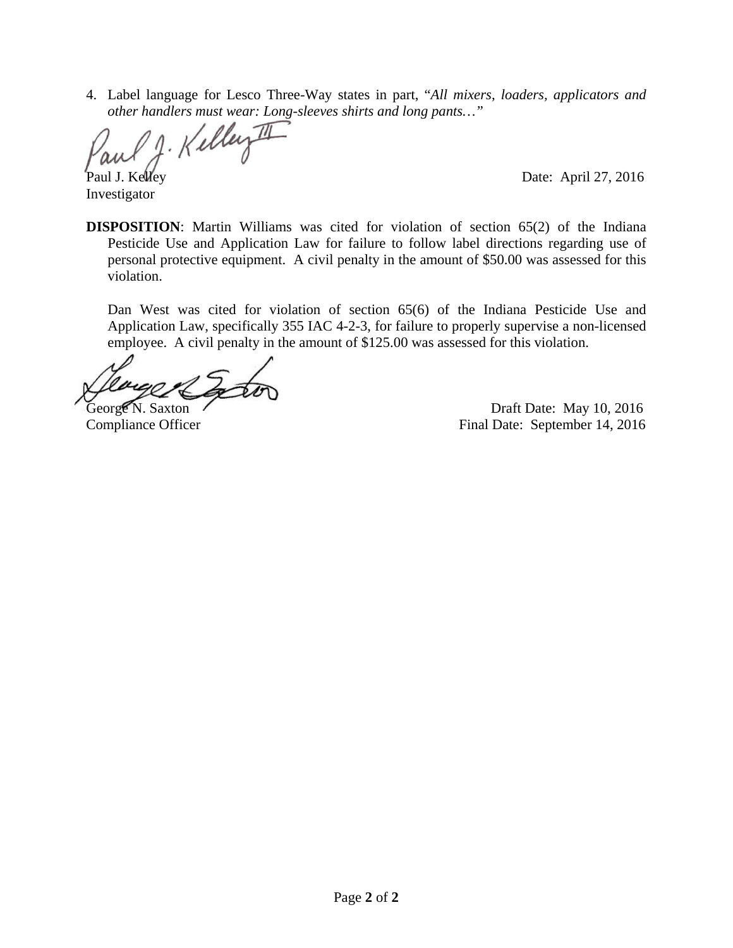4. Label language for Lesco Three-Way states in part, "*All mixers, loaders, applicators and other handlers must wear: Long-sleeves shirts and long pants…"*

1. Kelley I Paul J. Kelley Date: April 27, 2016

Investigator

**DISPOSITION**: Martin Williams was cited for violation of section 65(2) of the Indiana Pesticide Use and Application Law for failure to follow label directions regarding use of personal protective equipment. A civil penalty in the amount of \$50.00 was assessed for this violation.

Dan West was cited for violation of section 65(6) of the Indiana Pesticide Use and Application Law, specifically 355 IAC 4-2-3, for failure to properly supervise a non-licensed employee. A civil penalty in the amount of \$125.00 was assessed for this violation.

George N. Saxton (George N. Saxton) Compliance Officer Final Date: September 14, 2016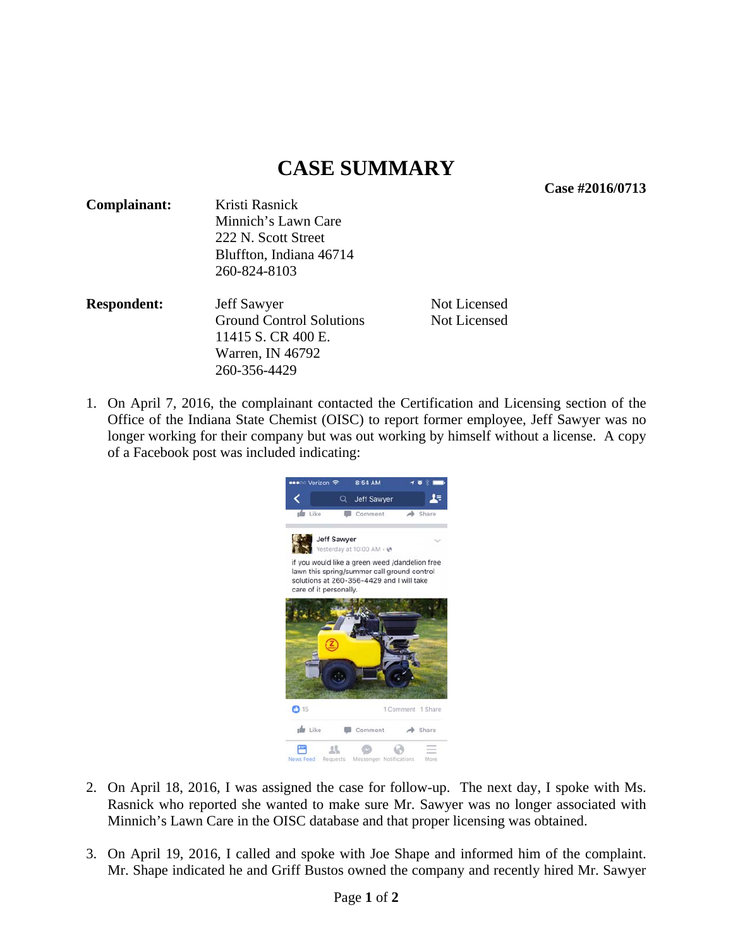**Case #2016/0713** 

| Complainant:                    | Kristi Rasnick                                 |                    |              |              |
|---------------------------------|------------------------------------------------|--------------------|--------------|--------------|
|                                 | Minnich's Lawn Care                            |                    |              |              |
|                                 | 222 N. Scott Street<br>Bluffton, Indiana 46714 |                    |              |              |
|                                 |                                                |                    |              | 260-824-8103 |
|                                 | <b>Respondent:</b>                             | <b>Jeff Sawyer</b> | Not Licensed |              |
| <b>Ground Control Solutions</b> |                                                | Not Licensed       |              |              |
| 11415 S. CR 400 E.              |                                                |                    |              |              |
| Warren, IN 46792                |                                                |                    |              |              |
|                                 | 260-356-4429                                   |                    |              |              |

1. On April 7, 2016, the complainant contacted the Certification and Licensing section of the Office of the Indiana State Chemist (OISC) to report former employee, Jeff Sawyer was no longer working for their company but was out working by himself without a license. A copy of a Facebook post was included indicating:



- 2. On April 18, 2016, I was assigned the case for follow-up. The next day, I spoke with Ms. Rasnick who reported she wanted to make sure Mr. Sawyer was no longer associated with Minnich's Lawn Care in the OISC database and that proper licensing was obtained.
- 3. On April 19, 2016, I called and spoke with Joe Shape and informed him of the complaint. Mr. Shape indicated he and Griff Bustos owned the company and recently hired Mr. Sawyer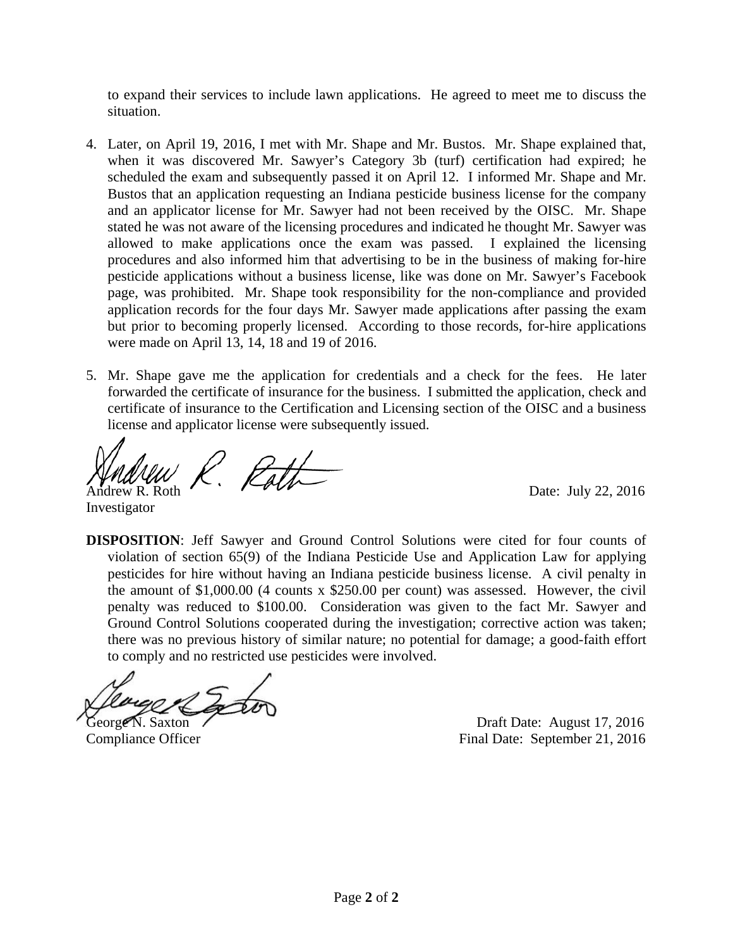to expand their services to include lawn applications. He agreed to meet me to discuss the situation.

- 4. Later, on April 19, 2016, I met with Mr. Shape and Mr. Bustos. Mr. Shape explained that, when it was discovered Mr. Sawyer's Category 3b (turf) certification had expired; he scheduled the exam and subsequently passed it on April 12. I informed Mr. Shape and Mr. Bustos that an application requesting an Indiana pesticide business license for the company and an applicator license for Mr. Sawyer had not been received by the OISC. Mr. Shape stated he was not aware of the licensing procedures and indicated he thought Mr. Sawyer was allowed to make applications once the exam was passed. I explained the licensing procedures and also informed him that advertising to be in the business of making for-hire pesticide applications without a business license, like was done on Mr. Sawyer's Facebook page, was prohibited. Mr. Shape took responsibility for the non-compliance and provided application records for the four days Mr. Sawyer made applications after passing the exam but prior to becoming properly licensed. According to those records, for-hire applications were made on April 13, 14, 18 and 19 of 2016.
- 5. Mr. Shape gave me the application for credentials and a check for the fees. He later forwarded the certificate of insurance for the business. I submitted the application, check and certificate of insurance to the Certification and Licensing section of the OISC and a business license and applicator license were subsequently issued.

 $\overline{a}$  $\frac{1}{2}$ <br>Andrew R. Roth  $\frac{1}{2}$ .  $\frac{1}{2}$ 

Investigator

**DISPOSITION**: Jeff Sawyer and Ground Control Solutions were cited for four counts of violation of section 65(9) of the Indiana Pesticide Use and Application Law for applying pesticides for hire without having an Indiana pesticide business license. A civil penalty in the amount of \$1,000.00 (4 counts x \$250.00 per count) was assessed. However, the civil penalty was reduced to \$100.00. Consideration was given to the fact Mr. Sawyer and Ground Control Solutions cooperated during the investigation; corrective action was taken; there was no previous history of similar nature; no potential for damage; a good-faith effort to comply and no restricted use pesticides were involved.

George N. Saxton (*Corp. 2016*) and the United States August 17, 2016

Compliance Officer Final Date: September 21, 2016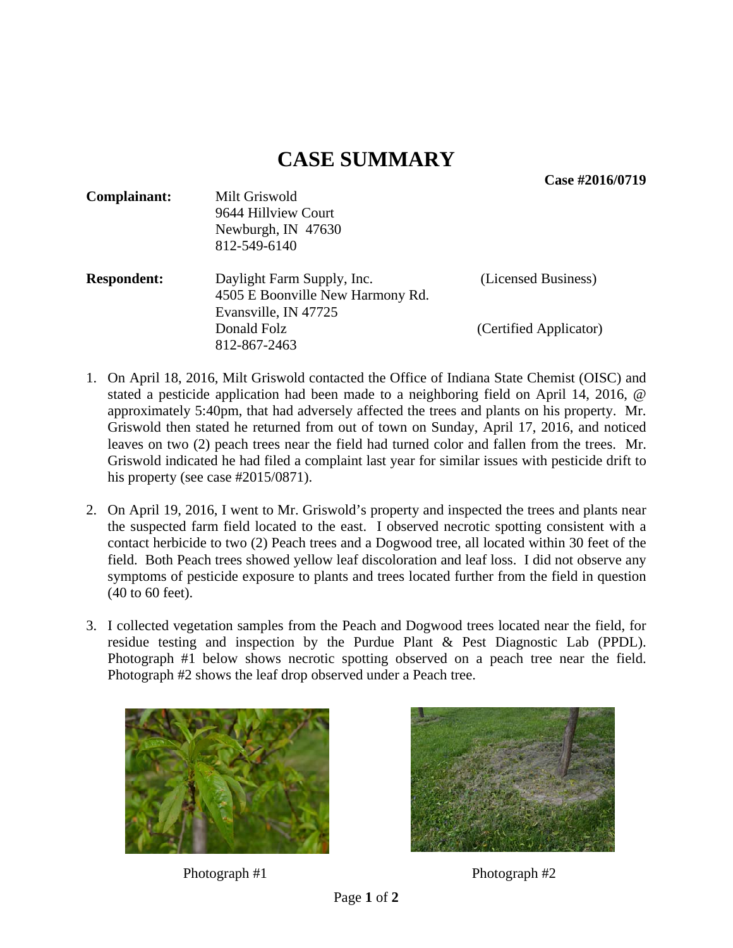**Case #2016/0719** 

| Complainant:       | Milt Griswold<br>9644 Hillview Court<br>Newburgh, IN 47630<br>812-549-6140             |                        |
|--------------------|----------------------------------------------------------------------------------------|------------------------|
| <b>Respondent:</b> | Daylight Farm Supply, Inc.<br>4505 E Boonville New Harmony Rd.<br>Evansville, IN 47725 | (Licensed Business)    |
|                    | Donald Folz<br>812-867-2463                                                            | (Certified Applicator) |

- 1. On April 18, 2016, Milt Griswold contacted the Office of Indiana State Chemist (OISC) and stated a pesticide application had been made to a neighboring field on April 14, 2016, @ approximately 5:40pm, that had adversely affected the trees and plants on his property. Mr. Griswold then stated he returned from out of town on Sunday, April 17, 2016, and noticed leaves on two (2) peach trees near the field had turned color and fallen from the trees. Mr. Griswold indicated he had filed a complaint last year for similar issues with pesticide drift to his property (see case #2015/0871).
- 2. On April 19, 2016, I went to Mr. Griswold's property and inspected the trees and plants near the suspected farm field located to the east. I observed necrotic spotting consistent with a contact herbicide to two (2) Peach trees and a Dogwood tree, all located within 30 feet of the field. Both Peach trees showed yellow leaf discoloration and leaf loss. I did not observe any symptoms of pesticide exposure to plants and trees located further from the field in question (40 to 60 feet).
- 3. I collected vegetation samples from the Peach and Dogwood trees located near the field, for residue testing and inspection by the Purdue Plant & Pest Diagnostic Lab (PPDL). Photograph #1 below shows necrotic spotting observed on a peach tree near the field. Photograph #2 shows the leaf drop observed under a Peach tree.



Photograph #1 Photograph #2

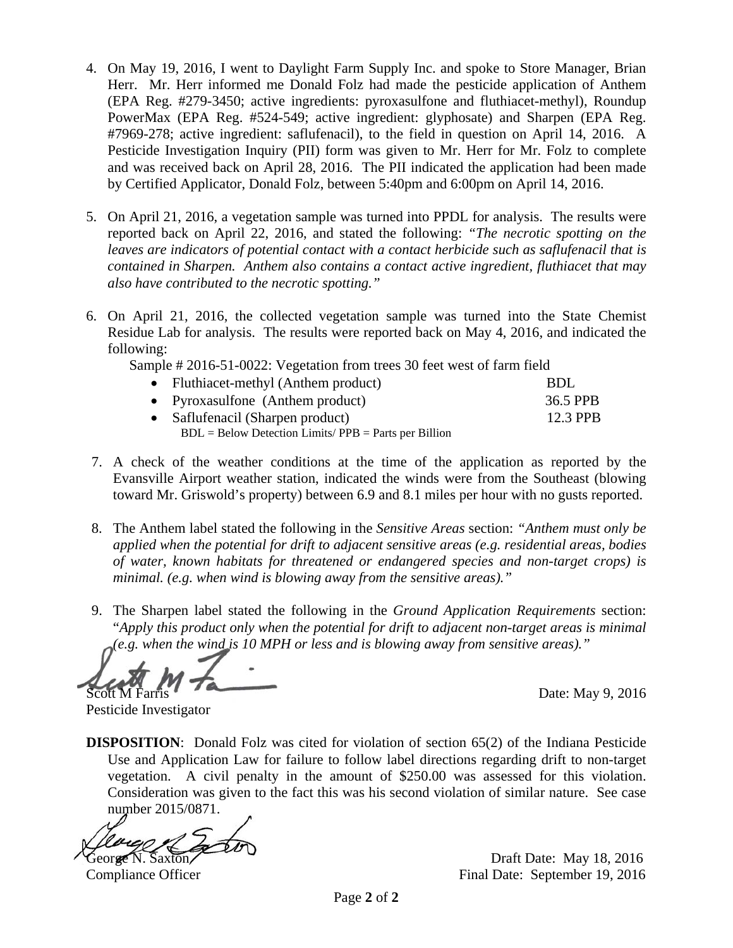- 4. On May 19, 2016, I went to Daylight Farm Supply Inc. and spoke to Store Manager, Brian Herr. Mr. Herr informed me Donald Folz had made the pesticide application of Anthem (EPA Reg. #279-3450; active ingredients: pyroxasulfone and fluthiacet-methyl), Roundup PowerMax (EPA Reg. #524-549; active ingredient: glyphosate) and Sharpen (EPA Reg. #7969-278; active ingredient: saflufenacil), to the field in question on April 14, 2016. A Pesticide Investigation Inquiry (PII) form was given to Mr. Herr for Mr. Folz to complete and was received back on April 28, 2016. The PII indicated the application had been made by Certified Applicator, Donald Folz, between 5:40pm and 6:00pm on April 14, 2016.
- 5. On April 21, 2016, a vegetation sample was turned into PPDL for analysis. The results were reported back on April 22, 2016, and stated the following: *"The necrotic spotting on the leaves are indicators of potential contact with a contact herbicide such as saflufenacil that is contained in Sharpen. Anthem also contains a contact active ingredient, fluthiacet that may also have contributed to the necrotic spotting."*
- 6. On April 21, 2016, the collected vegetation sample was turned into the State Chemist Residue Lab for analysis. The results were reported back on May 4, 2016, and indicated the following:

Sample # 2016-51-0022: Vegetation from trees 30 feet west of farm field

| • Fluthiacet-methyl (Anthem product)                   | BDL      |
|--------------------------------------------------------|----------|
| • Pyroxasulfone (Anthem product)                       | 36.5 PPB |
| • Saflufenacil (Sharpen product)                       | 12.3 PPB |
| $BDL = Below Detection Limits/PPB = Parts per Billion$ |          |

- 7. A check of the weather conditions at the time of the application as reported by the Evansville Airport weather station, indicated the winds were from the Southeast (blowing toward Mr. Griswold's property) between 6.9 and 8.1 miles per hour with no gusts reported.
- 8. The Anthem label stated the following in the *Sensitive Areas* section: *"Anthem must only be applied when the potential for drift to adjacent sensitive areas (e.g. residential areas, bodies of water, known habitats for threatened or endangered species and non-target crops) is minimal. (e.g. when wind is blowing away from the sensitive areas)."*
- 9. The Sharpen label stated the following in the *Ground Application Requirements* section: "*Apply this product only when the potential for drift to adjacent non-target areas is minimal (e.g. when the wind is 10 MPH or less and is blowing away from sensitive areas)."*

Date: May 9, 2016

Pesticide Investigator

**DISPOSITION:** Donald Folz was cited for violation of section 65(2) of the Indiana Pesticide Use and Application Law for failure to follow label directions regarding drift to non-target vegetation. A civil penalty in the amount of \$250.00 was assessed for this violation. Consideration was given to the fact this was his second violation of similar nature. See case number 2015/0871.

George N. Saxton Draft Date: May 18, 2016

Compliance Officer Final Date: September 19, 2016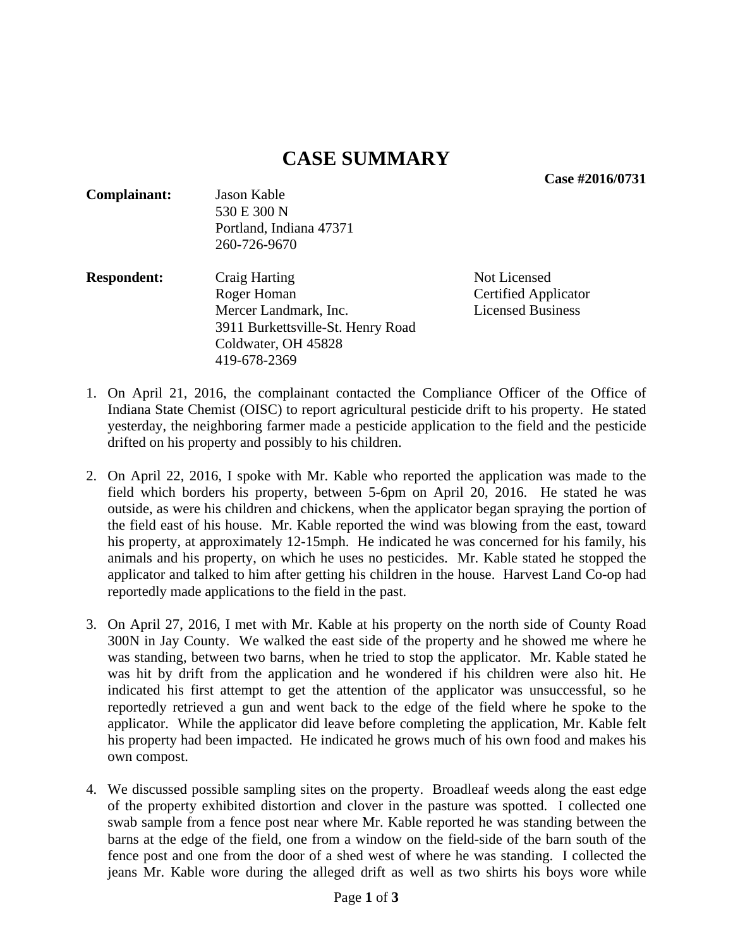**Case #2016/0731** 

| <b>Complainant:</b> | Jason Kable<br>530 E 300 N<br>Portland, Indiana 47371<br>260-726-9670 |              |  |
|---------------------|-----------------------------------------------------------------------|--------------|--|
| <b>Respondent:</b>  | <b>Craig Harting</b>                                                  | Not Licensed |  |

Roger Homan Certified Applicator Mercer Landmark, Inc. Licensed Business 3911 Burkettsville-St. Henry Road Coldwater, OH 45828 419-678-2369

- 1. On April 21, 2016, the complainant contacted the Compliance Officer of the Office of Indiana State Chemist (OISC) to report agricultural pesticide drift to his property. He stated yesterday, the neighboring farmer made a pesticide application to the field and the pesticide drifted on his property and possibly to his children.
- 2. On April 22, 2016, I spoke with Mr. Kable who reported the application was made to the field which borders his property, between 5-6pm on April 20, 2016. He stated he was outside, as were his children and chickens, when the applicator began spraying the portion of the field east of his house. Mr. Kable reported the wind was blowing from the east, toward his property, at approximately 12-15mph. He indicated he was concerned for his family, his animals and his property, on which he uses no pesticides. Mr. Kable stated he stopped the applicator and talked to him after getting his children in the house. Harvest Land Co-op had reportedly made applications to the field in the past.
- 3. On April 27, 2016, I met with Mr. Kable at his property on the north side of County Road 300N in Jay County. We walked the east side of the property and he showed me where he was standing, between two barns, when he tried to stop the applicator. Mr. Kable stated he was hit by drift from the application and he wondered if his children were also hit. He indicated his first attempt to get the attention of the applicator was unsuccessful, so he reportedly retrieved a gun and went back to the edge of the field where he spoke to the applicator. While the applicator did leave before completing the application, Mr. Kable felt his property had been impacted. He indicated he grows much of his own food and makes his own compost.
- 4. We discussed possible sampling sites on the property. Broadleaf weeds along the east edge of the property exhibited distortion and clover in the pasture was spotted. I collected one swab sample from a fence post near where Mr. Kable reported he was standing between the barns at the edge of the field, one from a window on the field-side of the barn south of the fence post and one from the door of a shed west of where he was standing. I collected the jeans Mr. Kable wore during the alleged drift as well as two shirts his boys wore while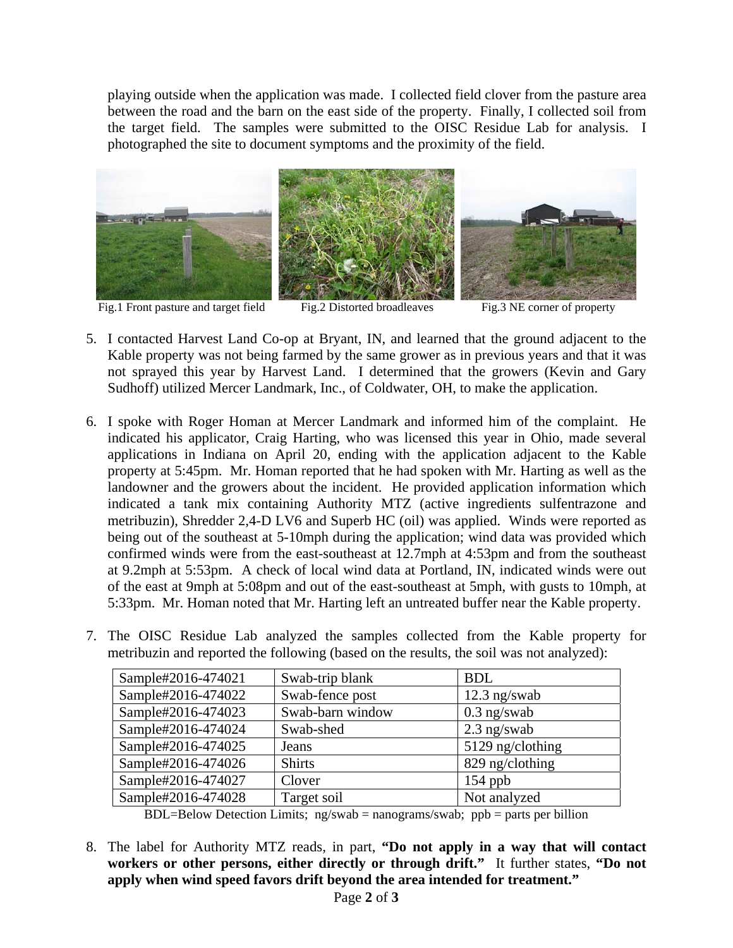playing outside when the application was made. I collected field clover from the pasture area between the road and the barn on the east side of the property. Finally, I collected soil from the target field. The samples were submitted to the OISC Residue Lab for analysis. I photographed the site to document symptoms and the proximity of the field.



5. I contacted Harvest Land Co-op at Bryant, IN, and learned that the ground adjacent to the Kable property was not being farmed by the same grower as in previous years and that it was not sprayed this year by Harvest Land. I determined that the growers (Kevin and Gary

Sudhoff) utilized Mercer Landmark, Inc., of Coldwater, OH, to make the application.

- 6. I spoke with Roger Homan at Mercer Landmark and informed him of the complaint. He indicated his applicator, Craig Harting, who was licensed this year in Ohio, made several applications in Indiana on April 20, ending with the application adjacent to the Kable property at 5:45pm. Mr. Homan reported that he had spoken with Mr. Harting as well as the landowner and the growers about the incident. He provided application information which indicated a tank mix containing Authority MTZ (active ingredients sulfentrazone and metribuzin), Shredder 2,4-D LV6 and Superb HC (oil) was applied. Winds were reported as being out of the southeast at 5-10mph during the application; wind data was provided which confirmed winds were from the east-southeast at 12.7mph at 4:53pm and from the southeast at 9.2mph at 5:53pm. A check of local wind data at Portland, IN, indicated winds were out of the east at 9mph at 5:08pm and out of the east-southeast at 5mph, with gusts to 10mph, at 5:33pm. Mr. Homan noted that Mr. Harting left an untreated buffer near the Kable property.
- 7. The OISC Residue Lab analyzed the samples collected from the Kable property for metribuzin and reported the following (based on the results, the soil was not analyzed):

| Sample#2016-474021 | Swab-trip blank  | <b>BDL</b>       |
|--------------------|------------------|------------------|
| Sample#2016-474022 | Swab-fence post  | $12.3$ ng/swab   |
| Sample#2016-474023 | Swab-barn window | $0.3$ ng/swab    |
| Sample#2016-474024 | Swab-shed        | $2.3$ ng/swab    |
| Sample#2016-474025 | Jeans            | 5129 ng/clothing |
| Sample#2016-474026 | <b>Shirts</b>    | 829 ng/clothing  |
| Sample#2016-474027 | Clover           | $154$ ppb        |
| Sample#2016-474028 | Target soil      | Not analyzed     |

 $BDL=Below Detection Limits; ng/swab = nanograms/swab; ppb = parts per billion$ 

8. The label for Authority MTZ reads, in part, **"Do not apply in a way that will contact workers or other persons, either directly or through drift."** It further states, **"Do not apply when wind speed favors drift beyond the area intended for treatment."**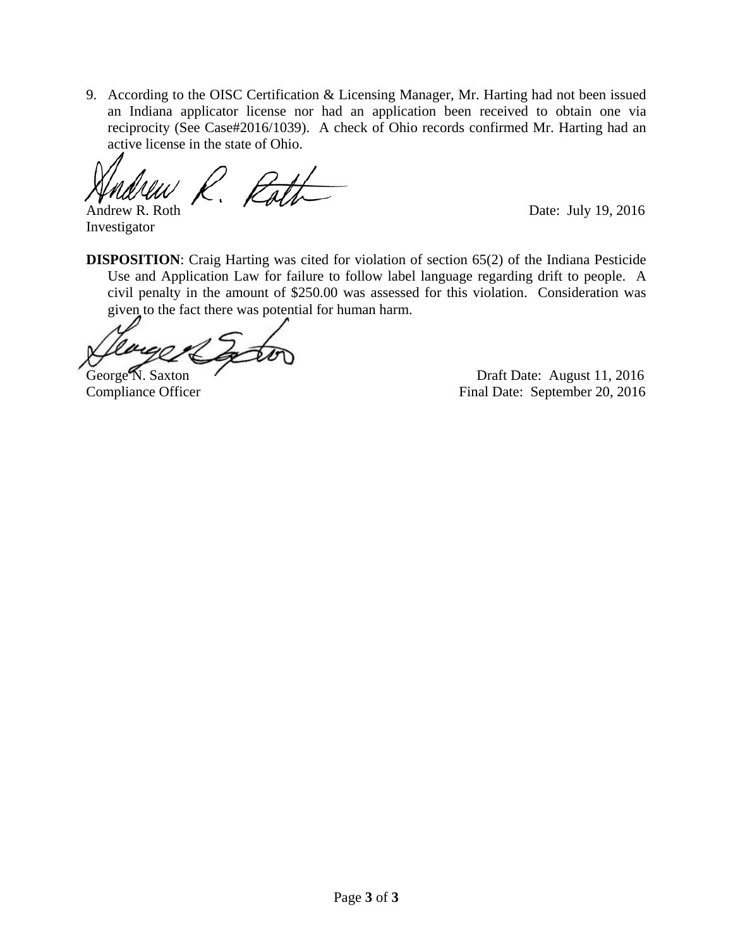9. According to the OISC Certification & Licensing Manager, Mr. Harting had not been issued an Indiana applicator license nor had an application been received to obtain one via reciprocity (See Case#2016/1039). A check of Ohio records confirmed Mr. Harting had an active license in the state of Ohio.

Andrew R. Roth Date: July 19, 2016

Investigator

**DISPOSITION:** Craig Harting was cited for violation of section 65(2) of the Indiana Pesticide Use and Application Law for failure to follow label language regarding drift to people. A civil penalty in the amount of \$250.00 was assessed for this violation. Consideration was given to the fact there was potential for human harm.

George N. Saxton Casset August 11, 2016 Compliance Officer Final Date: September 20, 2016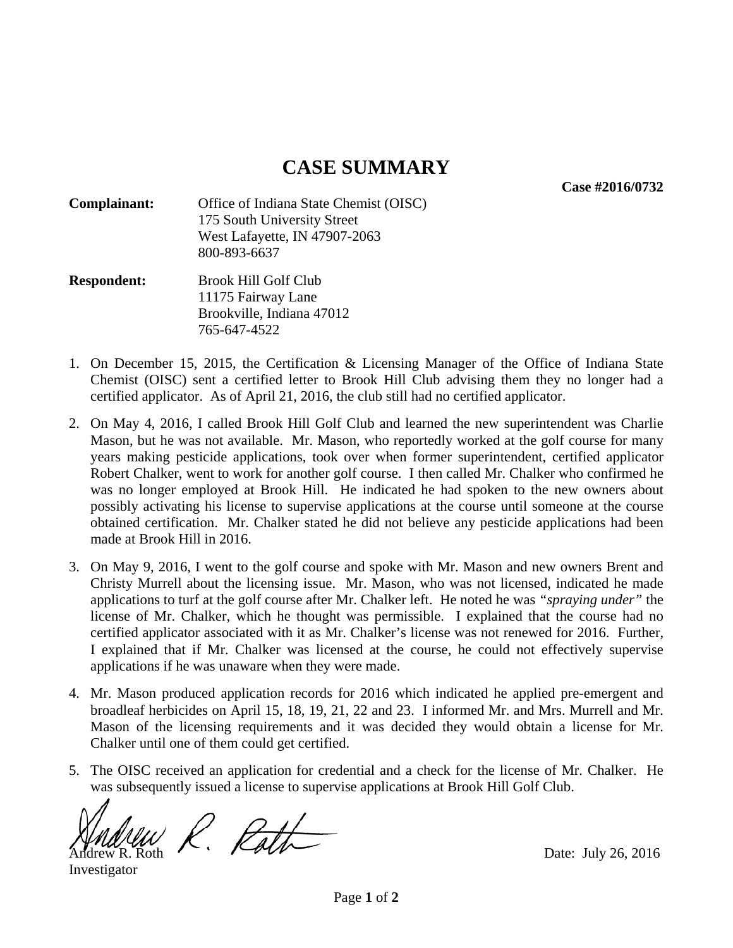**Case #2016/0732** 

- **Complainant:** Office of Indiana State Chemist (OISC) 175 South University Street West Lafayette, IN 47907-2063 800-893-6637
- **Respondent:** Brook Hill Golf Club 11175 Fairway Lane Brookville, Indiana 47012 765-647-4522
- 1. On December 15, 2015, the Certification & Licensing Manager of the Office of Indiana State Chemist (OISC) sent a certified letter to Brook Hill Club advising them they no longer had a certified applicator. As of April 21, 2016, the club still had no certified applicator.
- 2. On May 4, 2016, I called Brook Hill Golf Club and learned the new superintendent was Charlie Mason, but he was not available. Mr. Mason, who reportedly worked at the golf course for many years making pesticide applications, took over when former superintendent, certified applicator Robert Chalker, went to work for another golf course. I then called Mr. Chalker who confirmed he was no longer employed at Brook Hill. He indicated he had spoken to the new owners about possibly activating his license to supervise applications at the course until someone at the course obtained certification. Mr. Chalker stated he did not believe any pesticide applications had been made at Brook Hill in 2016.
- 3. On May 9, 2016, I went to the golf course and spoke with Mr. Mason and new owners Brent and Christy Murrell about the licensing issue. Mr. Mason, who was not licensed, indicated he made applications to turf at the golf course after Mr. Chalker left. He noted he was *"spraying under"* the license of Mr. Chalker, which he thought was permissible. I explained that the course had no certified applicator associated with it as Mr. Chalker's license was not renewed for 2016. Further, I explained that if Mr. Chalker was licensed at the course, he could not effectively supervise applications if he was unaware when they were made.
- 4. Mr. Mason produced application records for 2016 which indicated he applied pre-emergent and broadleaf herbicides on April 15, 18, 19, 21, 22 and 23. I informed Mr. and Mrs. Murrell and Mr. Mason of the licensing requirements and it was decided they would obtain a license for Mr. Chalker until one of them could get certified.
- 5. The OISC received an application for credential and a check for the license of Mr. Chalker. He was subsequently issued a license to supervise applications at Brook Hill Golf Club.

 $\bigvee_{\text{AddU}}\bigvee_{\text{Aut}}\bigvee_{\text{Part}}\bigvee_{\text{Data}}$  Date: July 26, 2016

Investigator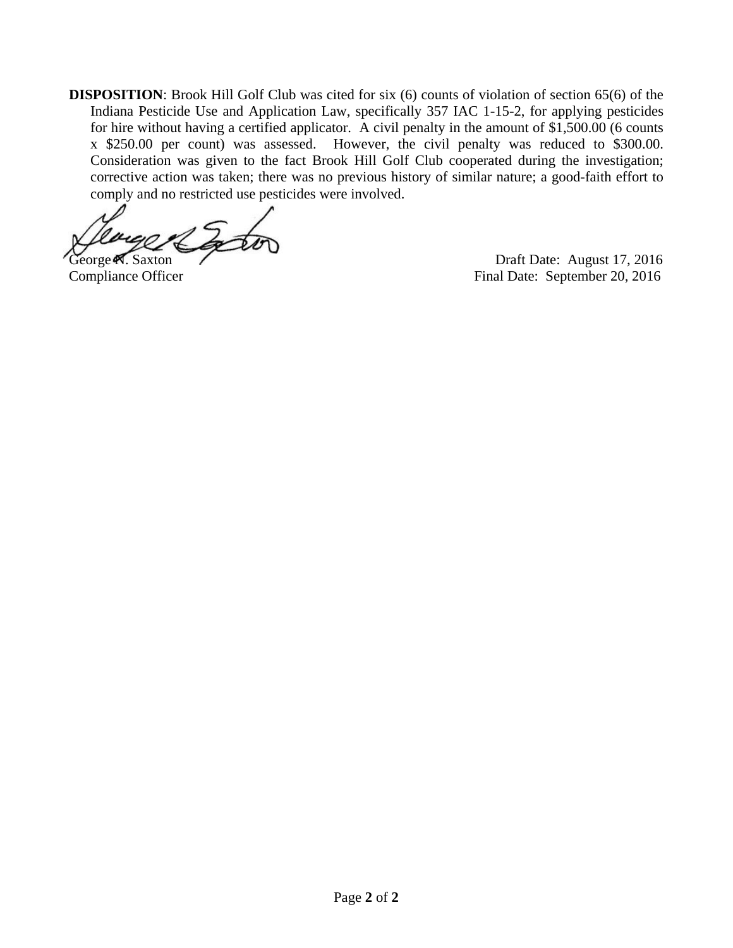**DISPOSITION:** Brook Hill Golf Club was cited for six (6) counts of violation of section 65(6) of the Indiana Pesticide Use and Application Law, specifically 357 IAC 1-15-2, for applying pesticides for hire without having a certified applicator. A civil penalty in the amount of \$1,500.00 (6 counts x \$250.00 per count) was assessed. However, the civil penalty was reduced to \$300.00. Consideration was given to the fact Brook Hill Golf Club cooperated during the investigation; corrective action was taken; there was no previous history of similar nature; a good-faith effort to comply and no restricted use pesticides were involved.

George N. Saxton Draft Date: August 17, 2016 Compliance Officer Final Date: September 20, 2016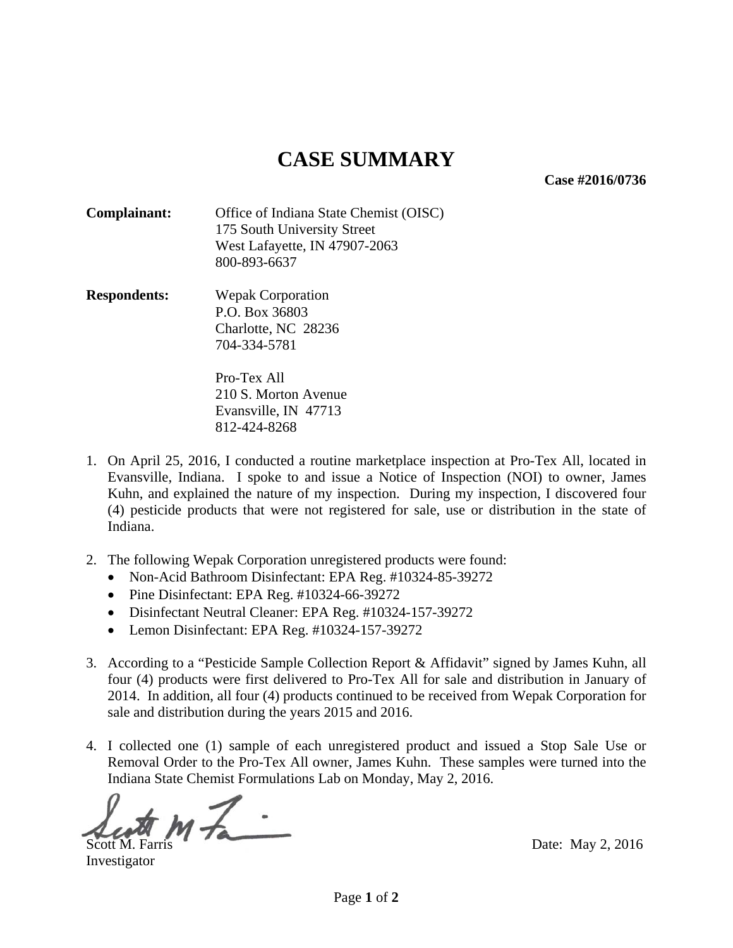**Case #2016/0736** 

**Complainant:** Office of Indiana State Chemist (OISC) 175 South University Street West Lafayette, IN 47907-2063 800-893-6637

**Respondents:** Wepak Corporation P.O. Box 36803 Charlotte, NC 28236 704-334-5781

> Pro-Tex All 210 S. Morton Avenue Evansville, IN 47713 812-424-8268

- 1. On April 25, 2016, I conducted a routine marketplace inspection at Pro-Tex All, located in Evansville, Indiana. I spoke to and issue a Notice of Inspection (NOI) to owner, James Kuhn, and explained the nature of my inspection. During my inspection, I discovered four (4) pesticide products that were not registered for sale, use or distribution in the state of Indiana.
- 2. The following Wepak Corporation unregistered products were found:
	- Non-Acid Bathroom Disinfectant: EPA Reg. #10324-85-39272
	- Pine Disinfectant: EPA Reg. #10324-66-39272
	- Disinfectant Neutral Cleaner: EPA Reg. #10324-157-39272
	- Lemon Disinfectant: EPA Reg. #10324-157-39272
- 3. According to a "Pesticide Sample Collection Report & Affidavit" signed by James Kuhn, all four (4) products were first delivered to Pro-Tex All for sale and distribution in January of 2014. In addition, all four (4) products continued to be received from Wepak Corporation for sale and distribution during the years 2015 and 2016.
- 4. I collected one (1) sample of each unregistered product and issued a Stop Sale Use or Removal Order to the Pro-Tex All owner, James Kuhn. These samples were turned into the Indiana State Chemist Formulations Lab on Monday, May 2, 2016.

j  $\frac{1}{100}$  M $\frac{1}{100}$   $\frac{1}{100}$  Date: May 2, 2016

Investigator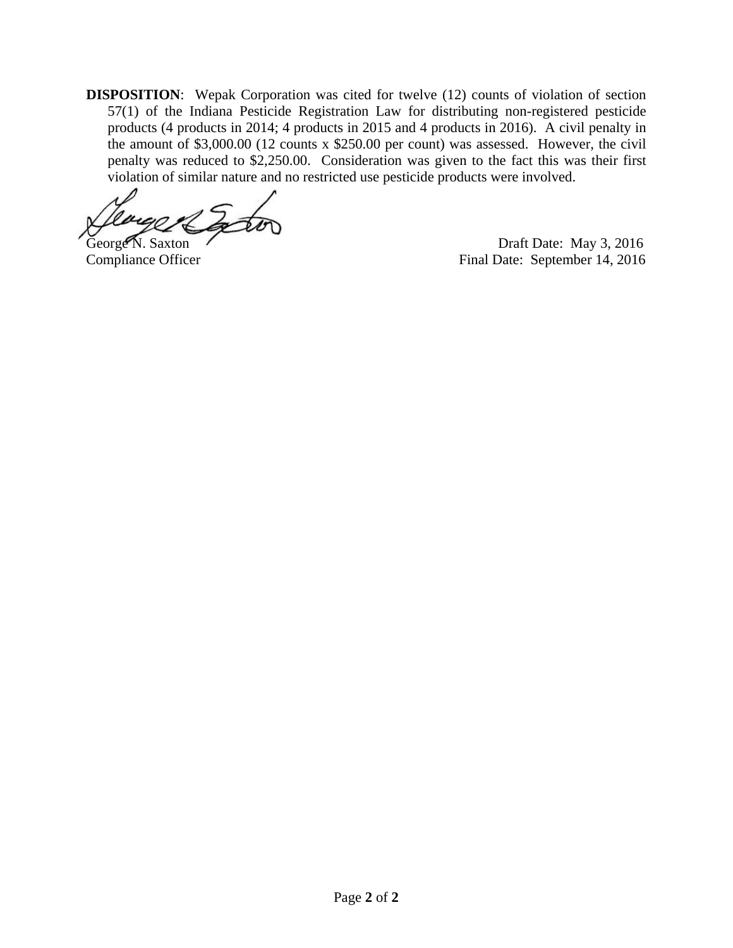**DISPOSITION**: Wepak Corporation was cited for twelve (12) counts of violation of section 57(1) of the Indiana Pesticide Registration Law for distributing non-registered pesticide products (4 products in 2014; 4 products in 2015 and 4 products in 2016). A civil penalty in the amount of \$3,000.00 (12 counts x \$250.00 per count) was assessed. However, the civil penalty was reduced to \$2,250.00. Consideration was given to the fact this was their first violation of similar nature and no restricted use pesticide products were involved.

George N. Saxton Draft Date: May 3, 2016<br>Compliance Officer Final Date: September 14, 2016 Final Date: September 14, 2016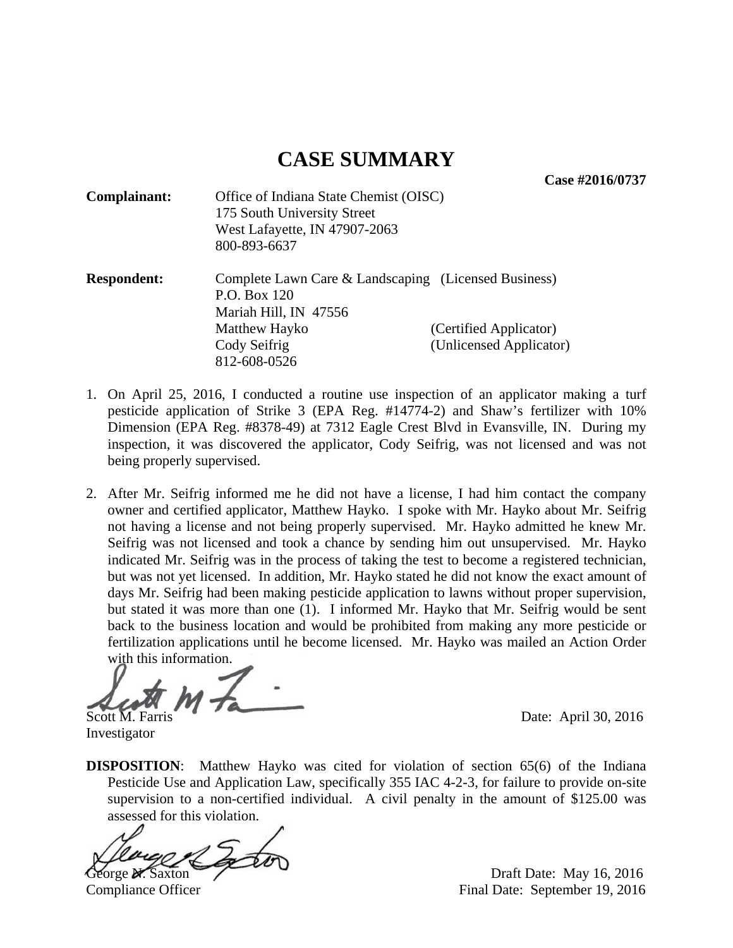**Case #2016/0737** 

| <b>Complainant:</b> | Office of Indiana State Chemist (OISC)<br>175 South University Street<br>West Lafayette, IN 47907-2063<br>800-893-6637                         |                                                   |
|---------------------|------------------------------------------------------------------------------------------------------------------------------------------------|---------------------------------------------------|
| <b>Respondent:</b>  | Complete Lawn Care & Landscaping (Licensed Business)<br>P.O. Box 120<br>Mariah Hill, IN 47556<br>Matthew Hayko<br>Cody Seifrig<br>812-608-0526 | (Certified Applicator)<br>(Unlicensed Applicator) |

- 1. On April 25, 2016, I conducted a routine use inspection of an applicator making a turf pesticide application of Strike 3 (EPA Reg. #14774-2) and Shaw's fertilizer with 10% Dimension (EPA Reg. #8378-49) at 7312 Eagle Crest Blvd in Evansville, IN. During my inspection, it was discovered the applicator, Cody Seifrig, was not licensed and was not being properly supervised.
- 2. After Mr. Seifrig informed me he did not have a license, I had him contact the company owner and certified applicator, Matthew Hayko. I spoke with Mr. Hayko about Mr. Seifrig not having a license and not being properly supervised. Mr. Hayko admitted he knew Mr. Seifrig was not licensed and took a chance by sending him out unsupervised. Mr. Hayko indicated Mr. Seifrig was in the process of taking the test to become a registered technician, but was not yet licensed. In addition, Mr. Hayko stated he did not know the exact amount of days Mr. Seifrig had been making pesticide application to lawns without proper supervision, but stated it was more than one (1). I informed Mr. Hayko that Mr. Seifrig would be sent back to the business location and would be prohibited from making any more pesticide or fertilization applications until he become licensed. Mr. Hayko was mailed an Action Order with this information.

j Scott M. Farris Date: April 30, 2016

Investigator

**DISPOSITION:** Matthew Hayko was cited for violation of section 65(6) of the Indiana Pesticide Use and Application Law, specifically 355 IAC 4-2-3, for failure to provide on-site supervision to a non-certified individual. A civil penalty in the amount of \$125.00 was assessed for this violation.

George N. Saxton Draft Date: May 16, 2016

Compliance Officer Final Date: September 19, 2016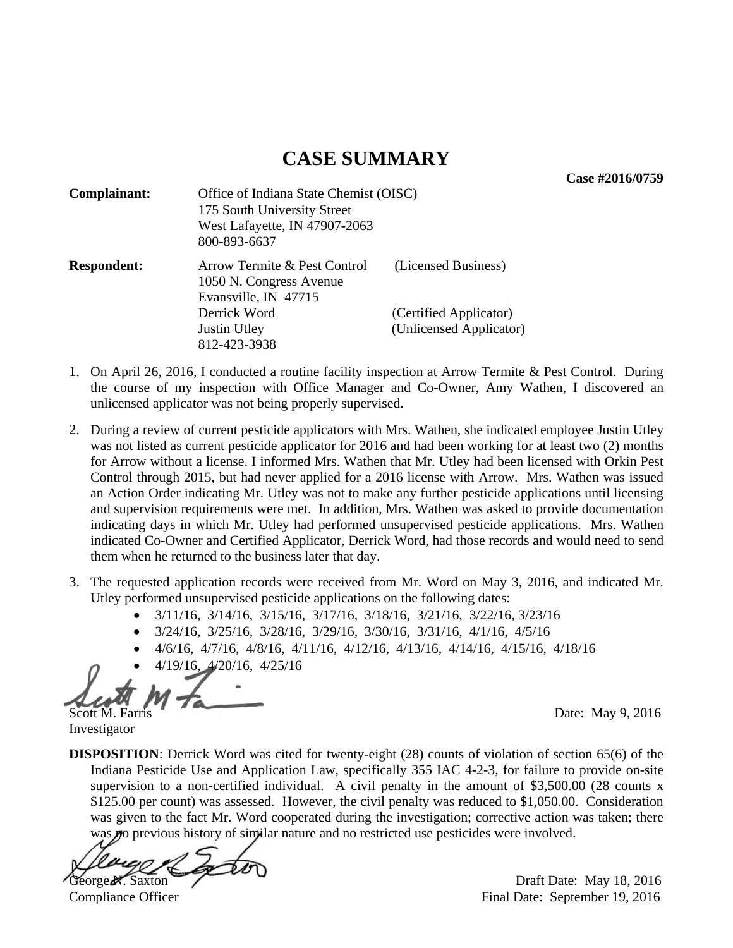**Case #2016/0759** 

| Complainant:       | Office of Indiana State Chemist (OISC)<br>175 South University Street<br>West Lafayette, IN 47907-2063<br>800-893-6637 |                         |
|--------------------|------------------------------------------------------------------------------------------------------------------------|-------------------------|
| <b>Respondent:</b> | Arrow Termite & Pest Control<br>1050 N. Congress Avenue<br>Evansville, IN 47715                                        | (Licensed Business)     |
|                    | Derrick Word                                                                                                           | (Certified Applicator)  |
|                    | Justin Utley                                                                                                           | (Unlicensed Applicator) |
|                    | 812-423-3938                                                                                                           |                         |

- 1. On April 26, 2016, I conducted a routine facility inspection at Arrow Termite & Pest Control. During the course of my inspection with Office Manager and Co-Owner, Amy Wathen, I discovered an unlicensed applicator was not being properly supervised.
- 2. During a review of current pesticide applicators with Mrs. Wathen, she indicated employee Justin Utley was not listed as current pesticide applicator for 2016 and had been working for at least two (2) months for Arrow without a license. I informed Mrs. Wathen that Mr. Utley had been licensed with Orkin Pest Control through 2015, but had never applied for a 2016 license with Arrow. Mrs. Wathen was issued an Action Order indicating Mr. Utley was not to make any further pesticide applications until licensing and supervision requirements were met. In addition, Mrs. Wathen was asked to provide documentation indicating days in which Mr. Utley had performed unsupervised pesticide applications. Mrs. Wathen indicated Co-Owner and Certified Applicator, Derrick Word, had those records and would need to send them when he returned to the business later that day.
- 3. The requested application records were received from Mr. Word on May 3, 2016, and indicated Mr. Utley performed unsupervised pesticide applications on the following dates:
	- 3/11/16, 3/14/16, 3/15/16, 3/17/16, 3/18/16, 3/21/16, 3/22/16, 3/23/16
	- 3/24/16, 3/25/16, 3/28/16, 3/29/16, 3/30/16, 3/31/16, 4/1/16, 4/5/16
	- 4/6/16, 4/7/16, 4/8/16, 4/11/16, 4/12/16, 4/13/16, 4/14/16, 4/15/16, 4/18/16
	- 4/19/16, 4/20/16, 4/25/16

Scott M. Farris Date: May 9, 2016

Investigator

**DISPOSITION**: Derrick Word was cited for twenty-eight (28) counts of violation of section 65(6) of the Indiana Pesticide Use and Application Law, specifically 355 IAC 4-2-3, for failure to provide on-site supervision to a non-certified individual. A civil penalty in the amount of \$3,500.00 (28 counts x \$125.00 per count) was assessed. However, the civil penalty was reduced to \$1,050.00. Consideration was given to the fact Mr. Word cooperated during the investigation; corrective action was taken; there was no previous history of similar nature and no restricted use pesticides were involved.

George N. Saxton Draft Date: May 18, 2016

Compliance Officer **Final Date:** September 19, 2016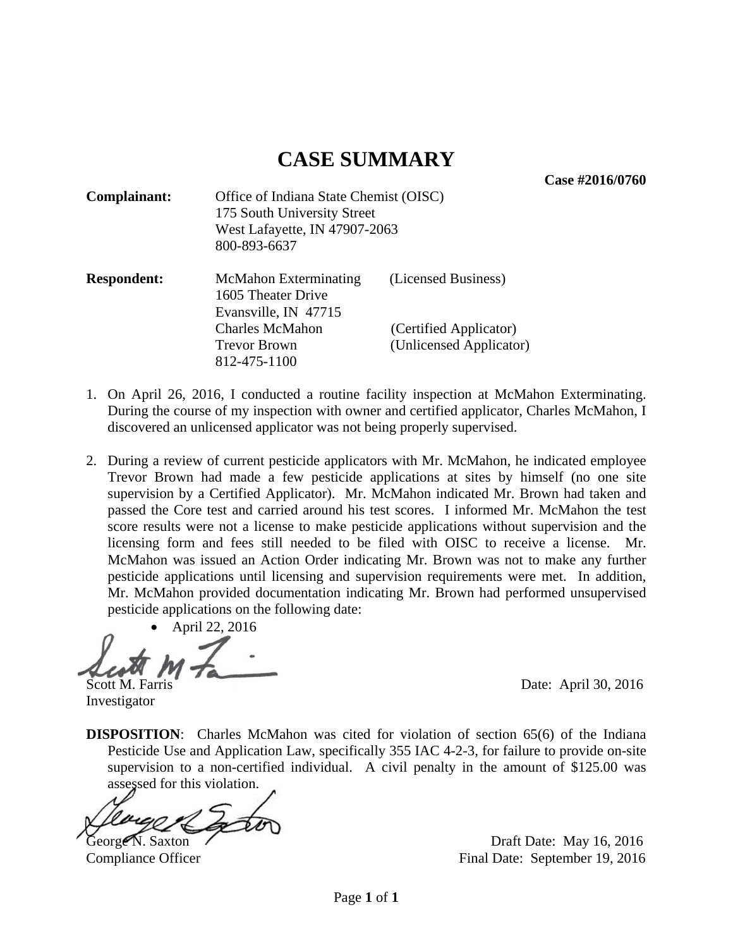**Case #2016/0760** 

| Complainant:       | Office of Indiana State Chemist (OISC)<br>175 South University Street<br>West Lafayette, IN 47907-2063<br>800-893-6637 |                                                   |
|--------------------|------------------------------------------------------------------------------------------------------------------------|---------------------------------------------------|
| <b>Respondent:</b> | <b>McMahon Exterminating</b><br>1605 Theater Drive<br>Evansville, IN 47715                                             | (Licensed Business)                               |
|                    | <b>Charles McMahon</b><br><b>Trevor Brown</b><br>812-475-1100                                                          | (Certified Applicator)<br>(Unlicensed Applicator) |

- 1. On April 26, 2016, I conducted a routine facility inspection at McMahon Exterminating. During the course of my inspection with owner and certified applicator, Charles McMahon, I discovered an unlicensed applicator was not being properly supervised.
- 2. During a review of current pesticide applicators with Mr. McMahon, he indicated employee Trevor Brown had made a few pesticide applications at sites by himself (no one site supervision by a Certified Applicator). Mr. McMahon indicated Mr. Brown had taken and passed the Core test and carried around his test scores. I informed Mr. McMahon the test score results were not a license to make pesticide applications without supervision and the licensing form and fees still needed to be filed with OISC to receive a license. Mr. McMahon was issued an Action Order indicating Mr. Brown was not to make any further pesticide applications until licensing and supervision requirements were met. In addition, Mr. McMahon provided documentation indicating Mr. Brown had performed unsupervised pesticide applications on the following date:

April 22, 2016

Scott M. Farris Date: April 30, 2016

Investigator

**DISPOSITION:** Charles McMahon was cited for violation of section 65(6) of the Indiana Pesticide Use and Application Law, specifically 355 IAC 4-2-3, for failure to provide on-site supervision to a non-certified individual. A civil penalty in the amount of \$125.00 was assessed for this violation.

George N. Saxton Casset N. Saxton Draft Date: May 16, 2016 Compliance Officer Final Date: September 19, 2016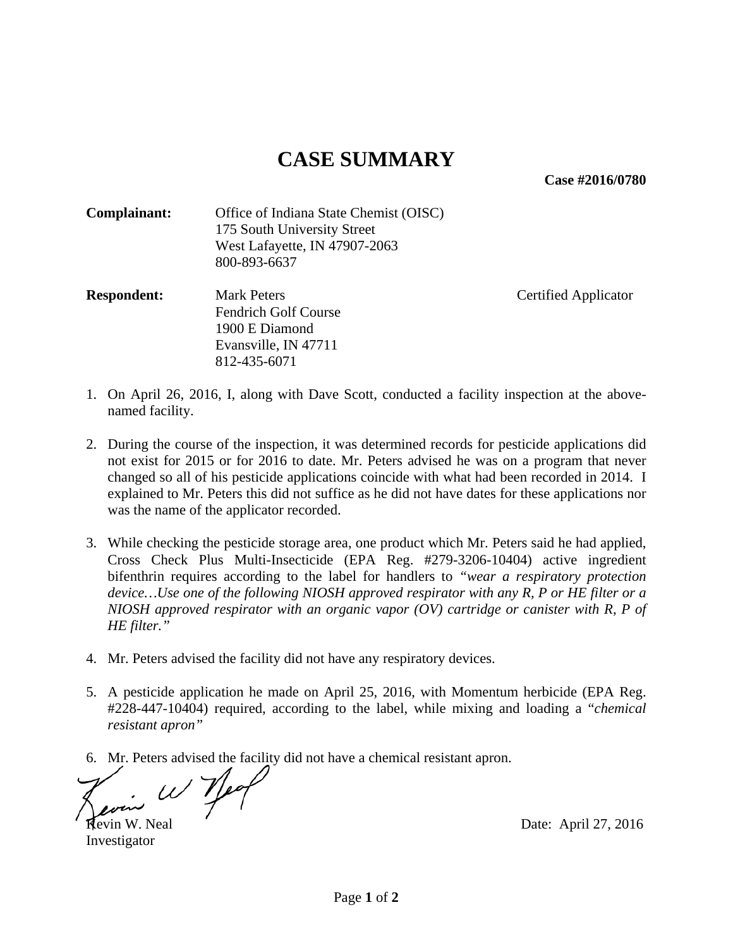**Case #2016/0780** 

| Complainant: | Office of Indiana State Chemist (OISC) |
|--------------|----------------------------------------|
|              | 175 South University Street            |
|              | West Lafayette, IN 47907-2063          |
|              | 800-893-6637                           |

**Respondent:** Mark Peters Certified Applicator Fendrich Golf Course 1900 E Diamond Evansville, IN 47711 812-435-6071

- 1. On April 26, 2016, I, along with Dave Scott, conducted a facility inspection at the abovenamed facility.
- 2. During the course of the inspection, it was determined records for pesticide applications did not exist for 2015 or for 2016 to date. Mr. Peters advised he was on a program that never changed so all of his pesticide applications coincide with what had been recorded in 2014. I explained to Mr. Peters this did not suffice as he did not have dates for these applications nor was the name of the applicator recorded.
- 3. While checking the pesticide storage area, one product which Mr. Peters said he had applied, Cross Check Plus Multi-Insecticide (EPA Reg. #279-3206-10404) active ingredient bifenthrin requires according to the label for handlers to *"wear a respiratory protection device…Use one of the following NIOSH approved respirator with any R, P or HE filter or a NIOSH approved respirator with an organic vapor (OV) cartridge or canister with R, P of HE filter."*
- 4. Mr. Peters advised the facility did not have any respiratory devices.
- 5. A pesticide application he made on April 25, 2016, with Momentum herbicide (EPA Reg. #228-447-10404) required, according to the label, while mixing and loading a "*chemical resistant apron"*
- 6. Mr. Peters advised the facility did not have a chemical resistant apron.

 $\omega$  yeq Kevin W. Neal Date: April 27, 2016

Investigator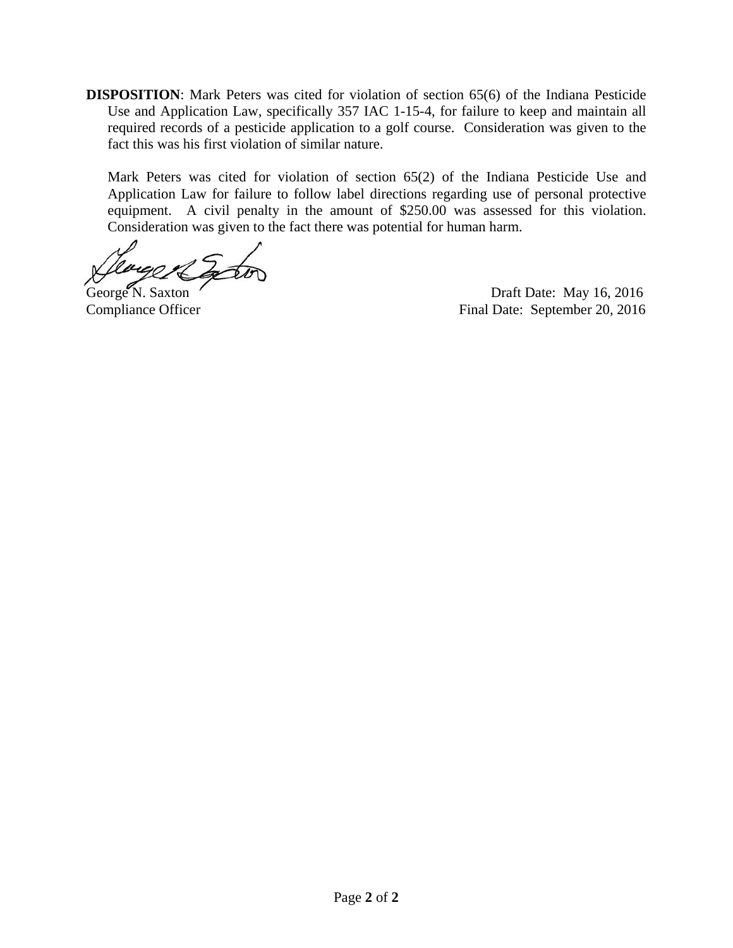**DISPOSITION**: Mark Peters was cited for violation of section 65(6) of the Indiana Pesticide Use and Application Law, specifically 357 IAC 1-15-4, for failure to keep and maintain all required records of a pesticide application to a golf course. Consideration was given to the fact this was his first violation of similar nature.

Mark Peters was cited for violation of section 65(2) of the Indiana Pesticide Use and Application Law for failure to follow label directions regarding use of personal protective equipment. A civil penalty in the amount of \$250.00 was assessed for this violation. Consideration was given to the fact there was potential for human harm.

George N. Saxton Draft Date: May 16, 2016 Compliance Officer Final Date: September 20, 2016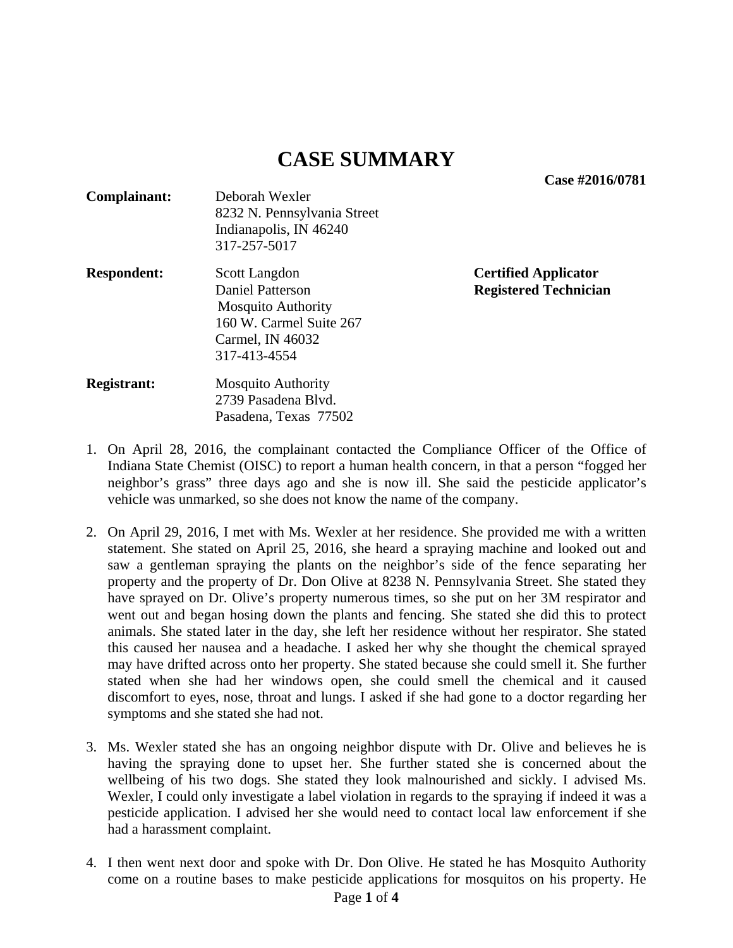**Case #2016/0781** 

| Complainant:       | Deborah Wexler              |
|--------------------|-----------------------------|
|                    | 8232 N. Pennsylvania Street |
|                    | Indianapolis, IN 46240      |
|                    | 317-257-5017                |
| <b>Respondent:</b> | Scott Langdon               |
|                    | <b>Daniel Patterson</b>     |
|                    | <b>Mosquito Authority</b>   |
|                    | 160 W. Carmel Suite 267     |
|                    | Carmel, IN 46032            |
|                    | 317-413-4554                |
|                    |                             |

**Certified Applicator Registered Technician** 

- **Registrant:** Mosquito Authority 2739 Pasadena Blvd. Pasadena, Texas 77502
- 1. On April 28, 2016, the complainant contacted the Compliance Officer of the Office of Indiana State Chemist (OISC) to report a human health concern, in that a person "fogged her neighbor's grass" three days ago and she is now ill. She said the pesticide applicator's vehicle was unmarked, so she does not know the name of the company.
- 2. On April 29, 2016, I met with Ms. Wexler at her residence. She provided me with a written statement. She stated on April 25, 2016, she heard a spraying machine and looked out and saw a gentleman spraying the plants on the neighbor's side of the fence separating her property and the property of Dr. Don Olive at 8238 N. Pennsylvania Street. She stated they have sprayed on Dr. Olive's property numerous times, so she put on her 3M respirator and went out and began hosing down the plants and fencing. She stated she did this to protect animals. She stated later in the day, she left her residence without her respirator. She stated this caused her nausea and a headache. I asked her why she thought the chemical sprayed may have drifted across onto her property. She stated because she could smell it. She further stated when she had her windows open, she could smell the chemical and it caused discomfort to eyes, nose, throat and lungs. I asked if she had gone to a doctor regarding her symptoms and she stated she had not.
- 3. Ms. Wexler stated she has an ongoing neighbor dispute with Dr. Olive and believes he is having the spraying done to upset her. She further stated she is concerned about the wellbeing of his two dogs. She stated they look malnourished and sickly. I advised Ms. Wexler, I could only investigate a label violation in regards to the spraying if indeed it was a pesticide application. I advised her she would need to contact local law enforcement if she had a harassment complaint.
- 4. I then went next door and spoke with Dr. Don Olive. He stated he has Mosquito Authority come on a routine bases to make pesticide applications for mosquitos on his property. He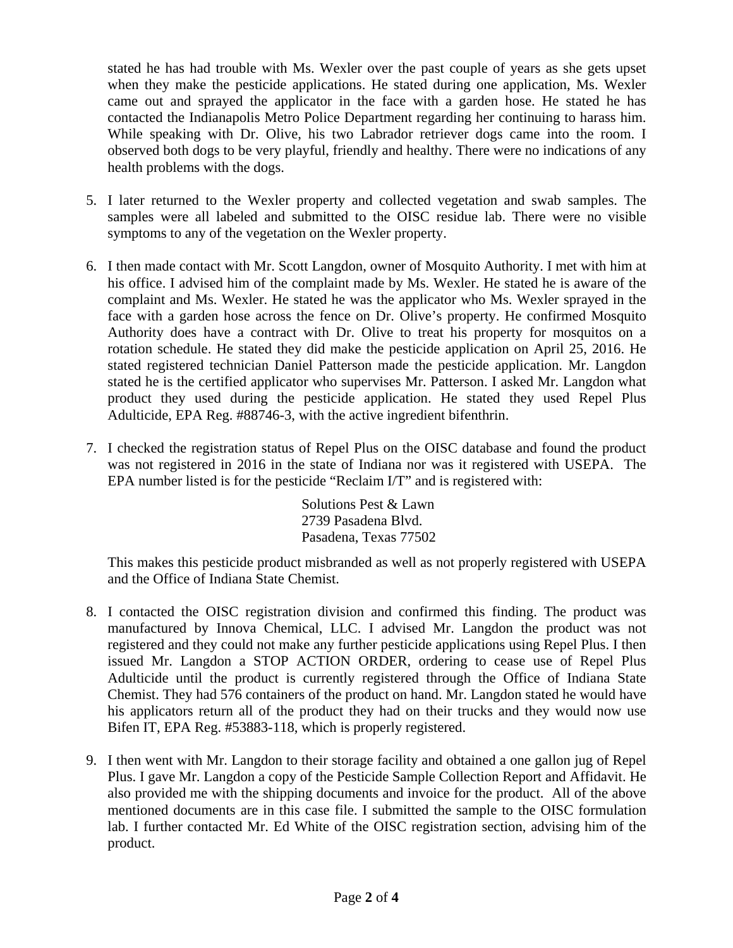stated he has had trouble with Ms. Wexler over the past couple of years as she gets upset when they make the pesticide applications. He stated during one application, Ms. Wexler came out and sprayed the applicator in the face with a garden hose. He stated he has contacted the Indianapolis Metro Police Department regarding her continuing to harass him. While speaking with Dr. Olive, his two Labrador retriever dogs came into the room. I observed both dogs to be very playful, friendly and healthy. There were no indications of any health problems with the dogs.

- 5. I later returned to the Wexler property and collected vegetation and swab samples. The samples were all labeled and submitted to the OISC residue lab. There were no visible symptoms to any of the vegetation on the Wexler property.
- 6. I then made contact with Mr. Scott Langdon, owner of Mosquito Authority. I met with him at his office. I advised him of the complaint made by Ms. Wexler. He stated he is aware of the complaint and Ms. Wexler. He stated he was the applicator who Ms. Wexler sprayed in the face with a garden hose across the fence on Dr. Olive's property. He confirmed Mosquito Authority does have a contract with Dr. Olive to treat his property for mosquitos on a rotation schedule. He stated they did make the pesticide application on April 25, 2016. He stated registered technician Daniel Patterson made the pesticide application. Mr. Langdon stated he is the certified applicator who supervises Mr. Patterson. I asked Mr. Langdon what product they used during the pesticide application. He stated they used Repel Plus Adulticide, EPA Reg. #88746-3, with the active ingredient bifenthrin.
- 7. I checked the registration status of Repel Plus on the OISC database and found the product was not registered in 2016 in the state of Indiana nor was it registered with USEPA. The EPA number listed is for the pesticide "Reclaim I/T" and is registered with:

Solutions Pest & Lawn 2739 Pasadena Blvd. Pasadena, Texas 77502

This makes this pesticide product misbranded as well as not properly registered with USEPA and the Office of Indiana State Chemist.

- 8. I contacted the OISC registration division and confirmed this finding. The product was manufactured by Innova Chemical, LLC. I advised Mr. Langdon the product was not registered and they could not make any further pesticide applications using Repel Plus. I then issued Mr. Langdon a STOP ACTION ORDER, ordering to cease use of Repel Plus Adulticide until the product is currently registered through the Office of Indiana State Chemist. They had 576 containers of the product on hand. Mr. Langdon stated he would have his applicators return all of the product they had on their trucks and they would now use Bifen IT, EPA Reg. #53883-118, which is properly registered.
- 9. I then went with Mr. Langdon to their storage facility and obtained a one gallon jug of Repel Plus. I gave Mr. Langdon a copy of the Pesticide Sample Collection Report and Affidavit. He also provided me with the shipping documents and invoice for the product. All of the above mentioned documents are in this case file. I submitted the sample to the OISC formulation lab. I further contacted Mr. Ed White of the OISC registration section, advising him of the product.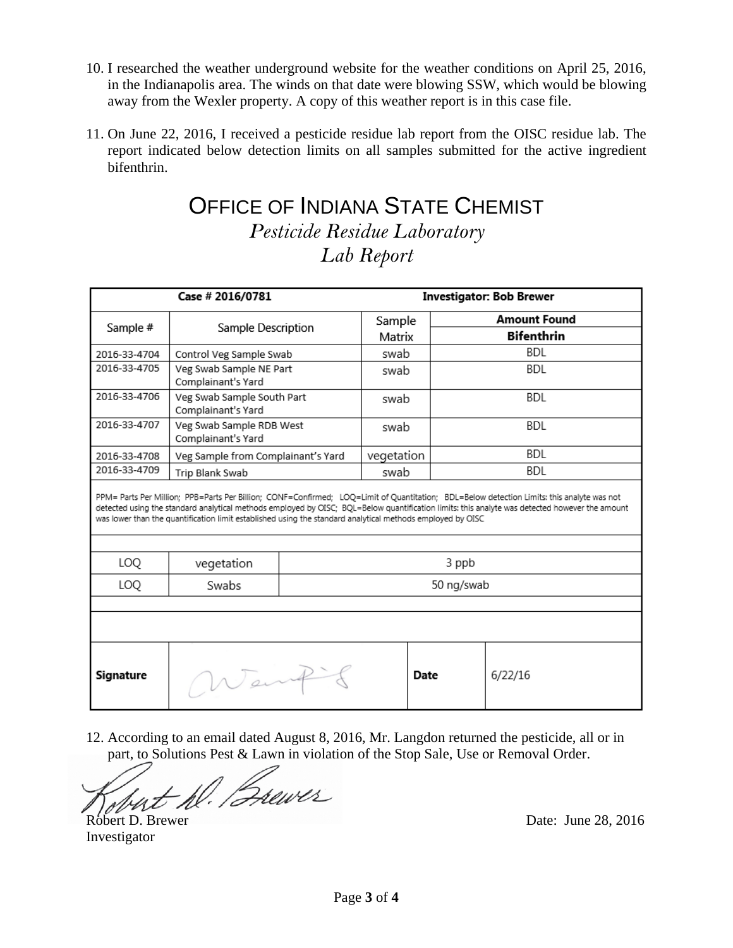- 10. I researched the weather underground website for the weather conditions on April 25, 2016, in the Indianapolis area. The winds on that date were blowing SSW, which would be blowing away from the Wexler property. A copy of this weather report is in this case file.
- 11. On June 22, 2016, I received a pesticide residue lab report from the OISC residue lab. The report indicated below detection limits on all samples submitted for the active ingredient bifenthrin.

### OFFICE OF INDIANA STATE CHEMIST *Pesticide Residue Laboratory Lab Report*

| Case # 2016/0781<br><b>Investigator: Bob Brewer</b>                                                                                                                                                                                                                                                                                                                                                        |                                                  |            |            |      |                     |
|------------------------------------------------------------------------------------------------------------------------------------------------------------------------------------------------------------------------------------------------------------------------------------------------------------------------------------------------------------------------------------------------------------|--------------------------------------------------|------------|------------|------|---------------------|
| Sample #                                                                                                                                                                                                                                                                                                                                                                                                   | Sample Description                               |            | Sample     |      | <b>Amount Found</b> |
|                                                                                                                                                                                                                                                                                                                                                                                                            |                                                  |            | Matrix     |      | <b>Bifenthrin</b>   |
| 2016-33-4704                                                                                                                                                                                                                                                                                                                                                                                               | Control Veg Sample Swab                          |            | swab       |      | <b>BDL</b>          |
| 2016-33-4705                                                                                                                                                                                                                                                                                                                                                                                               | Veg Swab Sample NE Part<br>Complainant's Yard    |            | swab       |      | <b>BDL</b>          |
| 2016-33-4706                                                                                                                                                                                                                                                                                                                                                                                               | Veg Swab Sample South Part<br>Complainant's Yard |            | swab       |      | <b>BDL</b>          |
| 2016-33-4707                                                                                                                                                                                                                                                                                                                                                                                               | Veg Swab Sample RDB West<br>Complainant's Yard   |            | swab       |      | BDL                 |
| 2016-33-4708                                                                                                                                                                                                                                                                                                                                                                                               | Veg Sample from Complainant's Yard               |            | vegetation |      | <b>BDL</b>          |
| 2016-33-4709                                                                                                                                                                                                                                                                                                                                                                                               | Trip Blank Swab                                  |            | swab       |      | BDL                 |
| PPM= Parts Per Million; PPB=Parts Per Billion; CONF=Confirmed; LOQ=Limit of Quantitation; BDL=Below detection Limits: this analyte was not<br>detected using the standard analytical methods employed by OISC; BQL=Below quantification limits: this analyte was detected however the amount<br>was lower than the quantification limit established using the standard analytical methods employed by OISC |                                                  |            |            |      |                     |
| LOQ                                                                                                                                                                                                                                                                                                                                                                                                        | 3 ppb<br>vegetation                              |            |            |      |                     |
| LOQ                                                                                                                                                                                                                                                                                                                                                                                                        | Swabs                                            | 50 ng/swab |            |      |                     |
|                                                                                                                                                                                                                                                                                                                                                                                                            |                                                  |            |            |      |                     |
|                                                                                                                                                                                                                                                                                                                                                                                                            |                                                  |            |            |      |                     |
| Signature                                                                                                                                                                                                                                                                                                                                                                                                  | Went                                             |            |            | Date | 6/22/16             |

12. According to an email dated August 8, 2016, Mr. Langdon returned the pesticide, all or in part, to Solutions Pest & Lawn in violation of the Stop Sale, Use or Removal Order.

Robert D. Brewer Date: June 28, 2016

Investigator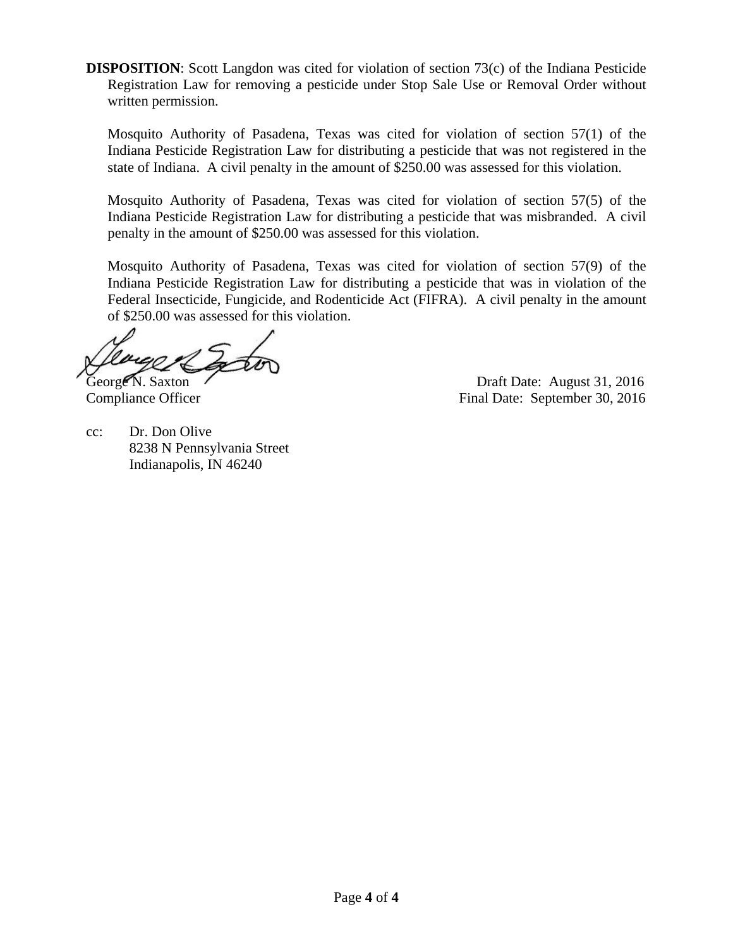**DISPOSITION:** Scott Langdon was cited for violation of section 73(c) of the Indiana Pesticide Registration Law for removing a pesticide under Stop Sale Use or Removal Order without written permission.

Mosquito Authority of Pasadena, Texas was cited for violation of section 57(1) of the Indiana Pesticide Registration Law for distributing a pesticide that was not registered in the state of Indiana. A civil penalty in the amount of \$250.00 was assessed for this violation.

Mosquito Authority of Pasadena, Texas was cited for violation of section 57(5) of the Indiana Pesticide Registration Law for distributing a pesticide that was misbranded. A civil penalty in the amount of \$250.00 was assessed for this violation.

Mosquito Authority of Pasadena, Texas was cited for violation of section 57(9) of the Indiana Pesticide Registration Law for distributing a pesticide that was in violation of the Federal Insecticide, Fungicide, and Rodenticide Act (FIFRA). A civil penalty in the amount of \$250.00 was assessed for this violation.

George N. Saxton (Christian Contract 2016) Draft Date: August 31, 2016 Compliance Officer Final Date: September 30, 2016

cc: Dr. Don Olive 8238 N Pennsylvania Street Indianapolis, IN 46240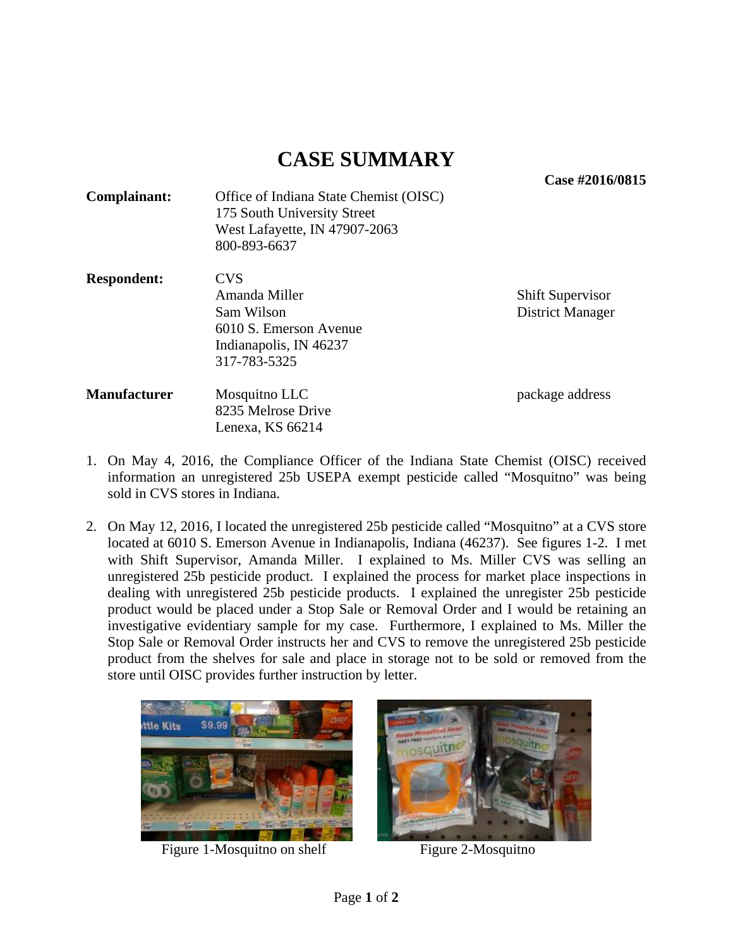**Case #2016/0815** 

| Complainant: | Office of Indiana State Chemist (OISC)<br>175 South University Street<br>West Lafayette, IN 47907-2063<br>800-893-6637 |  |
|--------------|------------------------------------------------------------------------------------------------------------------------|--|
| Dognondont:  | $\alpha$                                                                                                               |  |

**Respondent:** CVS Amanda Miller Shift Supervisor Sam Wilson District Manager 6010 S. Emerson Avenue Indianapolis, IN 46237 317-783-5325

**Manufacturer** Mosquitno LLC package address 8235 Melrose Drive Lenexa, KS 66214

- 1. On May 4, 2016, the Compliance Officer of the Indiana State Chemist (OISC) received information an unregistered 25b USEPA exempt pesticide called "Mosquitno" was being sold in CVS stores in Indiana.
- 2. On May 12, 2016, I located the unregistered 25b pesticide called "Mosquitno" at a CVS store located at 6010 S. Emerson Avenue in Indianapolis, Indiana (46237). See figures 1-2. I met with Shift Supervisor, Amanda Miller. I explained to Ms. Miller CVS was selling an unregistered 25b pesticide product. I explained the process for market place inspections in dealing with unregistered 25b pesticide products. I explained the unregister 25b pesticide product would be placed under a Stop Sale or Removal Order and I would be retaining an investigative evidentiary sample for my case. Furthermore, I explained to Ms. Miller the Stop Sale or Removal Order instructs her and CVS to remove the unregistered 25b pesticide product from the shelves for sale and place in storage not to be sold or removed from the store until OISC provides further instruction by letter.



Figure 1-Mosquitno on shelf Figure 2-Mosquitno

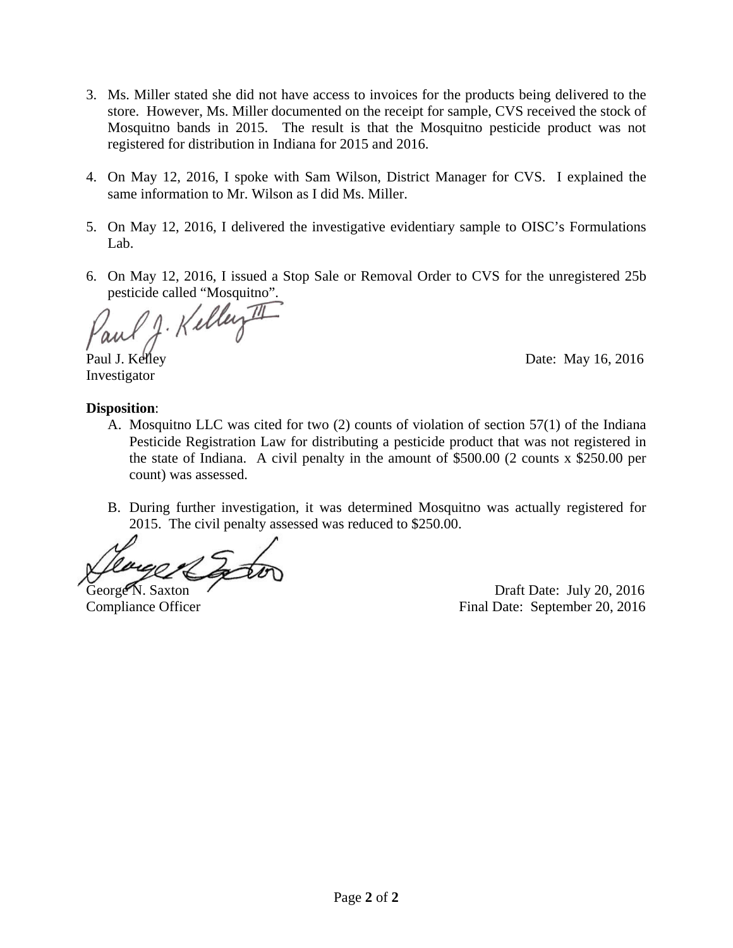- 3. Ms. Miller stated she did not have access to invoices for the products being delivered to the store. However, Ms. Miller documented on the receipt for sample, CVS received the stock of Mosquitno bands in 2015. The result is that the Mosquitno pesticide product was not registered for distribution in Indiana for 2015 and 2016.
- 4. On May 12, 2016, I spoke with Sam Wilson, District Manager for CVS. I explained the same information to Mr. Wilson as I did Ms. Miller.
- 5. On May 12, 2016, I delivered the investigative evidentiary sample to OISC's Formulations Lab.
- 6. On May 12, 2016, I issued a Stop Sale or Removal Order to CVS for the unregistered 25b pesticide called "Mosquitno".

J. Kelley

Investigator

Paul J. Kelley Date: May 16, 2016

#### **Disposition**:

- A. Mosquitno LLC was cited for two (2) counts of violation of section 57(1) of the Indiana Pesticide Registration Law for distributing a pesticide product that was not registered in the state of Indiana. A civil penalty in the amount of \$500.00 (2 counts x \$250.00 per count) was assessed.
- B. During further investigation, it was determined Mosquitno was actually registered for 2015. The civil penalty assessed was reduced to \$250.00.

George N. Saxton Casset N. Saxton Casset N. Saxton Draft Date: July 20, 2016 Compliance Officer Final Date: September 20, 2016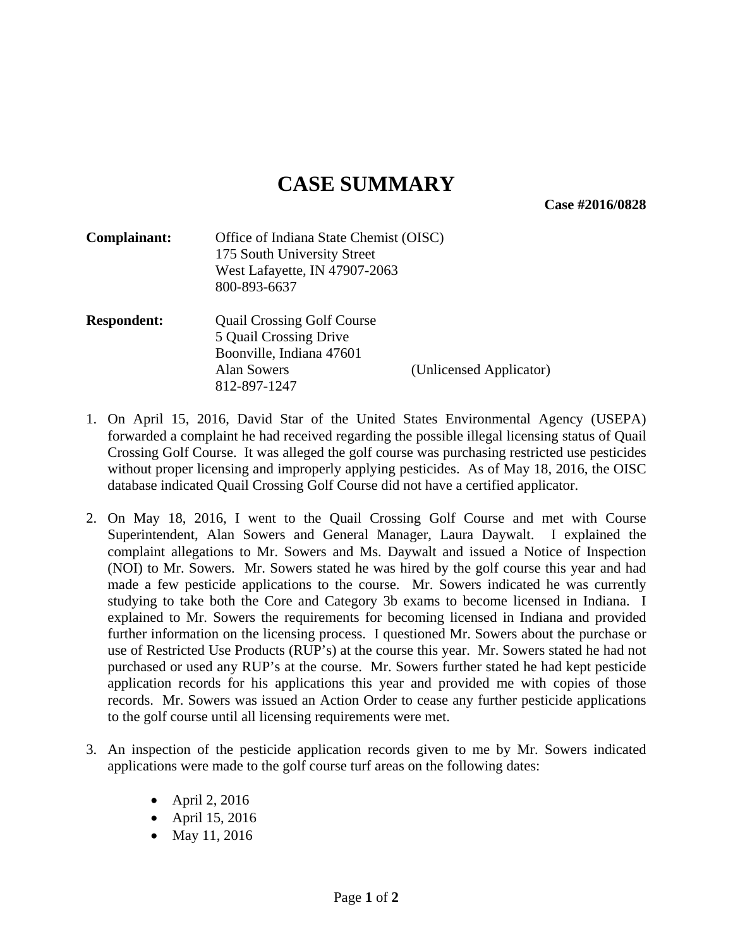**Case #2016/0828** 

| Complainant:       | Office of Indiana State Chemist (OISC)<br>175 South University Street<br>West Lafayette, IN 47907-2063<br>800-893-6637        |                         |
|--------------------|-------------------------------------------------------------------------------------------------------------------------------|-------------------------|
| <b>Respondent:</b> | <b>Quail Crossing Golf Course</b><br>5 Quail Crossing Drive<br>Boonville, Indiana 47601<br><b>Alan Sowers</b><br>812-897-1247 | (Unlicensed Applicator) |

- 1. On April 15, 2016, David Star of the United States Environmental Agency (USEPA) forwarded a complaint he had received regarding the possible illegal licensing status of Quail Crossing Golf Course. It was alleged the golf course was purchasing restricted use pesticides without proper licensing and improperly applying pesticides. As of May 18, 2016, the OISC database indicated Quail Crossing Golf Course did not have a certified applicator.
- 2. On May 18, 2016, I went to the Quail Crossing Golf Course and met with Course Superintendent, Alan Sowers and General Manager, Laura Daywalt. I explained the complaint allegations to Mr. Sowers and Ms. Daywalt and issued a Notice of Inspection (NOI) to Mr. Sowers. Mr. Sowers stated he was hired by the golf course this year and had made a few pesticide applications to the course. Mr. Sowers indicated he was currently studying to take both the Core and Category 3b exams to become licensed in Indiana. I explained to Mr. Sowers the requirements for becoming licensed in Indiana and provided further information on the licensing process. I questioned Mr. Sowers about the purchase or use of Restricted Use Products (RUP's) at the course this year. Mr. Sowers stated he had not purchased or used any RUP's at the course. Mr. Sowers further stated he had kept pesticide application records for his applications this year and provided me with copies of those records. Mr. Sowers was issued an Action Order to cease any further pesticide applications to the golf course until all licensing requirements were met.
- 3. An inspection of the pesticide application records given to me by Mr. Sowers indicated applications were made to the golf course turf areas on the following dates:
	- April 2, 2016
	- April 15, 2016
	- May 11, 2016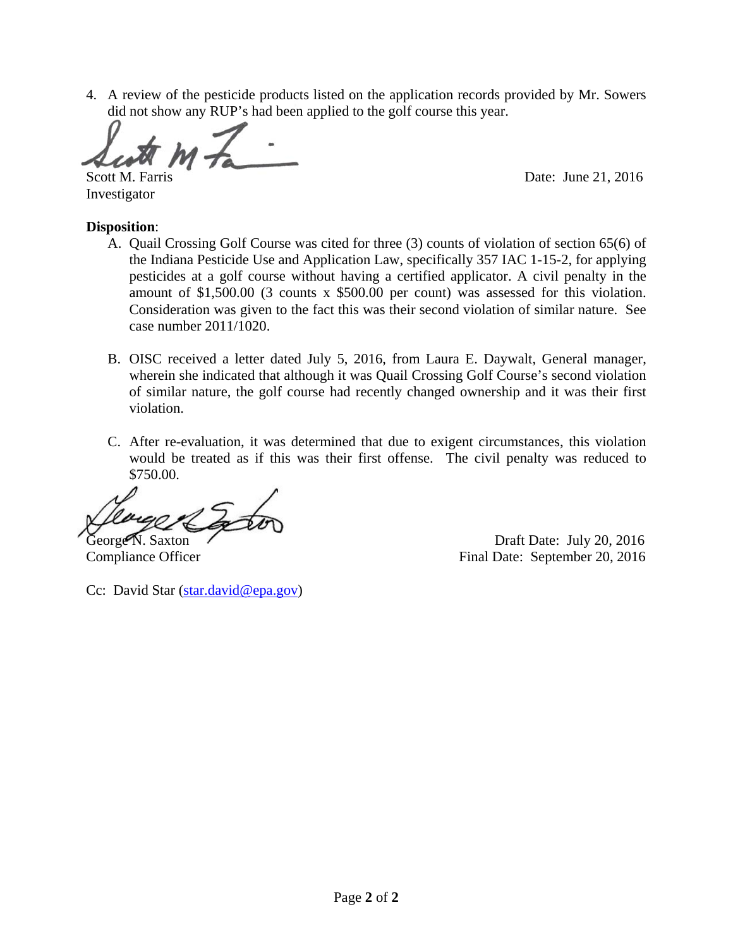4. A review of the pesticide products listed on the application records provided by Mr. Sowers did not show any RUP's had been applied to the golf course this year.

Investigator

Scott M. Farris Date: June 21, 2016

#### **Disposition**:

- A. Quail Crossing Golf Course was cited for three (3) counts of violation of section 65(6) of the Indiana Pesticide Use and Application Law, specifically 357 IAC 1-15-2, for applying pesticides at a golf course without having a certified applicator. A civil penalty in the amount of \$1,500.00 (3 counts x \$500.00 per count) was assessed for this violation. Consideration was given to the fact this was their second violation of similar nature. See case number 2011/1020.
- B. OISC received a letter dated July 5, 2016, from Laura E. Daywalt, General manager, wherein she indicated that although it was Quail Crossing Golf Course's second violation of similar nature, the golf course had recently changed ownership and it was their first violation.
- C. After re-evaluation, it was determined that due to exigent circumstances, this violation would be treated as if this was their first offense. The civil penalty was reduced to \$750.00.

George N. Saxton Draft Date: July 20, 2016 Compliance Officer Final Date: September 20, 2016

Cc: David Star (star.david@epa.gov)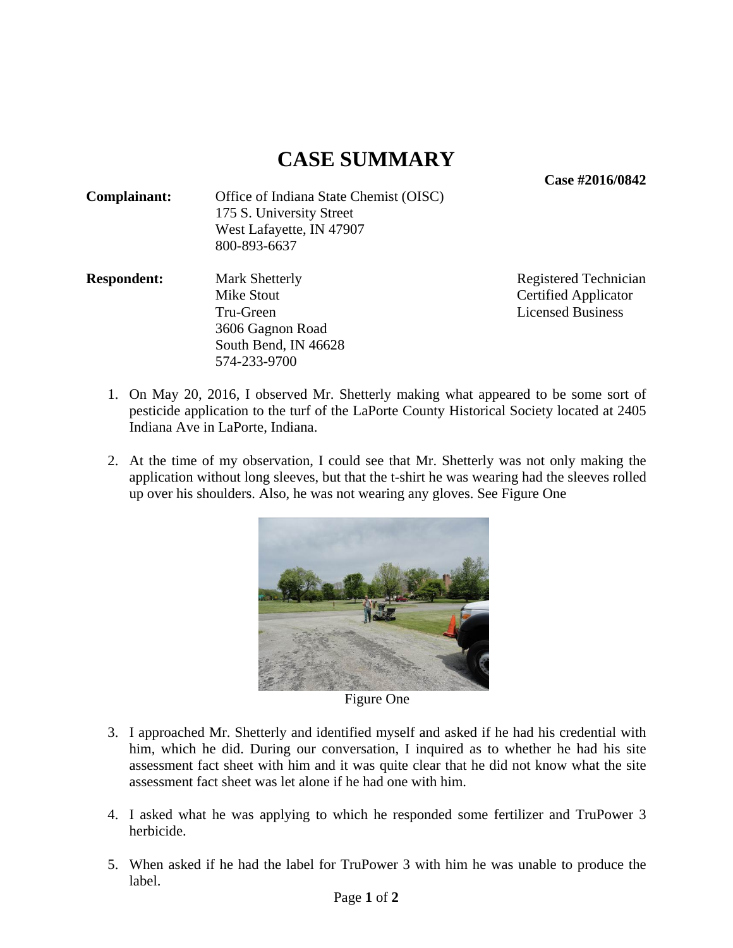**Case #2016/0842** 

| Complainant: | Office of Indiana State Chemist (OISC) |
|--------------|----------------------------------------|
|              | 175 S. University Street               |
|              | West Lafayette, IN 47907               |
|              | 800-893-6637                           |

**Respondent:** Mark Shetterly Registered Technician Mike Stout **Certified Applicator**  Tru-Green Licensed Business 3606 Gagnon Road South Bend, IN 46628 574-233-9700

- 1. On May 20, 2016, I observed Mr. Shetterly making what appeared to be some sort of pesticide application to the turf of the LaPorte County Historical Society located at 2405 Indiana Ave in LaPorte, Indiana.
- 2. At the time of my observation, I could see that Mr. Shetterly was not only making the application without long sleeves, but that the t-shirt he was wearing had the sleeves rolled up over his shoulders. Also, he was not wearing any gloves. See Figure One



Figure One

- 3. I approached Mr. Shetterly and identified myself and asked if he had his credential with him, which he did. During our conversation, I inquired as to whether he had his site assessment fact sheet with him and it was quite clear that he did not know what the site assessment fact sheet was let alone if he had one with him.
- 4. I asked what he was applying to which he responded some fertilizer and TruPower 3 herbicide.
- 5. When asked if he had the label for TruPower 3 with him he was unable to produce the label.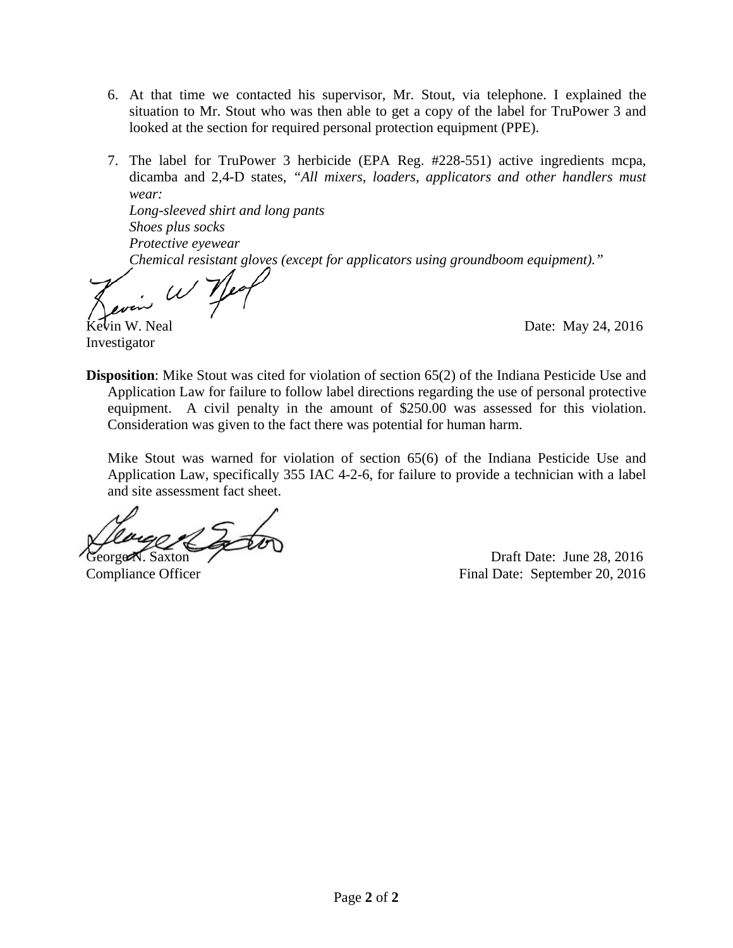- 6. At that time we contacted his supervisor, Mr. Stout, via telephone. I explained the situation to Mr. Stout who was then able to get a copy of the label for TruPower 3 and looked at the section for required personal protection equipment (PPE).
- 7. The label for TruPower 3 herbicide (EPA Reg. #228-551) active ingredients mcpa, dicamba and 2,4-D states, *"All mixers, loaders, applicators and other handlers must wear:*

*Long-sleeved shirt and long pants Shoes plus socks Protective eyewear Chemical resistant gloves (except for applicators using groundboom equipment)."* 

Investigator

 $\mu$  Date: May 24, 2016

**Disposition**: Mike Stout was cited for violation of section 65(2) of the Indiana Pesticide Use and Application Law for failure to follow label directions regarding the use of personal protective equipment. A civil penalty in the amount of \$250.00 was assessed for this violation. Consideration was given to the fact there was potential for human harm.

Mike Stout was warned for violation of section 65(6) of the Indiana Pesticide Use and Application Law, specifically 355 IAC 4-2-6, for failure to provide a technician with a label and site assessment fact sheet.

George N. Saxton Draft Date: June 28, 2016

Compliance Officer Final Date: September 20, 2016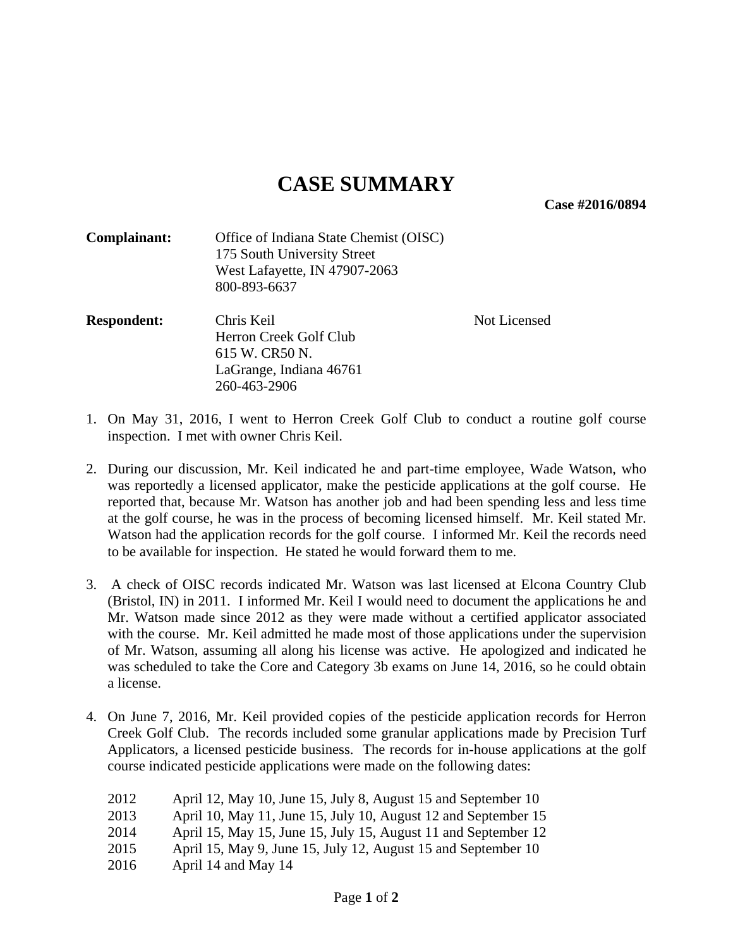**Case #2016/0894** 

| Complainant:       | Office of Indiana State Chemist (OISC)<br>175 South University Street<br>West Lafayette, IN 47907-2063<br>800-893-6637 |              |
|--------------------|------------------------------------------------------------------------------------------------------------------------|--------------|
| <b>Respondent:</b> | Chris Keil<br>Herron Creek Golf Club<br>615 W. CR50 N.<br>LaGrange, Indiana 46761<br>260-463-2906                      | Not Licensed |

- 1. On May 31, 2016, I went to Herron Creek Golf Club to conduct a routine golf course inspection. I met with owner Chris Keil.
- 2. During our discussion, Mr. Keil indicated he and part-time employee, Wade Watson, who was reportedly a licensed applicator, make the pesticide applications at the golf course. He reported that, because Mr. Watson has another job and had been spending less and less time at the golf course, he was in the process of becoming licensed himself. Mr. Keil stated Mr. Watson had the application records for the golf course. I informed Mr. Keil the records need to be available for inspection. He stated he would forward them to me.
- 3. A check of OISC records indicated Mr. Watson was last licensed at Elcona Country Club (Bristol, IN) in 2011. I informed Mr. Keil I would need to document the applications he and Mr. Watson made since 2012 as they were made without a certified applicator associated with the course. Mr. Keil admitted he made most of those applications under the supervision of Mr. Watson, assuming all along his license was active. He apologized and indicated he was scheduled to take the Core and Category 3b exams on June 14, 2016, so he could obtain a license.
- 4. On June 7, 2016, Mr. Keil provided copies of the pesticide application records for Herron Creek Golf Club. The records included some granular applications made by Precision Turf Applicators, a licensed pesticide business. The records for in-house applications at the golf course indicated pesticide applications were made on the following dates:
	- 2012 April 12, May 10, June 15, July 8, August 15 and September 10 2013 April 10, May 11, June 15, July 10, August 12 and September 15 2014 April 15, May 15, June 15, July 15, August 11 and September 12 2015 April 15, May 9, June 15, July 12, August 15 and September 10 2016 April 14 and May 14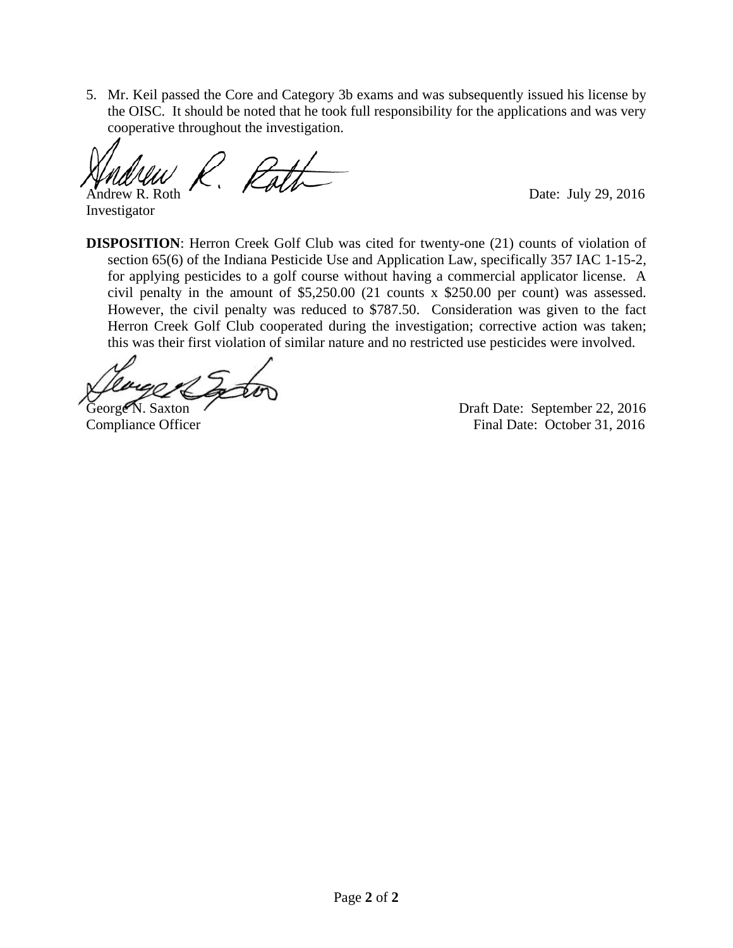5. Mr. Keil passed the Core and Category 3b exams and was subsequently issued his license by the OISC. It should be noted that he took full responsibility for the applications and was very cooperative throughout the investigation.

Path Í Andrew R. Roth Date: July 29, 2016

Investigator

**DISPOSITION**: Herron Creek Golf Club was cited for twenty-one (21) counts of violation of section 65(6) of the Indiana Pesticide Use and Application Law, specifically 357 IAC 1-15-2, for applying pesticides to a golf course without having a commercial applicator license. A civil penalty in the amount of \$5,250.00 (21 counts x \$250.00 per count) was assessed. However, the civil penalty was reduced to \$787.50. Consideration was given to the fact Herron Creek Golf Club cooperated during the investigation; corrective action was taken; this was their first violation of similar nature and no restricted use pesticides were involved.

George N. Saxton (*Corge N. Saxton*) Compliance Officer Final Date: October 31, 2016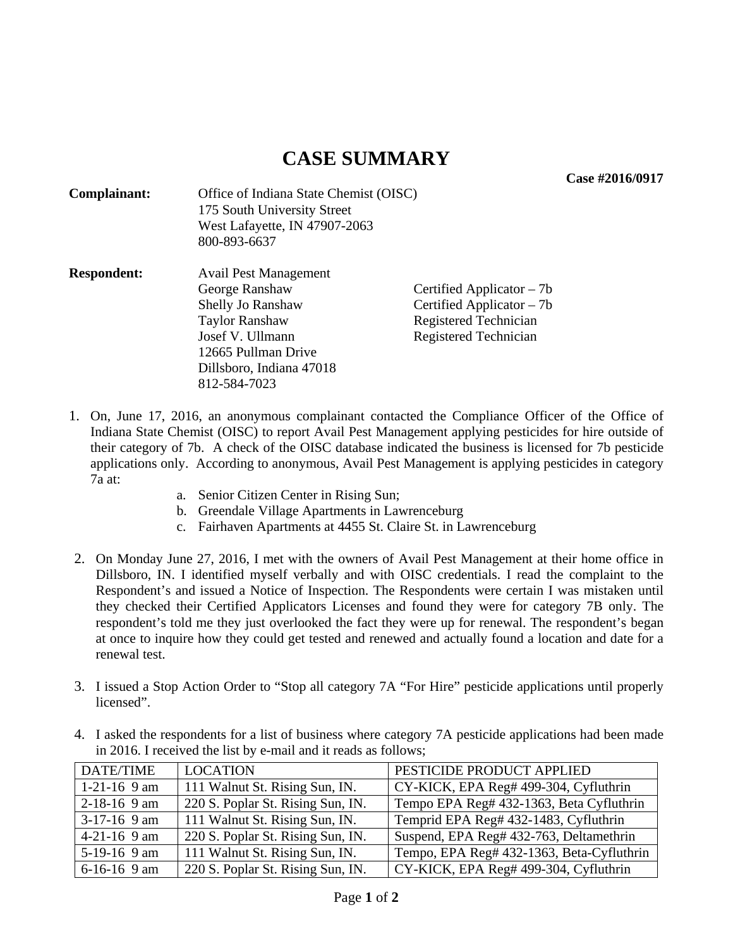**Case #2016/0917** 

| Complainant:       | Office of Indiana State Chemist (OISC)<br>175 South University Street<br>West Lafayette, IN 47907-2063<br>800-893-6637                                                       |                                                                                                            |
|--------------------|------------------------------------------------------------------------------------------------------------------------------------------------------------------------------|------------------------------------------------------------------------------------------------------------|
| <b>Respondent:</b> | Avail Pest Management<br>George Ranshaw<br>Shelly Jo Ranshaw<br><b>Taylor Ranshaw</b><br>Josef V. Ullmann<br>12665 Pullman Drive<br>Dillsboro, Indiana 47018<br>812-584-7023 | Certified Applicator $-7b$<br>Certified Applicator $-7b$<br>Registered Technician<br>Registered Technician |

- 1. On, June 17, 2016, an anonymous complainant contacted the Compliance Officer of the Office of Indiana State Chemist (OISC) to report Avail Pest Management applying pesticides for hire outside of their category of 7b. A check of the OISC database indicated the business is licensed for 7b pesticide applications only. According to anonymous, Avail Pest Management is applying pesticides in category 7a at:
	- a. Senior Citizen Center in Rising Sun;
	- b. Greendale Village Apartments in Lawrenceburg
	- c. Fairhaven Apartments at 4455 St. Claire St. in Lawrenceburg
- 2. On Monday June 27, 2016, I met with the owners of Avail Pest Management at their home office in Dillsboro, IN. I identified myself verbally and with OISC credentials. I read the complaint to the Respondent's and issued a Notice of Inspection. The Respondents were certain I was mistaken until they checked their Certified Applicators Licenses and found they were for category 7B only. The respondent's told me they just overlooked the fact they were up for renewal. The respondent's began at once to inquire how they could get tested and renewed and actually found a location and date for a renewal test.
- 3. I issued a Stop Action Order to "Stop all category 7A "For Hire" pesticide applications until properly licensed".
- 4. I asked the respondents for a list of business where category 7A pesticide applications had been made in 2016. I received the list by e-mail and it reads as follows;

| <b>DATE/TIME</b> | <b>LOCATION</b>                   | PESTICIDE PRODUCT APPLIED                 |
|------------------|-----------------------------------|-------------------------------------------|
| $1-21-16$ 9 am   | 111 Walnut St. Rising Sun, IN.    | CY-KICK, EPA Reg# 499-304, Cyfluthrin     |
| $2-18-16$ 9 am   | 220 S. Poplar St. Rising Sun, IN. | Tempo EPA Reg# 432-1363, Beta Cyfluthrin  |
| $3-17-16$ 9 am   | 111 Walnut St. Rising Sun, IN.    | Temprid EPA Reg# 432-1483, Cyfluthrin     |
| $4-21-16$ 9 am   | 220 S. Poplar St. Rising Sun, IN. | Suspend, EPA Reg# 432-763, Deltamethrin   |
| $5-19-16$ 9 am   | 111 Walnut St. Rising Sun, IN.    | Tempo, EPA Reg# 432-1363, Beta-Cyfluthrin |
| $6-16-16$ 9 am   | 220 S. Poplar St. Rising Sun, IN. | CY-KICK, EPA Reg# 499-304, Cyfluthrin     |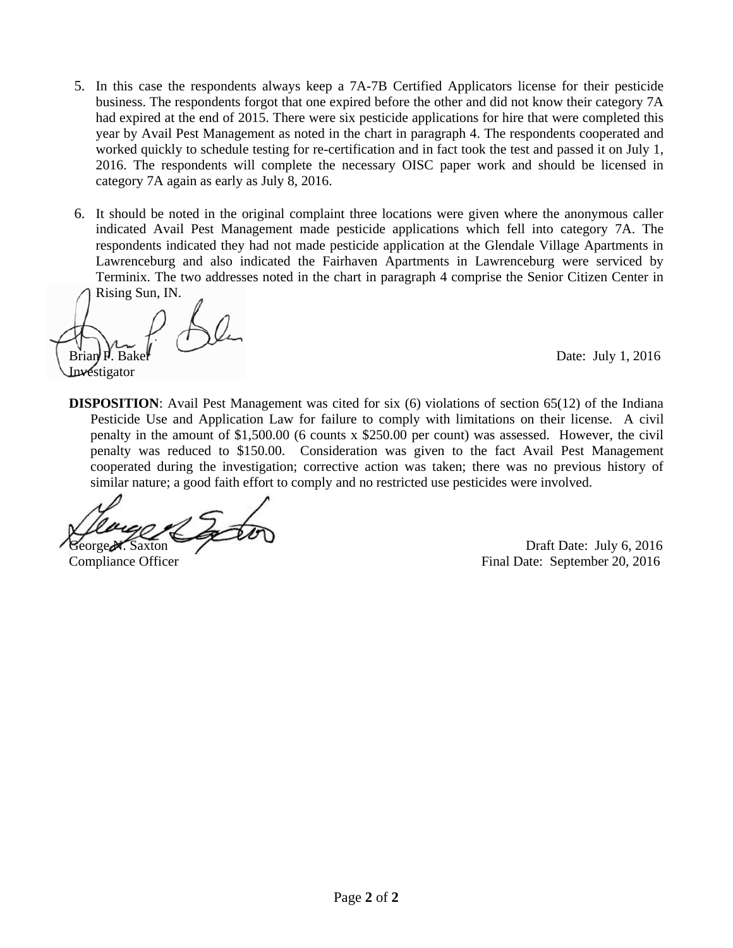- 5. In this case the respondents always keep a 7A-7B Certified Applicators license for their pesticide business. The respondents forgot that one expired before the other and did not know their category 7A had expired at the end of 2015. There were six pesticide applications for hire that were completed this year by Avail Pest Management as noted in the chart in paragraph 4. The respondents cooperated and worked quickly to schedule testing for re-certification and in fact took the test and passed it on July 1, 2016. The respondents will complete the necessary OISC paper work and should be licensed in category 7A again as early as July 8, 2016.
- 6. It should be noted in the original complaint three locations were given where the anonymous caller indicated Avail Pest Management made pesticide applications which fell into category 7A. The respondents indicated they had not made pesticide application at the Glendale Village Apartments in Lawrenceburg and also indicated the Fairhaven Apartments in Lawrenceburg were serviced by Terminix. The two addresses noted in the chart in paragraph 4 comprise the Senior Citizen Center in Rising Sun, IN.

**Investigator** 

Date: July 1,  $2016$ 

**DISPOSITION**: Avail Pest Management was cited for six (6) violations of section 65(12) of the Indiana Pesticide Use and Application Law for failure to comply with limitations on their license. A civil penalty in the amount of \$1,500.00 (6 counts x \$250.00 per count) was assessed. However, the civil penalty was reduced to \$150.00. Consideration was given to the fact Avail Pest Management cooperated during the investigation; corrective action was taken; there was no previous history of similar nature; a good faith effort to comply and no restricted use pesticides were involved.

George N. Saxton Draft Date: July 6, 2016<br>Compliance Officer Final Date: September 20, 2016 Final Date: September 20, 2016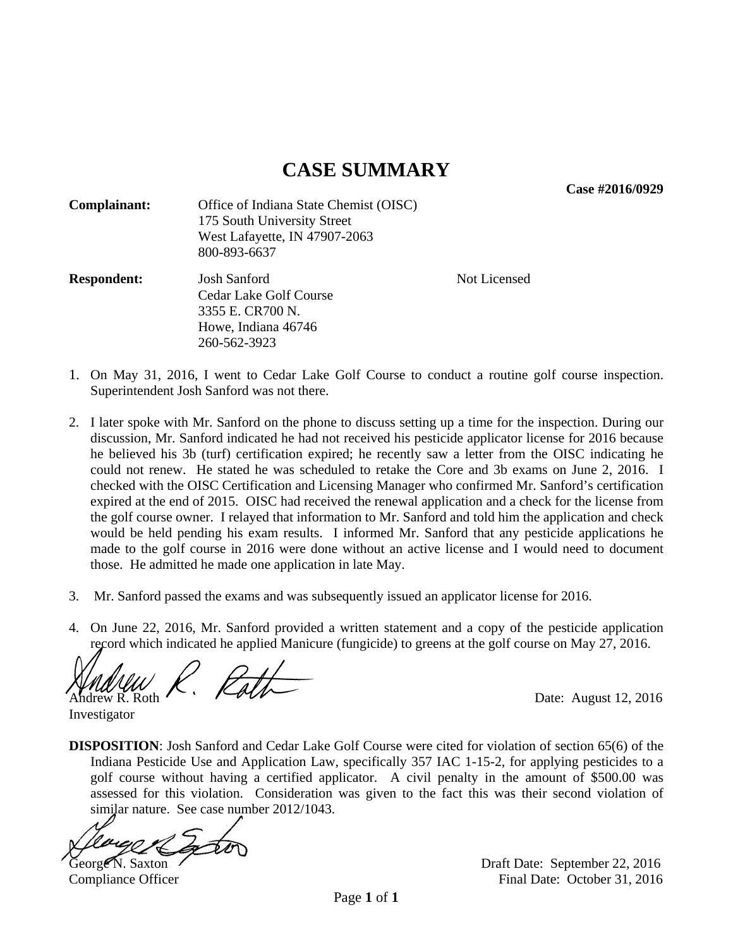**Case #2016/0929** 

| Complainant:       | Office of Indiana State Chemist (OISC)<br>175 South University Street<br>West Lafayette, IN 47907-2063<br>800-893-6637 |              |
|--------------------|------------------------------------------------------------------------------------------------------------------------|--------------|
| <b>Respondent:</b> | Josh Sanford<br>Cedar Lake Golf Course<br>3355 E. CR700 N.<br>Howe, Indiana 46746<br>260-562-3923                      | Not Licensed |

- 1. On May 31, 2016, I went to Cedar Lake Golf Course to conduct a routine golf course inspection. Superintendent Josh Sanford was not there.
- 2. I later spoke with Mr. Sanford on the phone to discuss setting up a time for the inspection. During our discussion, Mr. Sanford indicated he had not received his pesticide applicator license for 2016 because he believed his 3b (turf) certification expired; he recently saw a letter from the OISC indicating he could not renew. He stated he was scheduled to retake the Core and 3b exams on June 2, 2016. I checked with the OISC Certification and Licensing Manager who confirmed Mr. Sanford's certification expired at the end of 2015. OISC had received the renewal application and a check for the license from the golf course owner. I relayed that information to Mr. Sanford and told him the application and check would be held pending his exam results. I informed Mr. Sanford that any pesticide applications he made to the golf course in 2016 were done without an active license and I would need to document those. He admitted he made one application in late May.
- 3. Mr. Sanford passed the exams and was subsequently issued an applicator license for 2016.
- 4. On June 22, 2016, Mr. Sanford provided a written statement and a copy of the pesticide application record which indicated he applied Manicure (fungicide) to greens at the golf course on May 27, 2016.

Path Andrew R. Roth  $\sqrt{2}$   $\sqrt{2}$   $\sqrt{2}$   $\sqrt{2}$  Date: August 12, 2016

**DISPOSITION**: Josh Sanford and Cedar Lake Golf Course were cited for violation of section 65(6) of the Indiana Pesticide Use and Application Law, specifically 357 IAC 1-15-2, for applying pesticides to a golf course without having a certified applicator. A civil penalty in the amount of \$500.00 was assessed for this violation. Consideration was given to the fact this was their second violation of similar nature. See case number 2012/1043.

Investigator

George N. Saxton Casset Contract Contract Contract Contract Contract Contract Contract Contract Contract Contract Contract Contract Contract Contract Contract Contract Contract Contract Contract Contract Contract Contract Compliance Officer **Final Date: October 31, 2016**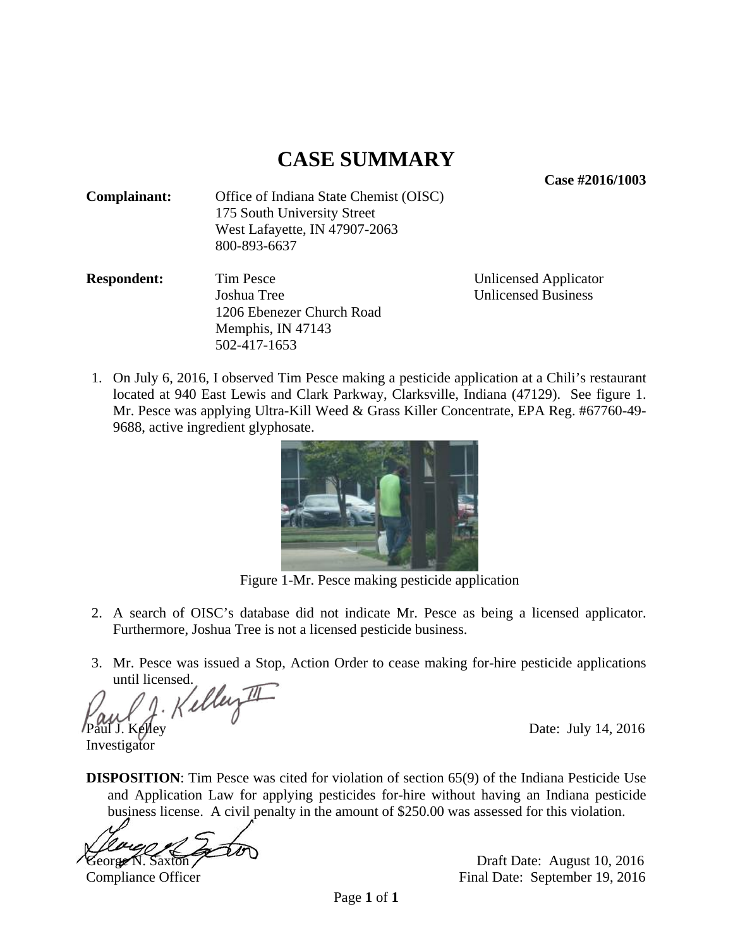**Case #2016/1003** 

| Complainant: | Office of Indiana State Chemist (OISC) |
|--------------|----------------------------------------|
|              | 175 South University Street            |
|              | West Lafayette, IN 47907-2063          |
|              | 800-893-6637                           |

**Respondent:** Tim Pesce Unlicensed Applicator Joshua Tree Unlicensed Business 1206 Ebenezer Church Road Memphis, IN 47143 502-417-1653

1. On July 6, 2016, I observed Tim Pesce making a pesticide application at a Chili's restaurant located at 940 East Lewis and Clark Parkway, Clarksville, Indiana (47129). See figure 1. Mr. Pesce was applying Ultra-Kill Weed & Grass Killer Concentrate, EPA Reg. #67760-49- 9688, active ingredient glyphosate.



Figure 1-Mr. Pesce making pesticide application

- 2. A search of OISC's database did not indicate Mr. Pesce as being a licensed applicator. Furthermore, Joshua Tree is not a licensed pesticide business.
- 3. Mr. Pesce was issued a Stop, Action Order to cease making for-hire pesticide applications

until licensed.<br>W.J. Kelley II Paul J. Kelley Date: July 14, 2016

Investigator

**DISPOSITION:** Tim Pesce was cited for violation of section 65(9) of the Indiana Pesticide Use and Application Law for applying pesticides for-hire without having an Indiana pesticide business license. A civil penalty in the amount of \$250.00 was assessed for this violation.

j George N. Saxton Contract Contract Draft Date: August 10, 2016

Compliance Officer Final Date: September 19, 2016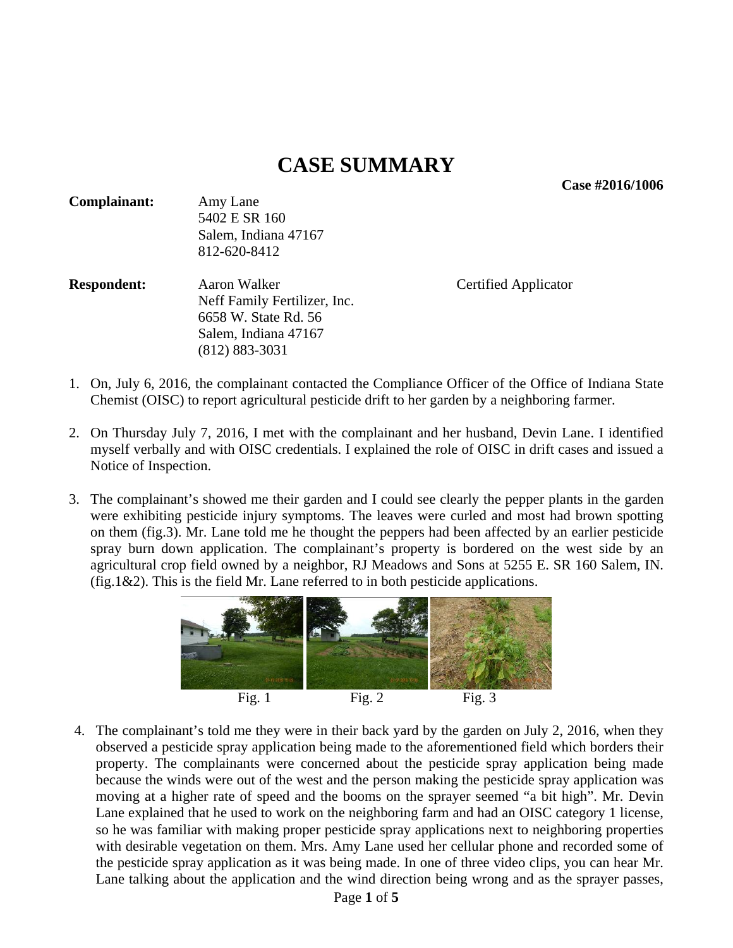**Case #2016/1006** 

| <b>Complainant:</b> | Amy Lane<br>5402 E SR 160<br>Salem, Indiana 47167<br>812-620-8412                                                  |                             |
|---------------------|--------------------------------------------------------------------------------------------------------------------|-----------------------------|
| <b>Respondent:</b>  | Aaron Walker<br>Neff Family Fertilizer, Inc.<br>6658 W. State Rd. 56<br>Salem, Indiana 47167<br>$(812) 883 - 3031$ | <b>Certified Applicator</b> |

- 1. On, July 6, 2016, the complainant contacted the Compliance Officer of the Office of Indiana State Chemist (OISC) to report agricultural pesticide drift to her garden by a neighboring farmer.
- 2. On Thursday July 7, 2016, I met with the complainant and her husband, Devin Lane. I identified myself verbally and with OISC credentials. I explained the role of OISC in drift cases and issued a Notice of Inspection.
- 3. The complainant's showed me their garden and I could see clearly the pepper plants in the garden were exhibiting pesticide injury symptoms. The leaves were curled and most had brown spotting on them (fig.3). Mr. Lane told me he thought the peppers had been affected by an earlier pesticide spray burn down application. The complainant's property is bordered on the west side by an agricultural crop field owned by a neighbor, RJ Meadows and Sons at 5255 E. SR 160 Salem, IN. (fig.1&2). This is the field Mr. Lane referred to in both pesticide applications.



4. The complainant's told me they were in their back yard by the garden on July 2, 2016, when they observed a pesticide spray application being made to the aforementioned field which borders their property. The complainants were concerned about the pesticide spray application being made because the winds were out of the west and the person making the pesticide spray application was moving at a higher rate of speed and the booms on the sprayer seemed "a bit high". Mr. Devin Lane explained that he used to work on the neighboring farm and had an OISC category 1 license, so he was familiar with making proper pesticide spray applications next to neighboring properties with desirable vegetation on them. Mrs. Amy Lane used her cellular phone and recorded some of the pesticide spray application as it was being made. In one of three video clips, you can hear Mr. Lane talking about the application and the wind direction being wrong and as the sprayer passes,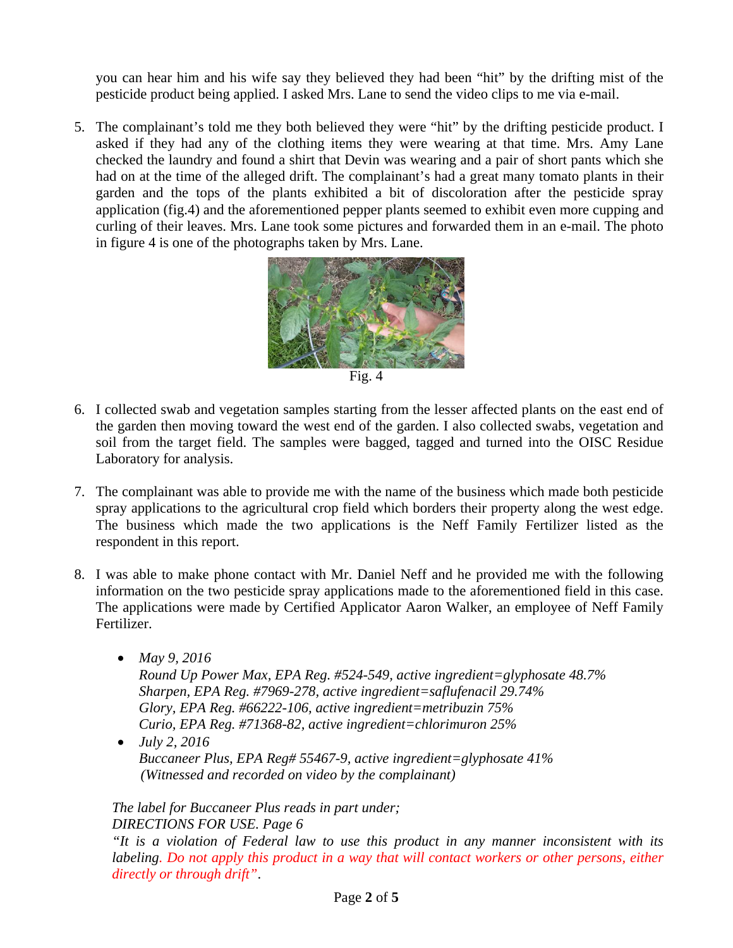you can hear him and his wife say they believed they had been "hit" by the drifting mist of the pesticide product being applied. I asked Mrs. Lane to send the video clips to me via e-mail.

5. The complainant's told me they both believed they were "hit" by the drifting pesticide product. I asked if they had any of the clothing items they were wearing at that time. Mrs. Amy Lane checked the laundry and found a shirt that Devin was wearing and a pair of short pants which she had on at the time of the alleged drift. The complainant's had a great many tomato plants in their garden and the tops of the plants exhibited a bit of discoloration after the pesticide spray application (fig.4) and the aforementioned pepper plants seemed to exhibit even more cupping and curling of their leaves. Mrs. Lane took some pictures and forwarded them in an e-mail. The photo in figure 4 is one of the photographs taken by Mrs. Lane.



Fig. 4

- 6. I collected swab and vegetation samples starting from the lesser affected plants on the east end of the garden then moving toward the west end of the garden. I also collected swabs, vegetation and soil from the target field. The samples were bagged, tagged and turned into the OISC Residue Laboratory for analysis.
- 7. The complainant was able to provide me with the name of the business which made both pesticide spray applications to the agricultural crop field which borders their property along the west edge. The business which made the two applications is the Neff Family Fertilizer listed as the respondent in this report.
- 8. I was able to make phone contact with Mr. Daniel Neff and he provided me with the following information on the two pesticide spray applications made to the aforementioned field in this case. The applications were made by Certified Applicator Aaron Walker, an employee of Neff Family Fertilizer.
	- *May 9, 2016 Round Up Power Max, EPA Reg. #524-549, active ingredient=glyphosate 48.7% Sharpen, EPA Reg. #7969-278, active ingredient=saflufenacil 29.74% Glory, EPA Reg. #66222-106, active ingredient=metribuzin 75% Curio, EPA Reg. #71368-82, active ingredient=chlorimuron 25%*
	- *July 2, 2016 Buccaneer Plus, EPA Reg# 55467-9, active ingredient=glyphosate 41% (Witnessed and recorded on video by the complainant)*

#### *The label for Buccaneer Plus reads in part under; DIRECTIONS FOR USE. Page 6*

*"It is a violation of Federal law to use this product in any manner inconsistent with its labeling. Do not apply this product in a way that will contact workers or other persons, either directly or through drift"*.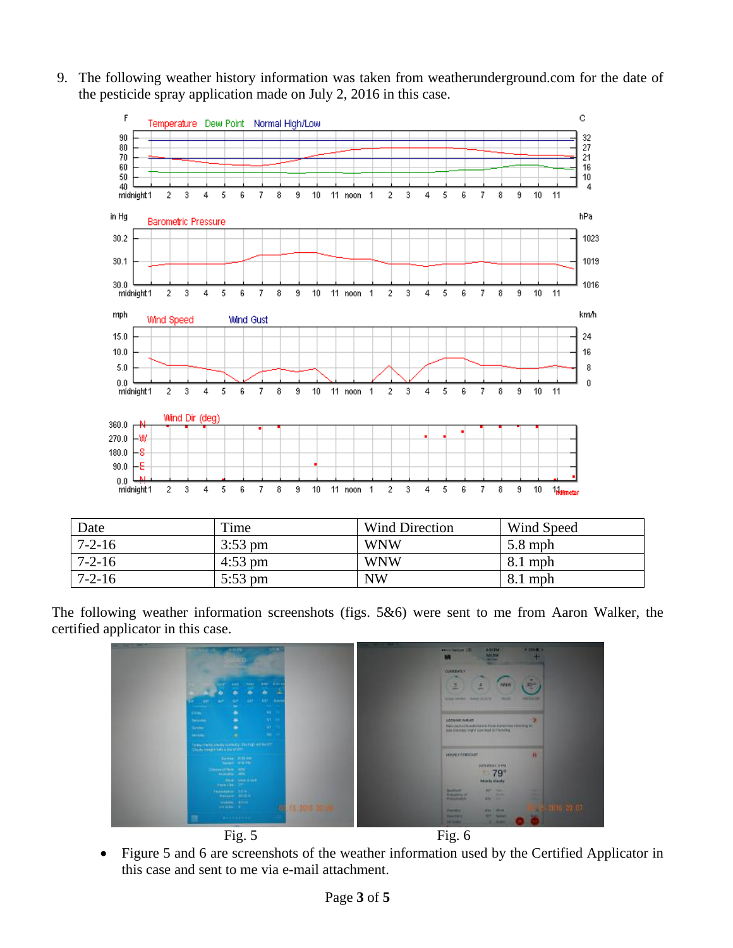9. The following weather history information was taken from weatherunderground.com for the date of the pesticide spray application made on July 2, 2016 in this case.



| Date         | Time      | Wind Direction | Wind Speed |
|--------------|-----------|----------------|------------|
| $7 - 2 - 16$ | $3:53$ pm | <b>WNW</b>     | $5.8$ mph  |
| $7 - 2 - 16$ | $4:53$ pm | <b>WNW</b>     | $8.1$ mph  |
| $7 - 2 - 16$ | $5:53$ pm | <b>NW</b>      | $8.1$ mph  |

The following weather information screenshots (figs. 5&6) were sent to me from Aaron Walker, the certified applicator in this case.



 Figure 5 and 6 are screenshots of the weather information used by the Certified Applicator in this case and sent to me via e-mail attachment.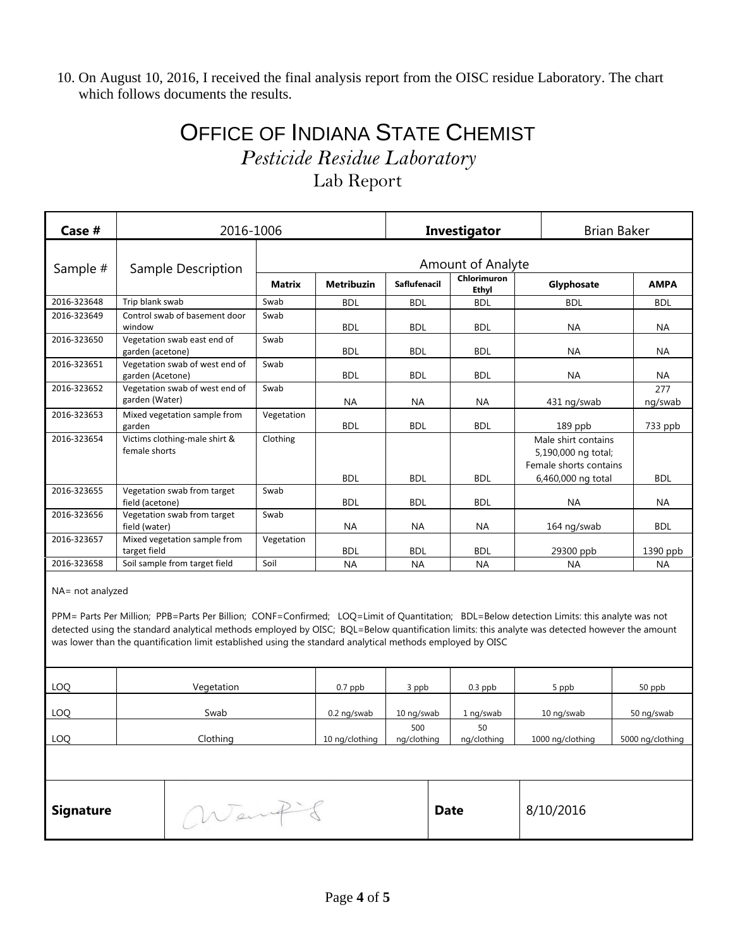10. On August 10, 2016, I received the final analysis report from the OISC residue Laboratory. The chart which follows documents the results.

### OFFICE OF INDIANA STATE CHEMIST *Pesticide Residue Laboratory*  Lab Report

| Case #           | 2016-1006                                          |                          | Investigator      |                     |                             | <b>Brian Baker</b>                                                   |                |
|------------------|----------------------------------------------------|--------------------------|-------------------|---------------------|-----------------------------|----------------------------------------------------------------------|----------------|
| Sample #         | Sample Description                                 | <b>Amount of Analyte</b> |                   |                     |                             |                                                                      |                |
|                  |                                                    | <b>Matrix</b>            | <b>Metribuzin</b> | <b>Saflufenacil</b> | Chlorimuron<br><b>Ethvl</b> | Glyphosate                                                           | <b>AMPA</b>    |
| 2016-323648      | Trip blank swab                                    | Swab                     | <b>BDL</b>        | <b>BDL</b>          | <b>BDL</b>                  | <b>BDL</b>                                                           | <b>BDL</b>     |
| 2016-323649      | Control swab of basement door<br>window            | Swab                     | <b>BDL</b>        | <b>BDL</b>          | <b>BDL</b>                  | <b>NA</b>                                                            | <b>NA</b>      |
| 2016-323650      | Vegetation swab east end of<br>garden (acetone)    | Swab                     | <b>BDL</b>        | <b>BDL</b>          | <b>BDL</b>                  | <b>NA</b>                                                            | <b>NA</b>      |
| 2016-323651      | Vegetation swab of west end of<br>garden (Acetone) | Swab                     | <b>BDL</b>        | <b>BDL</b>          | <b>BDL</b>                  | <b>NA</b>                                                            | <b>NA</b>      |
| 2016-323652      | Vegetation swab of west end of<br>garden (Water)   | Swab                     | <b>NA</b>         | <b>NA</b>           | <b>NA</b>                   | 431 ng/swab                                                          | 277<br>ng/swab |
| 2016-323653      | Mixed vegetation sample from<br>garden             | Vegetation               | <b>BDL</b>        | <b>BDL</b>          | <b>BDL</b>                  | 189 ppb                                                              | 733 ppb        |
| 2016-323654      | Victims clothing-male shirt &<br>female shorts     | Clothing                 |                   |                     |                             | Male shirt contains<br>5,190,000 ng total;<br>Female shorts contains |                |
|                  |                                                    |                          | <b>BDL</b>        | <b>BDL</b>          | <b>BDL</b>                  | 6,460,000 ng total                                                   | <b>BDL</b>     |
| 2016-323655      | Vegetation swab from target<br>field (acetone)     | Swab                     | <b>BDL</b>        | <b>BDL</b>          | <b>BDL</b>                  | <b>NA</b>                                                            | <b>NA</b>      |
| 2016-323656      | Vegetation swab from target<br>field (water)       | Swab                     | <b>NA</b>         | <b>NA</b>           | <b>NA</b>                   | 164 ng/swab                                                          | <b>BDL</b>     |
| 2016-323657      | Mixed vegetation sample from<br>target field       | Vegetation               | <b>BDL</b>        | <b>BDL</b>          | <b>BDL</b>                  | 29300 ppb                                                            | $1390$ ppb     |
| 2016-323658      | Soil sample from target field                      | Soil                     | <b>NA</b>         | <b>NA</b>           | <b>NA</b>                   | <b>NA</b>                                                            | <b>NA</b>      |
| NA= not analyzed |                                                    |                          |                   |                     |                             |                                                                      |                |

PPM= Parts Per Million; PPB=Parts Per Billion; CONF=Confirmed; LOQ=Limit of Quantitation; BDL=Below detection Limits: this analyte was not detected using the standard analytical methods employed by OISC; BQL=Below quantification limits: this analyte was detected however the amount was lower than the quantification limit established using the standard analytical methods employed by OISC

| LOQ                               | Vegetation | $0.7$ ppb          | 3 ppb      |                   | $0.3$ ppb        | 5 ppb            | 50 ppb     |
|-----------------------------------|------------|--------------------|------------|-------------------|------------------|------------------|------------|
| LOQ                               | Swab       | 0.2 ng/swab        | 10 ng/swab |                   | 1 ng/swab        | 10 ng/swab       | 50 ng/swab |
| LOQ<br>Clothing<br>10 ng/clothing |            | 500<br>ng/clothing |            | 50<br>ng/clothing | 1000 ng/clothing | 5000 ng/clothing |            |
|                                   |            |                    |            |                   |                  |                  |            |
| <b>Signature</b>                  | Went       |                    |            | <b>Date</b>       |                  | 8/10/2016        |            |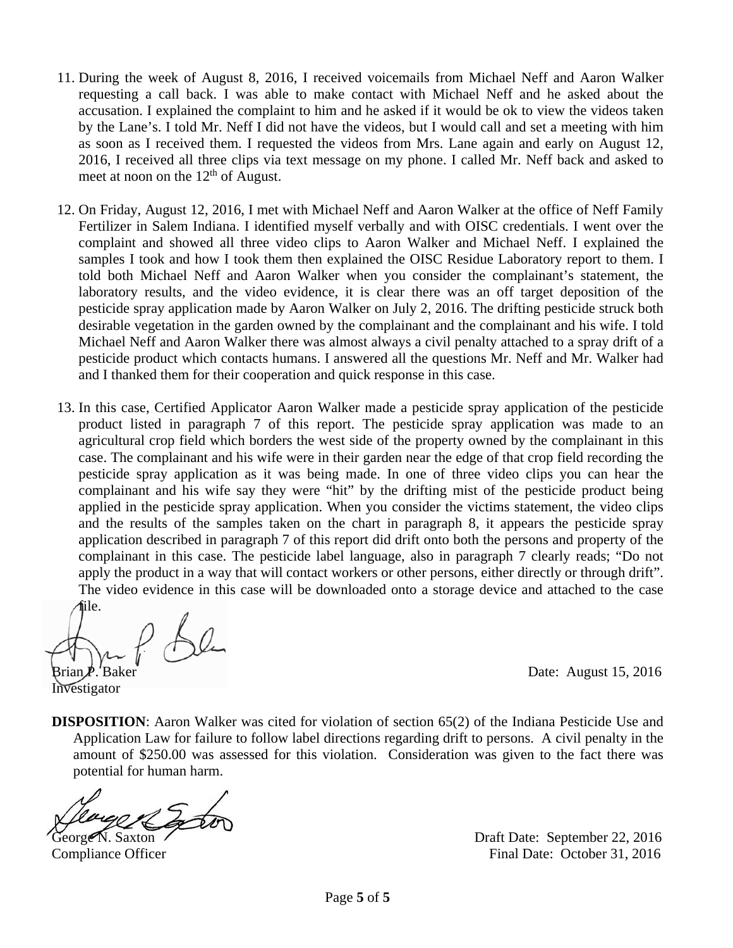- 11. During the week of August 8, 2016, I received voicemails from Michael Neff and Aaron Walker requesting a call back. I was able to make contact with Michael Neff and he asked about the accusation. I explained the complaint to him and he asked if it would be ok to view the videos taken by the Lane's. I told Mr. Neff I did not have the videos, but I would call and set a meeting with him as soon as I received them. I requested the videos from Mrs. Lane again and early on August 12, 2016, I received all three clips via text message on my phone. I called Mr. Neff back and asked to meet at noon on the  $12<sup>th</sup>$  of August.
- 12. On Friday, August 12, 2016, I met with Michael Neff and Aaron Walker at the office of Neff Family Fertilizer in Salem Indiana. I identified myself verbally and with OISC credentials. I went over the complaint and showed all three video clips to Aaron Walker and Michael Neff. I explained the samples I took and how I took them then explained the OISC Residue Laboratory report to them. I told both Michael Neff and Aaron Walker when you consider the complainant's statement, the laboratory results, and the video evidence, it is clear there was an off target deposition of the pesticide spray application made by Aaron Walker on July 2, 2016. The drifting pesticide struck both desirable vegetation in the garden owned by the complainant and the complainant and his wife. I told Michael Neff and Aaron Walker there was almost always a civil penalty attached to a spray drift of a pesticide product which contacts humans. I answered all the questions Mr. Neff and Mr. Walker had and I thanked them for their cooperation and quick response in this case.
- 13. In this case, Certified Applicator Aaron Walker made a pesticide spray application of the pesticide product listed in paragraph 7 of this report. The pesticide spray application was made to an agricultural crop field which borders the west side of the property owned by the complainant in this case. The complainant and his wife were in their garden near the edge of that crop field recording the pesticide spray application as it was being made. In one of three video clips you can hear the complainant and his wife say they were "hit" by the drifting mist of the pesticide product being applied in the pesticide spray application. When you consider the victims statement, the video clips and the results of the samples taken on the chart in paragraph 8, it appears the pesticide spray application described in paragraph 7 of this report did drift onto both the persons and property of the complainant in this case. The pesticide label language, also in paragraph 7 clearly reads; "Do not apply the product in a way that will contact workers or other persons, either directly or through drift". The video evidence in this case will be downloaded onto a storage device and attached to the case

file.  $f_{A}g_{C}$  $Brian \cancel{P}$ . Baker Date: August 15, 2016

Investigator

**DISPOSITION:** Aaron Walker was cited for violation of section 65(2) of the Indiana Pesticide Use and Application Law for failure to follow label directions regarding drift to persons. A civil penalty in the amount of \$250.00 was assessed for this violation. Consideration was given to the fact there was potential for human harm.

George N. Saxton Draft Date: September 22, 2016 Compliance Officer Final Date: October 31, 2016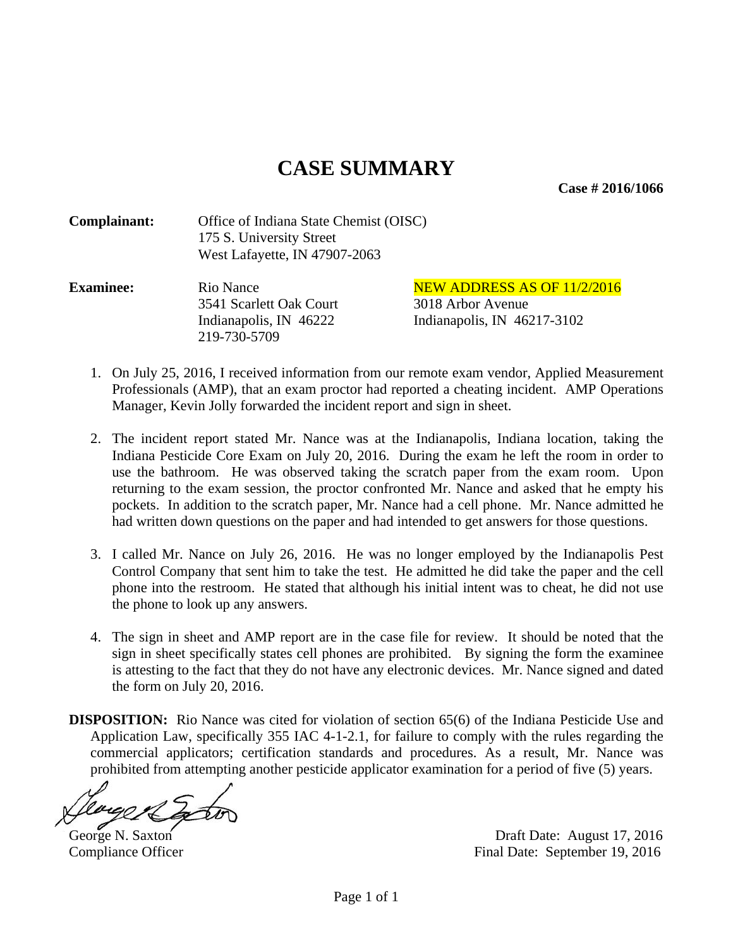**Case # 2016/1066** 

| Complainant: | Office of Indiana State Chemist (OISC) |
|--------------|----------------------------------------|
|              | 175 S. University Street               |
|              | West Lafayette, IN 47907-2063          |

| <b>Examinee:</b> | Rio Nance               | <b>NEW ADDRESS AS OF 11/2/2016</b> |
|------------------|-------------------------|------------------------------------|
|                  | 3541 Scarlett Oak Court | 3018 Arbor Avenue                  |
|                  | Indianapolis, IN 46222  | Indianapolis, IN $46217-3102$      |
|                  | 219-730-5709            |                                    |

- 1. On July 25, 2016, I received information from our remote exam vendor, Applied Measurement Professionals (AMP), that an exam proctor had reported a cheating incident. AMP Operations Manager, Kevin Jolly forwarded the incident report and sign in sheet.
- 2. The incident report stated Mr. Nance was at the Indianapolis, Indiana location, taking the Indiana Pesticide Core Exam on July 20, 2016. During the exam he left the room in order to use the bathroom. He was observed taking the scratch paper from the exam room. Upon returning to the exam session, the proctor confronted Mr. Nance and asked that he empty his pockets. In addition to the scratch paper, Mr. Nance had a cell phone. Mr. Nance admitted he had written down questions on the paper and had intended to get answers for those questions.
- 3. I called Mr. Nance on July 26, 2016. He was no longer employed by the Indianapolis Pest Control Company that sent him to take the test. He admitted he did take the paper and the cell phone into the restroom. He stated that although his initial intent was to cheat, he did not use the phone to look up any answers.
- 4. The sign in sheet and AMP report are in the case file for review. It should be noted that the sign in sheet specifically states cell phones are prohibited. By signing the form the examinee is attesting to the fact that they do not have any electronic devices. Mr. Nance signed and dated the form on July 20, 2016.
- **DISPOSITION:** Rio Nance was cited for violation of section 65(6) of the Indiana Pesticide Use and Application Law, specifically 355 IAC 4-1-2.1, for failure to comply with the rules regarding the commercial applicators; certification standards and procedures. As a result, Mr. Nance was prohibited from attempting another pesticide applicator examination for a period of five (5) years.

George N. Saxton Draft Date: August 17, 2016 Compliance Officer Final Date: September 19, 2016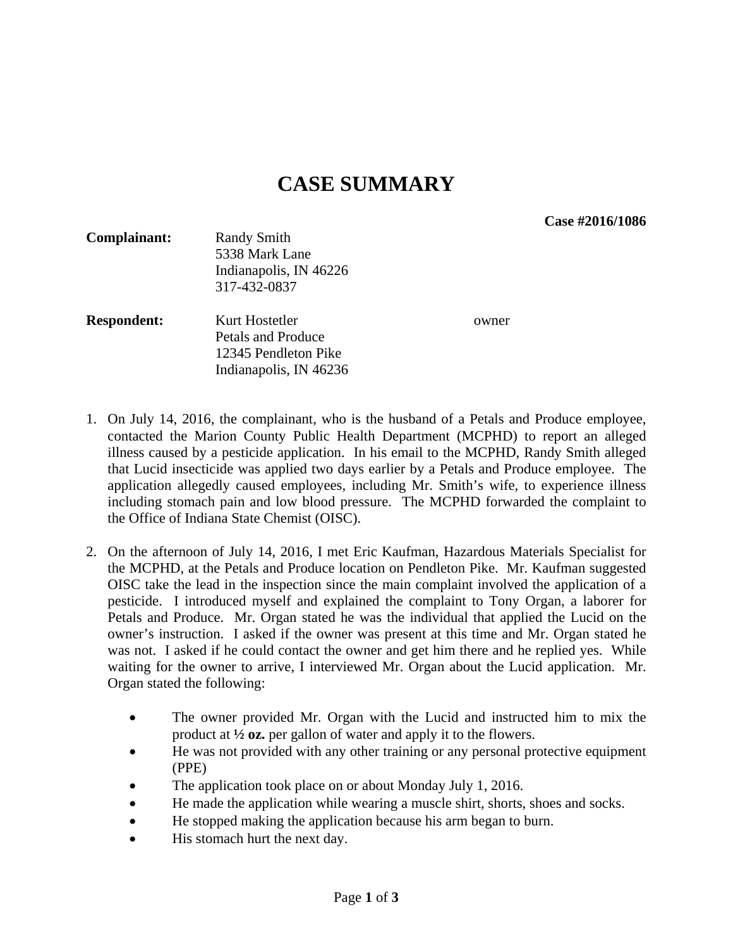**Case #2016/1086** 

| Complainant:       | <b>Randy Smith</b><br>5338 Mark Lane<br>Indianapolis, IN 46226<br>317-432-0837         |       |
|--------------------|----------------------------------------------------------------------------------------|-------|
| <b>Respondent:</b> | Kurt Hostetler<br>Petals and Produce<br>12345 Pendleton Pike<br>Indianapolis, IN 46236 | owner |

- 1. On July 14, 2016, the complainant, who is the husband of a Petals and Produce employee, contacted the Marion County Public Health Department (MCPHD) to report an alleged illness caused by a pesticide application. In his email to the MCPHD, Randy Smith alleged that Lucid insecticide was applied two days earlier by a Petals and Produce employee. The application allegedly caused employees, including Mr. Smith's wife, to experience illness including stomach pain and low blood pressure. The MCPHD forwarded the complaint to the Office of Indiana State Chemist (OISC).
- 2. On the afternoon of July 14, 2016, I met Eric Kaufman, Hazardous Materials Specialist for the MCPHD, at the Petals and Produce location on Pendleton Pike. Mr. Kaufman suggested OISC take the lead in the inspection since the main complaint involved the application of a pesticide. I introduced myself and explained the complaint to Tony Organ, a laborer for Petals and Produce. Mr. Organ stated he was the individual that applied the Lucid on the owner's instruction. I asked if the owner was present at this time and Mr. Organ stated he was not. I asked if he could contact the owner and get him there and he replied yes. While waiting for the owner to arrive, I interviewed Mr. Organ about the Lucid application. Mr. Organ stated the following:
	- The owner provided Mr. Organ with the Lucid and instructed him to mix the product at **½ oz.** per gallon of water and apply it to the flowers.
	- He was not provided with any other training or any personal protective equipment (PPE)
	- The application took place on or about Monday July 1, 2016.
	- He made the application while wearing a muscle shirt, shorts, shoes and socks.
	- He stopped making the application because his arm began to burn.
	- His stomach hurt the next day.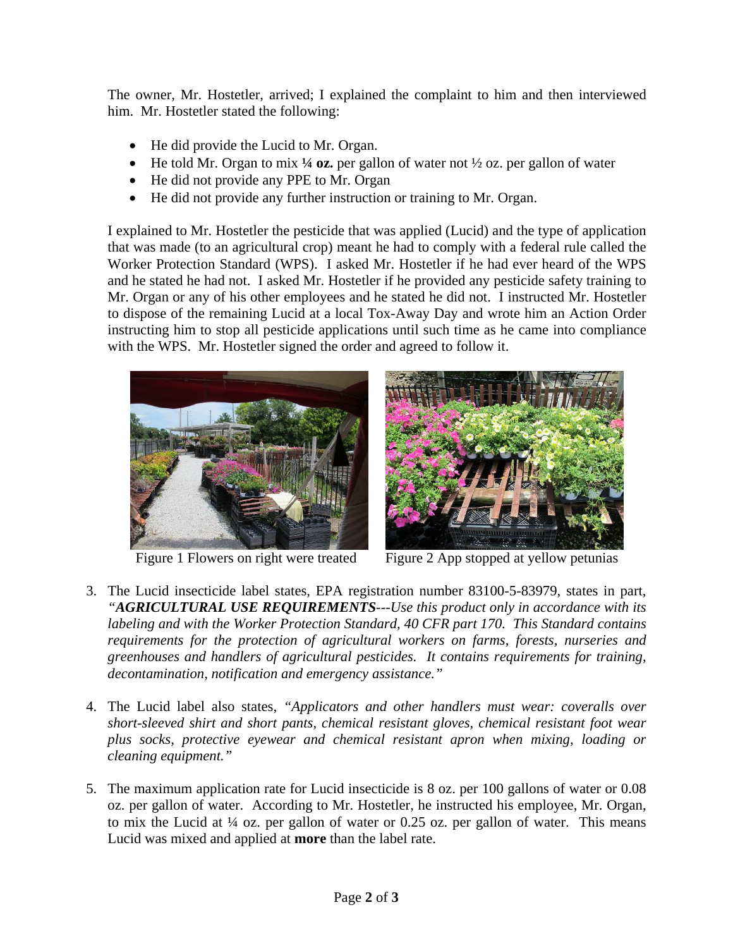The owner, Mr. Hostetler, arrived; I explained the complaint to him and then interviewed him. Mr. Hostetler stated the following:

- He did provide the Lucid to Mr. Organ.
- He told Mr. Organ to mix **¼ oz.** per gallon of water not ½ oz. per gallon of water
- He did not provide any PPE to Mr. Organ
- He did not provide any further instruction or training to Mr. Organ.

I explained to Mr. Hostetler the pesticide that was applied (Lucid) and the type of application that was made (to an agricultural crop) meant he had to comply with a federal rule called the Worker Protection Standard (WPS). I asked Mr. Hostetler if he had ever heard of the WPS and he stated he had not. I asked Mr. Hostetler if he provided any pesticide safety training to Mr. Organ or any of his other employees and he stated he did not. I instructed Mr. Hostetler to dispose of the remaining Lucid at a local Tox-Away Day and wrote him an Action Order instructing him to stop all pesticide applications until such time as he came into compliance with the WPS. Mr. Hostetler signed the order and agreed to follow it.





Figure 1 Flowers on right were treated Figure 2 App stopped at yellow petunias

- 3. The Lucid insecticide label states, EPA registration number 83100-5-83979, states in part, *"AGRICULTURAL USE REQUIREMENTS---Use this product only in accordance with its labeling and with the Worker Protection Standard, 40 CFR part 170. This Standard contains requirements for the protection of agricultural workers on farms, forests, nurseries and greenhouses and handlers of agricultural pesticides. It contains requirements for training, decontamination, notification and emergency assistance."*
- 4. The Lucid label also states, *"Applicators and other handlers must wear: coveralls over short-sleeved shirt and short pants, chemical resistant gloves, chemical resistant foot wear plus socks, protective eyewear and chemical resistant apron when mixing, loading or cleaning equipment."*
- 5. The maximum application rate for Lucid insecticide is 8 oz. per 100 gallons of water or 0.08 oz. per gallon of water. According to Mr. Hostetler, he instructed his employee, Mr. Organ, to mix the Lucid at  $\frac{1}{4}$  oz. per gallon of water or 0.25 oz. per gallon of water. This means Lucid was mixed and applied at **more** than the label rate.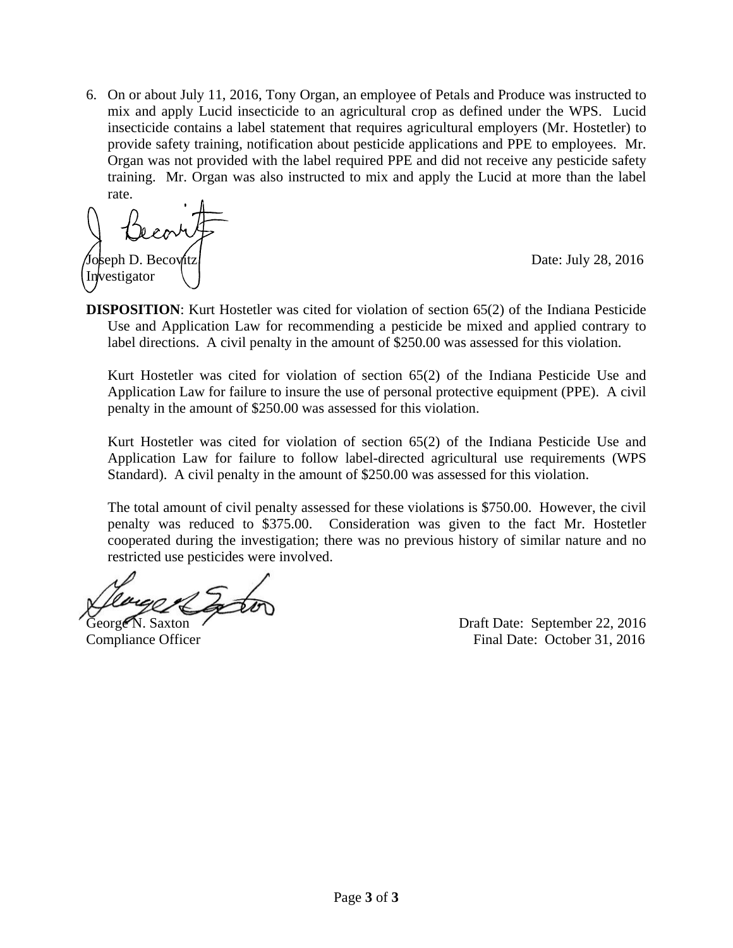6. On or about July 11, 2016, Tony Organ, an employee of Petals and Produce was instructed to mix and apply Lucid insecticide to an agricultural crop as defined under the WPS. Lucid insecticide contains a label statement that requires agricultural employers (Mr. Hostetler) to provide safety training, notification about pesticide applications and PPE to employees. Mr. Organ was not provided with the label required PPE and did not receive any pesticide safety training. Mr. Organ was also instructed to mix and apply the Lucid at more than the label rate.

Ioseph D. Becovitz | Contract Contract Contract Contract Contract Date: July 28, 2016 Investigator

**DISPOSITION:** Kurt Hostetler was cited for violation of section 65(2) of the Indiana Pesticide Use and Application Law for recommending a pesticide be mixed and applied contrary to label directions. A civil penalty in the amount of \$250.00 was assessed for this violation.

Kurt Hostetler was cited for violation of section 65(2) of the Indiana Pesticide Use and Application Law for failure to insure the use of personal protective equipment (PPE). A civil penalty in the amount of \$250.00 was assessed for this violation.

Kurt Hostetler was cited for violation of section 65(2) of the Indiana Pesticide Use and Application Law for failure to follow label-directed agricultural use requirements (WPS Standard). A civil penalty in the amount of \$250.00 was assessed for this violation.

The total amount of civil penalty assessed for these violations is \$750.00. However, the civil penalty was reduced to \$375.00. Consideration was given to the fact Mr. Hostetler cooperated during the investigation; there was no previous history of similar nature and no restricted use pesticides were involved.

George N. Saxton  $\sim$  Draft Date: September 22, 2016 Compliance Officer Final Date: October 31, 2016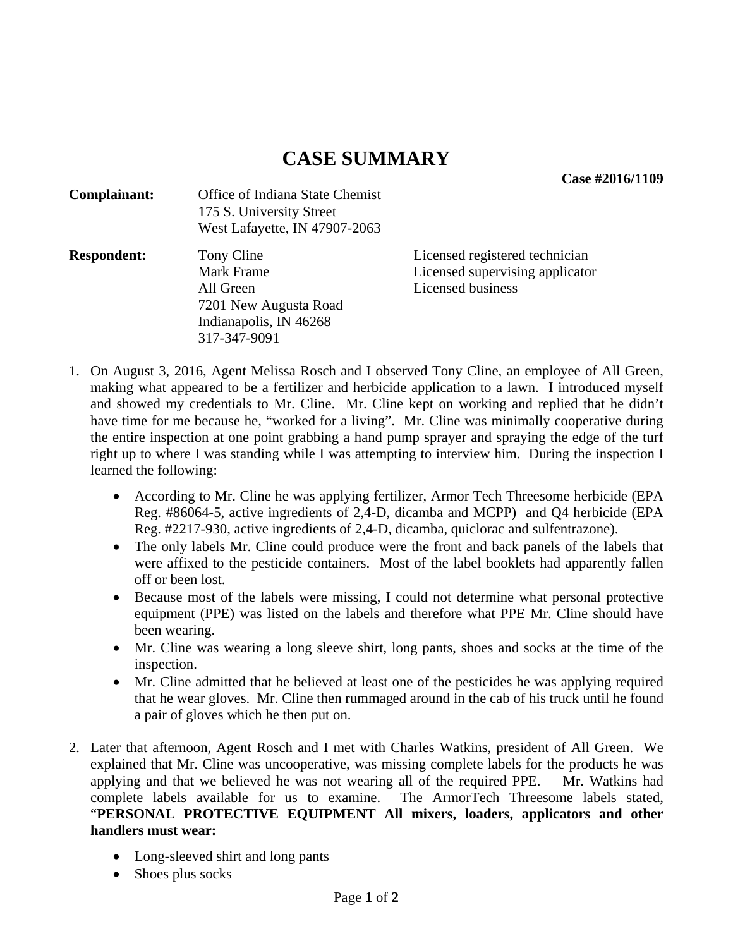## **CASE SUMMARY**

**Case #2016/1109** 

| Complainant:       | Office of Indiana State Chemist<br>175 S. University Street<br>West Lafayette, IN 47907-2063             |                                                                                        |
|--------------------|----------------------------------------------------------------------------------------------------------|----------------------------------------------------------------------------------------|
| <b>Respondent:</b> | Tony Cline<br>Mark Frame<br>All Green<br>7201 New Augusta Road<br>Indianapolis, IN 46268<br>317-347-9091 | Licensed registered technician<br>Licensed supervising applicator<br>Licensed business |

- 1. On August 3, 2016, Agent Melissa Rosch and I observed Tony Cline, an employee of All Green, making what appeared to be a fertilizer and herbicide application to a lawn. I introduced myself and showed my credentials to Mr. Cline. Mr. Cline kept on working and replied that he didn't have time for me because he, "worked for a living". Mr. Cline was minimally cooperative during the entire inspection at one point grabbing a hand pump sprayer and spraying the edge of the turf right up to where I was standing while I was attempting to interview him. During the inspection I learned the following:
	- According to Mr. Cline he was applying fertilizer, Armor Tech Threesome herbicide (EPA Reg. #86064-5, active ingredients of 2,4-D, dicamba and MCPP) and Q4 herbicide (EPA Reg. #2217-930, active ingredients of 2,4-D, dicamba, quiclorac and sulfentrazone).
	- The only labels Mr. Cline could produce were the front and back panels of the labels that were affixed to the pesticide containers. Most of the label booklets had apparently fallen off or been lost.
	- Because most of the labels were missing, I could not determine what personal protective equipment (PPE) was listed on the labels and therefore what PPE Mr. Cline should have been wearing.
	- Mr. Cline was wearing a long sleeve shirt, long pants, shoes and socks at the time of the inspection.
	- Mr. Cline admitted that he believed at least one of the pesticides he was applying required that he wear gloves. Mr. Cline then rummaged around in the cab of his truck until he found a pair of gloves which he then put on.
- 2. Later that afternoon, Agent Rosch and I met with Charles Watkins, president of All Green. We explained that Mr. Cline was uncooperative, was missing complete labels for the products he was applying and that we believed he was not wearing all of the required PPE. Mr. Watkins had complete labels available for us to examine. The ArmorTech Threesome labels stated, "**PERSONAL PROTECTIVE EQUIPMENT All mixers, loaders, applicators and other handlers must wear:**
	- Long-sleeved shirt and long pants
	- Shoes plus socks